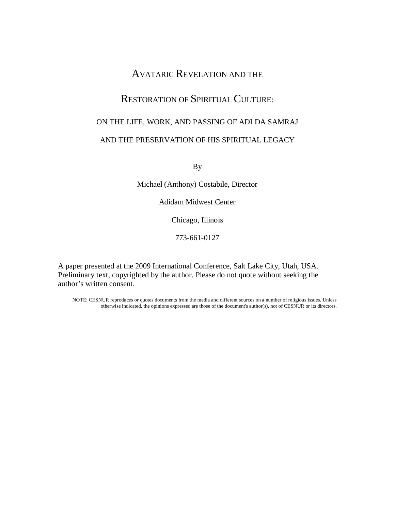# AVATARIC REVELATION AND THE

## RESTORATION OF SPIRITUAL CULTURE:

# ON THE LIFE, WORK, AND PASSING OF ADI DA SAMRAJ

## AND THE PRESERVATION OF HIS SPIRITUAL LEGACY

By

Michael (Anthony) Costabile, Director

Adidam Midwest Center

Chicago, Illinois

773-661-0127

A paper presented at the 2009 International Conference, Salt Lake City, Utah, USA. Preliminary text, copyrighted by the author. Please do not quote without seeking the author's written consent.

NOTE: CESNUR reproduces or quotes documents from the media and different sources on a number of religious issues. Unless otherwise indicated, the opinions expressed are those of the document's author(s), not of CESNUR or its directors.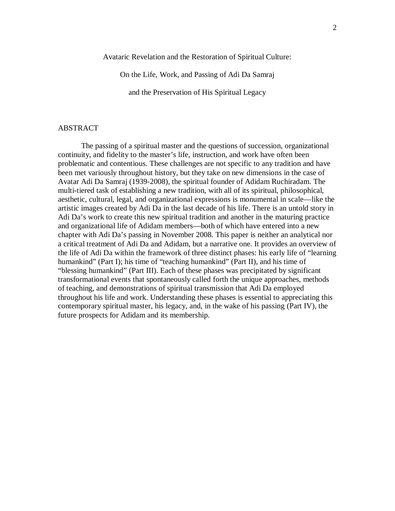Avataric Revelation and the Restoration of Spiritual Culture:

On the Life, Work, and Passing of Adi Da Samraj

and the Preservation of His Spiritual Legacy

#### ABSTRACT

The passing of a spiritual master and the questions of succession, organizational continuity, and fidelity to the master's life, instruction, and work have often been problematic and contentious. These challenges are not specific to any tradition and have been met variously throughout history, but they take on new dimensions in the case of Avatar Adi Da Samraj (1939-2008), the spiritual founder of Adidam Ruchiradam. The multi-tiered task of establishing a new tradition, with all of its spiritual, philosophical, aesthetic, cultural, legal, and organizational expressions is monumental in scale—like the artistic images created by Adi Da in the last decade of his life. There is an untold story in Adi Da's work to create this new spiritual tradition and another in the maturing practice and organizational life of Adidam members—both of which have entered into a new chapter with Adi Da's passing in November 2008. This paper is neither an analytical nor a critical treatment of Adi Da and Adidam, but a narrative one. It provides an overview of the life of Adi Da within the framework of three distinct phases: his early life of "learning humankind" (Part I); his time of "teaching humankind" (Part II), and his time of "blessing humankind" (Part III). Each of these phases was precipitated by significant transformational events that spontaneously called forth the unique approaches, methods of teaching, and demonstrations of spiritual transmission that Adi Da employed throughout his life and work. Understanding these phases is essential to appreciating this contemporary spiritual master, his legacy, and, in the wake of his passing (Part IV), the future prospects for Adidam and its membership.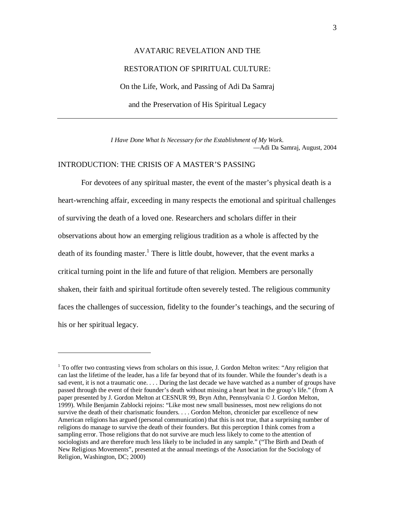# AVATARIC REVELATION AND THE RESTORATION OF SPIRITUAL CULTURE: On the Life, Work, and Passing of Adi Da Samraj and the Preservation of His Spiritual Legacy

*I Have Done What Is Necessary for the Establishment of My Work.* —Adi Da Samraj, August, 2004

## INTRODUCTION: THE CRISIS OF A MASTER'S PASSING

 $\overline{a}$ 

For devotees of any spiritual master, the event of the master's physical death is a heart-wrenching affair, exceeding in many respects the emotional and spiritual challenges of surviving the death of a loved one. Researchers and scholars differ in their observations about how an emerging religious tradition as a whole is affected by the death of its founding master.<sup>1</sup> There is little doubt, however, that the event marks a critical turning point in the life and future of that religion. Members are personally shaken, their faith and spiritual fortitude often severely tested. The religious community faces the challenges of succession, fidelity to the founder's teachings, and the securing of his or her spiritual legacy.

<sup>&</sup>lt;sup>1</sup> To offer two contrasting views from scholars on this issue, J. Gordon Melton writes: "Any religion that can last the lifetime of the leader, has a life far beyond that of its founder. While the founder's death is a sad event, it is not a traumatic one. . . . During the last decade we have watched as a number of groups have passed through the event of their founder's death without missing a heart beat in the group's life." (from A paper presented by J. Gordon Melton at CESNUR 99, Bryn Athn, Pennsylvania © J. Gordon Melton, 1999). While Benjamin Zablocki rejoins: "Like most new small businesses, most new religions do not survive the death of their charismatic founders. . . . Gordon Melton, chronicler par excellence of new American religions has argued (personal communication) that this is not true, that a surprising number of religions do manage to survive the death of their founders. But this perception I think comes from a sampling error. Those religions that do not survive are much less likely to come to the attention of sociologists and are therefore much less likely to be included in any sample." ("The Birth and Death of New Religious Movements", presented at the annual meetings of the Association for the Sociology of Religion, Washington, DC; 2000)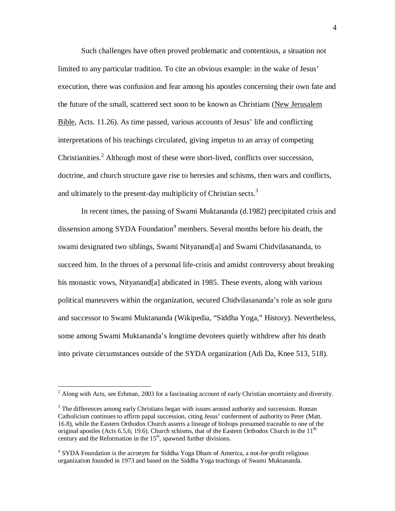Such challenges have often proved problematic and contentious, a situation not limited to any particular tradition. To cite an obvious example: in the wake of Jesus' execution, there was confusion and fear among his apostles concerning their own fate and the future of the small, scattered sect soon to be known as Christians (New Jerusalem Bible, Acts. 11.26). As time passed, various accounts of Jesus' life and conflicting interpretations of his teachings circulated, giving impetus to an array of competing Christianities.<sup>2</sup> Although most of these were short-lived, conflicts over succession, doctrine, and church structure gave rise to heresies and schisms, then wars and conflicts, and ultimately to the present-day multiplicity of Christian sects.<sup>3</sup>

In recent times, the passing of Swami Muktananda (d.1982) precipitated crisis and dissension among SYDA Foundation<sup>4</sup> members. Several months before his death, the swami designated two siblings, Swami Nityanand[a] and Swami Chidvilasananda, to succeed him. In the throes of a personal life-crisis and amidst controversy about breaking his monastic vows, Nityanand[a] abdicated in 1985. These events, along with various political maneuvers within the organization, secured Chidvilasananda's role as sole guru and successor to Swami Muktananda (Wikipedia, "Siddha Yoga," History). Nevertheless, some among Swami Muktananda's longtime devotees quietly withdrew after his death into private circumstances outside of the SYDA organization (Adi Da, Knee 513, 518).

<sup>&</sup>lt;sup>2</sup> Along with Acts, see Erhman, 2003 for a fascinating account of early Christian uncertainty and diversity.

 $3$  The differences among early Christians began with issues around authority and succession. Roman Catholicism continues to affirm papal succession, citing Jesus' conferment of authority to Peter (Matt. 16.8), while the Eastern Orthodox Church asserts a lineage of bishops presumed traceable to one of the original apostles (Acts 6.5,6; 19.6). Church schisms, that of the Eastern Orthodox Church in the  $11<sup>th</sup>$ century and the Reformation in the  $15<sup>th</sup>$ , spawned further divisions.

<sup>&</sup>lt;sup>4</sup> SYDA Foundation is the acronym for Siddha Yoga Dham of America, a not-for-profit religious organization founded in 1973 and based on the Siddha Yoga teachings of Swami Muktananda.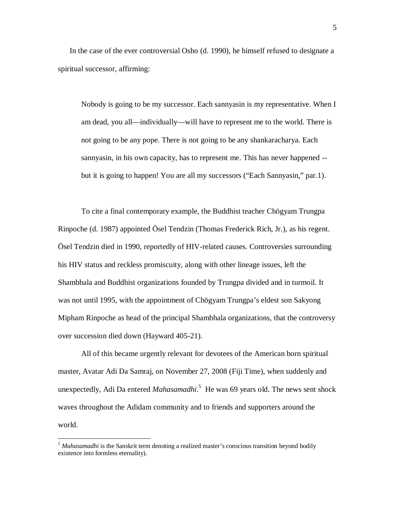In the case of the ever controversial Osho (d. 1990), he himself refused to designate a spiritual successor, affirming:

Nobody is going to be my successor. Each sannyasin is my representative. When I am dead, you all—individually—will have to represent me to the world. There is not going to be any pope. There is not going to be any shankaracharya. Each sannyasin, in his own capacity, has to represent me. This has never happened - but it is going to happen! You are all my successors ("Each Sannyasin," par.1).

To cite a final contemporary example, the Buddhist teacher Chögyam Trungpa Rinpoche (d. 1987) appointed Ösel Tendzin (Thomas Frederick Rich, Jr.), as his regent. Ösel Tendzin died in 1990, reportedly of HIV-related causes. Controversies surrounding his HIV status and reckless promiscuity, along with other lineage issues, left the Shambhala and Buddhist organizations founded by Trungpa divided and in turmoil. It was not until 1995, with the appointment of Chögyam Trungpa's eldest son Sakyong Mipham Rinpoche as head of the principal Shambhala organizations, that the controversy over succession died down (Hayward 405-21).

All of this became urgently relevant for devotees of the American born spiritual master, Avatar Adi Da Samraj, on November 27, 2008 (Fiji Time), when suddenly and unexpectedly, Adi Da entered *Mahasamadhi*. 5 He was 69 years old. The news sent shock waves throughout the Adidam community and to friends and supporters around the world.

<sup>&</sup>lt;sup>5</sup> Mahasamadhi is the Sanskrit term denoting a realized master's conscious transition beyond bodily existence into formless eternality).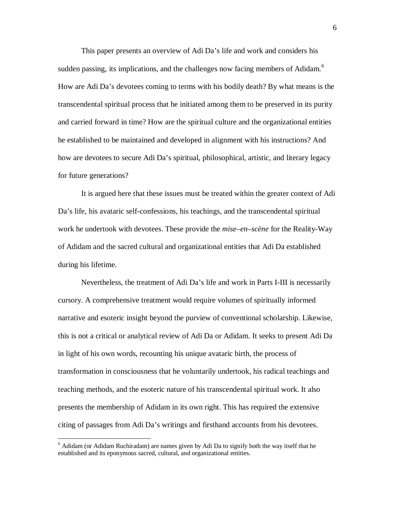This paper presents an overview of Adi Da's life and work and considers his sudden passing, its implications, and the challenges now facing members of Adidam.<sup>6</sup> How are Adi Da's devotees coming to terms with his bodily death? By what means is the transcendental spiritual process that he initiated among them to be preserved in its purity and carried forward in time? How are the spiritual culture and the organizational entities he established to be maintained and developed in alignment with his instructions? And how are devotees to secure Adi Da's spiritual, philosophical, artistic, and literary legacy for future generations?

It is argued here that these issues must be treated within the greater context of Adi Da's life, his avataric self-confessions, his teachings, and the transcendental spiritual work he undertook with devotees. These provide the *mise–en–scène* for the Reality-Way of Adidam and the sacred cultural and organizational entities that Adi Da established during his lifetime.

Nevertheless, the treatment of Adi Da's life and work in Parts I-III is necessarily cursory. A comprehensive treatment would require volumes of spiritually informed narrative and esoteric insight beyond the purview of conventional scholarship. Likewise, this is not a critical or analytical review of Adi Da or Adidam. It seeks to present Adi Da in light of his own words, recounting his unique avataric birth, the process of transformation in consciousness that he voluntarily undertook, his radical teachings and teaching methods, and the esoteric nature of his transcendental spiritual work. It also presents the membership of Adidam in its own right. This has required the extensive citing of passages from Adi Da's writings and firsthand accounts from his devotees.

 $6$  Adidam (or Adidam Ruchiradam) are names given by Adi Da to signify both the way itself that he established and its eponymous sacred, cultural, and organizational entities.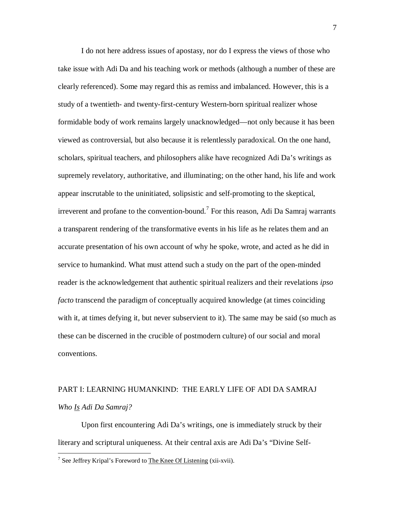I do not here address issues of apostasy, nor do I express the views of those who take issue with Adi Da and his teaching work or methods (although a number of these are clearly referenced). Some may regard this as remiss and imbalanced. However, this is a study of a twentieth- and twenty-first-century Western-born spiritual realizer whose formidable body of work remains largely unacknowledged—not only because it has been viewed as controversial, but also because it is relentlessly paradoxical. On the one hand, scholars, spiritual teachers, and philosophers alike have recognized Adi Da's writings as supremely revelatory, authoritative, and illuminating; on the other hand, his life and work appear inscrutable to the uninitiated, solipsistic and self-promoting to the skeptical, irreverent and profane to the convention-bound.<sup>7</sup> For this reason, Adi Da Samraj warrants a transparent rendering of the transformative events in his life as he relates them and an accurate presentation of his own account of why he spoke, wrote, and acted as he did in service to humankind. What must attend such a study on the part of the open-minded reader is the acknowledgement that authentic spiritual realizers and their revelations *ipso facto* transcend the paradigm of conceptually acquired knowledge (at times coinciding with it, at times defying it, but never subservient to it). The same may be said (so much as these can be discerned in the crucible of postmodern culture) of our social and moral conventions.

# PART I: LEARNING HUMANKIND: THE EARLY LIFE OF ADI DA SAMRAJ *Who Is Adi Da Samraj?*

Upon first encountering Adi Da's writings, one is immediately struck by their literary and scriptural uniqueness. At their central axis are Adi Da's "Divine Self-

<sup>&</sup>lt;sup>7</sup> See Jeffrey Kripal's Foreword to The Knee Of Listening (xii-xvii).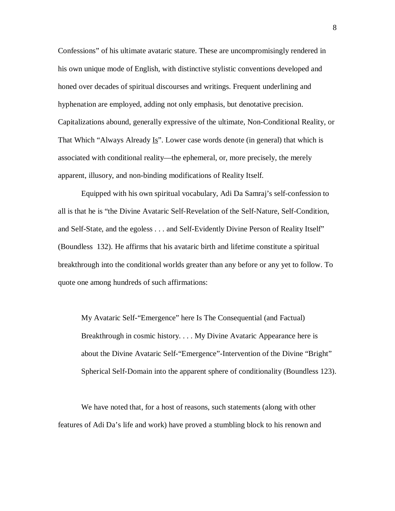Confessions" of his ultimate avataric stature. These are uncompromisingly rendered in his own unique mode of English, with distinctive stylistic conventions developed and honed over decades of spiritual discourses and writings. Frequent underlining and hyphenation are employed, adding not only emphasis, but denotative precision. Capitalizations abound, generally expressive of the ultimate, Non-Conditional Reality, or That Which "Always Already Is". Lower case words denote (in general) that which is associated with conditional reality—the ephemeral, or, more precisely, the merely apparent, illusory, and non-binding modifications of Reality Itself.

Equipped with his own spiritual vocabulary, Adi Da Samraj's self-confession to all is that he is "the Divine Avataric Self-Revelation of the Self-Nature, Self-Condition, and Self-State, and the egoless . . . and Self-Evidently Divine Person of Reality Itself" (Boundless 132). He affirms that his avataric birth and lifetime constitute a spiritual breakthrough into the conditional worlds greater than any before or any yet to follow. To quote one among hundreds of such affirmations:

My Avataric Self-"Emergence" here Is The Consequential (and Factual) Breakthrough in cosmic history. . . . My Divine Avataric Appearance here is about the Divine Avataric Self-"Emergence"-Intervention of the Divine "Bright" Spherical Self-Domain into the apparent sphere of conditionality (Boundless 123).

We have noted that, for a host of reasons, such statements (along with other features of Adi Da's life and work) have proved a stumbling block to his renown and 8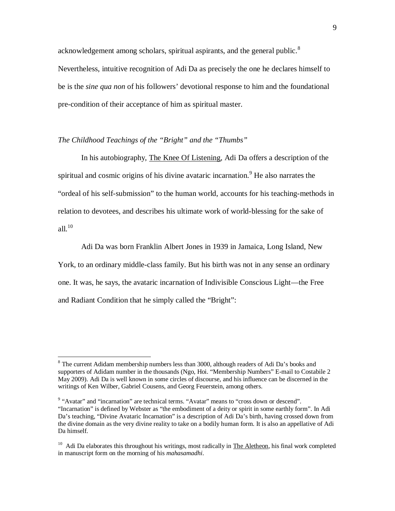acknowledgement among scholars, spiritual aspirants, and the general public.<sup>8</sup> Nevertheless, intuitive recognition of Adi Da as precisely the one he declares himself to be is the *sine qua non* of his followers' devotional response to him and the foundational pre-condition of their acceptance of him as spiritual master.

## *The Childhood Teachings of the "Bright" and the "Thumbs"*

 $\overline{a}$ 

In his autobiography, The Knee Of Listening, Adi Da offers a description of the spiritual and cosmic origins of his divine avataric incarnation.<sup>9</sup> He also narrates the "ordeal of his self-submission" to the human world, accounts for his teaching-methods in relation to devotees, and describes his ultimate work of world-blessing for the sake of all. $10$ 

Adi Da was born Franklin Albert Jones in 1939 in Jamaica, Long Island, New York, to an ordinary middle-class family. But his birth was not in any sense an ordinary one. It was, he says, the avataric incarnation of Indivisible Conscious Light—the Free and Radiant Condition that he simply called the "Bright":

<sup>&</sup>lt;sup>8</sup> The current Adidam membership numbers less than 3000, although readers of Adi Da's books and supporters of Adidam number in the thousands (Ngo, Hoi. "Membership Numbers" E-mail to Costabile 2 May 2009). Adi Da is well known in some circles of discourse, and his influence can be discerned in the writings of Ken Wilber, Gabriel Cousens, and Georg Feuerstein, among others.

<sup>&</sup>lt;sup>9</sup> "Avatar" and "incarnation" are technical terms. "Avatar" means to "cross down or descend". "Incarnation" is defined by Webster as "the embodiment of a deity or spirit in some earthly form". In Adi Da's teaching, "Divine Avataric Incarnation" is a description of Adi Da's birth, having crossed down from the divine domain as the very divine reality to take on a bodily human form. It is also an appellative of Adi Da himself.

 $10$  Adi Da elaborates this throughout his writings, most radically in The Aletheon, his final work completed in manuscript form on the morning of his *mahasamadhi*.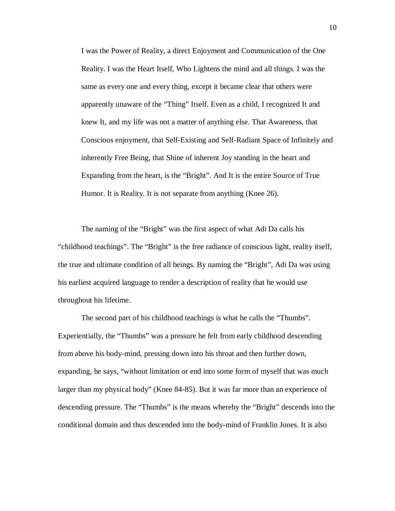I was the Power of Reality, a direct Enjoyment and Communication of the One Reality. I was the Heart Itself, Who Lightens the mind and all things. I was the same as every one and every thing, except it became clear that others were apparently unaware of the "Thing" Itself. Even as a child, I recognized It and knew It, and my life was not a matter of anything else. That Awareness, that Conscious enjoyment, that Self-Existing and Self-Radiant Space of Infinitely and inherently Free Being, that Shine of inherent Joy standing in the heart and Expanding from the heart, is the "Bright". And It is the entire Source of True Humor. It is Reality. It is not separate from anything (Knee 26).

The naming of the "Bright" was the first aspect of what Adi Da calls his "childhood teachings". The "Bright" is the free radiance of conscious light, reality itself, the true and ultimate condition of all beings. By naming the "Bright", Adi Da was using his earliest acquired language to render a description of reality that he would use throughout his lifetime.

The second part of his childhood teachings is what he calls the "Thumbs". Experientially, the "Thumbs" was a pressure he felt from early childhood descending from above his body-mind, pressing down into his throat and then further down, expanding, he says, "without limitation or end into some form of myself that was much larger than my physical body" (Knee 84-85). But it was far more than an experience of descending pressure. The "Thumbs" is the means whereby the "Bright" descends into the conditional domain and thus descended into the body-mind of Franklin Jones. It is also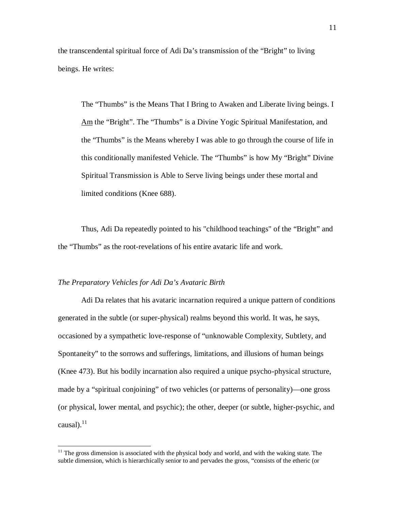the transcendental spiritual force of Adi Da's transmission of the "Bright" to living beings. He writes:

The "Thumbs" is the Means That I Bring to Awaken and Liberate living beings. I Am the "Bright". The "Thumbs" is a Divine Yogic Spiritual Manifestation, and the "Thumbs" is the Means whereby I was able to go through the course of life in this conditionally manifested Vehicle. The "Thumbs" is how My "Bright" Divine Spiritual Transmission is Able to Serve living beings under these mortal and limited conditions (Knee 688).

Thus, Adi Da repeatedly pointed to his "childhood teachings" of the "Bright" and the "Thumbs" as the root-revelations of his entire avataric life and work.

### *The Preparatory Vehicles for Adi Da's Avataric Birth*

 $\overline{a}$ 

Adi Da relates that his avataric incarnation required a unique pattern of conditions generated in the subtle (or super-physical) realms beyond this world. It was, he says, occasioned by a sympathetic love-response of "unknowable Complexity, Subtlety, and Spontaneity" to the sorrows and sufferings, limitations, and illusions of human beings (Knee 473). But his bodily incarnation also required a unique psycho-physical structure, made by a "spiritual conjoining" of two vehicles (or patterns of personality)—one gross (or physical, lower mental, and psychic); the other, deeper (or subtle, higher-psychic, and causal). $^{11}$ 

 $11$  The gross dimension is associated with the physical body and world, and with the waking state. The subtle dimension, which is hierarchically senior to and pervades the gross, "consists of the etheric (or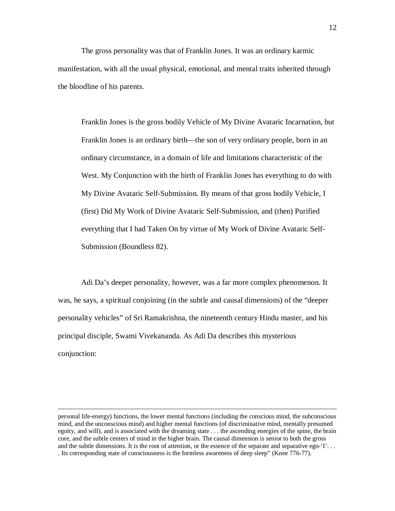The gross personality was that of Franklin Jones. It was an ordinary karmic manifestation, with all the usual physical, emotional, and mental traits inherited through the bloodline of his parents.

Franklin Jones is the gross bodily Vehicle of My Divine Avataric Incarnation, but Franklin Jones is an ordinary birth—the son of very ordinary people, born in an ordinary circumstance, in a domain of life and limitations characteristic of the West. My Conjunction with the birth of Franklin Jones has everything to do with My Divine Avataric Self-Submission. By means of that gross bodily Vehicle, I (first) Did My Work of Divine Avataric Self-Submission, and (then) Purified everything that I had Taken On by virtue of My Work of Divine Avataric Self-Submission (Boundless 82).

Adi Da's deeper personality, however, was a far more complex phenomenon. It was, he says, a spiritual conjoining (in the subtle and causal dimensions) of the "deeper personality vehicles" of Sri Ramakrishna, the nineteenth century Hindu master, and his principal disciple, Swami Vivekananda. As Adi Da describes this mysterious conjunction:

personal life-energy) functions, the lower mental functions (including the conscious mind, the subconscious mind, and the unconscious mind) and higher mental functions (of discriminative mind, mentally presumed egoity, and will), and is associated with the dreaming state . . . the ascending energies of the spine, the brain core, and the subtle centers of mind in the higher brain. The causal dimension is senior to both the gross and the subtle dimensions. It is the root of attention, or the essence of the separate and separative ego-'I'... . Its corresponding state of consciousness is the formless awareness of deep sleep" (Knee 776-77).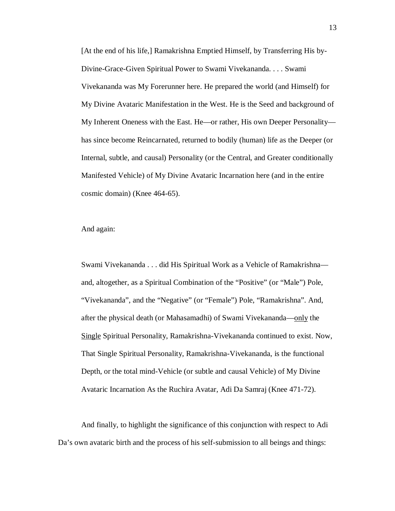[At the end of his life,] Ramakrishna Emptied Himself, by Transferring His by-Divine-Grace-Given Spiritual Power to Swami Vivekananda. . . . Swami Vivekananda was My Forerunner here. He prepared the world (and Himself) for My Divine Avataric Manifestation in the West. He is the Seed and background of My Inherent Oneness with the East. He—or rather, His own Deeper Personality has since become Reincarnated, returned to bodily (human) life as the Deeper (or Internal, subtle, and causal) Personality (or the Central, and Greater conditionally Manifested Vehicle) of My Divine Avataric Incarnation here (and in the entire cosmic domain) (Knee 464-65).

And again:

Swami Vivekananda . . . did His Spiritual Work as a Vehicle of Ramakrishna and, altogether, as a Spiritual Combination of the "Positive" (or "Male") Pole, "Vivekananda", and the "Negative" (or "Female") Pole, "Ramakrishna". And, after the physical death (or Mahasamadhi) of Swami Vivekananda—only the Single Spiritual Personality, Ramakrishna-Vivekananda continued to exist. Now, That Single Spiritual Personality, Ramakrishna-Vivekananda, is the functional Depth, or the total mind-Vehicle (or subtle and causal Vehicle) of My Divine Avataric Incarnation As the Ruchira Avatar, Adi Da Samraj (Knee 471-72).

And finally, to highlight the significance of this conjunction with respect to Adi Da's own avataric birth and the process of his self-submission to all beings and things: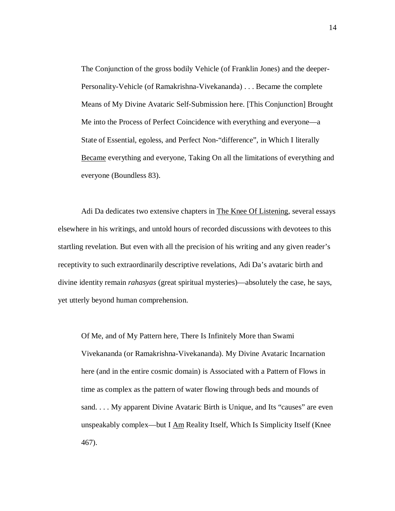The Conjunction of the gross bodily Vehicle (of Franklin Jones) and the deeper-Personality-Vehicle (of Ramakrishna-Vivekananda) . . . Became the complete Means of My Divine Avataric Self-Submission here. [This Conjunction] Brought Me into the Process of Perfect Coincidence with everything and everyone—a State of Essential, egoless, and Perfect Non-"difference", in Which I literally Became everything and everyone, Taking On all the limitations of everything and everyone (Boundless 83).

Adi Da dedicates two extensive chapters in The Knee Of Listening, several essays elsewhere in his writings, and untold hours of recorded discussions with devotees to this startling revelation. But even with all the precision of his writing and any given reader's receptivity to such extraordinarily descriptive revelations, Adi Da's avataric birth and divine identity remain *rahasyas* (great spiritual mysteries)—absolutely the case, he says, yet utterly beyond human comprehension.

Of Me, and of My Pattern here, There Is Infinitely More than Swami Vivekananda (or Ramakrishna-Vivekananda). My Divine Avataric Incarnation here (and in the entire cosmic domain) is Associated with a Pattern of Flows in time as complex as the pattern of water flowing through beds and mounds of sand. . . . My apparent Divine Avataric Birth is Unique, and Its "causes" are even unspeakably complex—but I  $\Delta m$  Reality Itself, Which Is Simplicity Itself (Knee 467).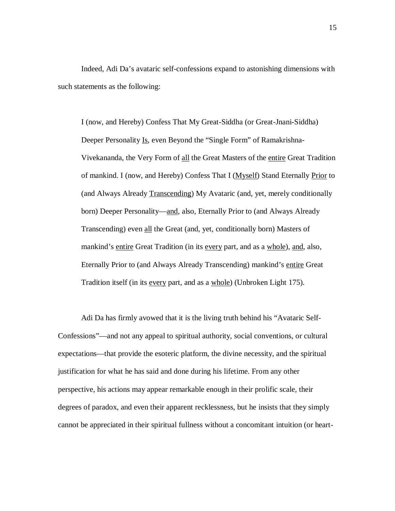Indeed, Adi Da's avataric self-confessions expand to astonishing dimensions with such statements as the following:

I (now, and Hereby) Confess That My Great-Siddha (or Great-Jnani-Siddha) Deeper Personality Is, even Beyond the "Single Form" of Ramakrishna-Vivekananda, the Very Form of all the Great Masters of the entire Great Tradition of mankind. I (now, and Hereby) Confess That I (Myself) Stand Eternally Prior to (and Always Already Transcending) My Avataric (and, yet, merely conditionally born) Deeper Personality—and, also, Eternally Prior to (and Always Already Transcending) even all the Great (and, yet, conditionally born) Masters of mankind's entire Great Tradition (in its every part, and as a whole), and, also, Eternally Prior to (and Always Already Transcending) mankind's entire Great Tradition itself (in its every part, and as a whole) (Unbroken Light 175).

Adi Da has firmly avowed that it is the living truth behind his "Avataric Self-Confessions"—and not any appeal to spiritual authority, social conventions, or cultural expectations—that provide the esoteric platform, the divine necessity, and the spiritual justification for what he has said and done during his lifetime. From any other perspective, his actions may appear remarkable enough in their prolific scale, their degrees of paradox, and even their apparent recklessness, but he insists that they simply cannot be appreciated in their spiritual fullness without a concomitant intuition (or heart-

15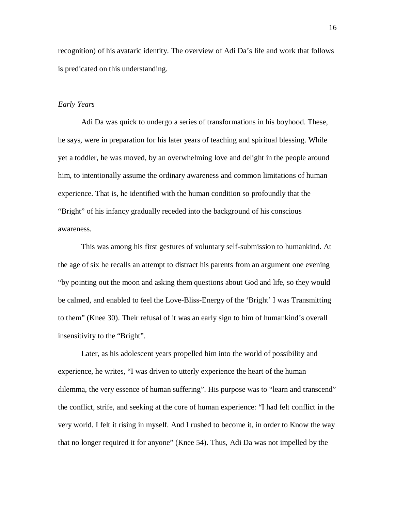recognition) of his avataric identity. The overview of Adi Da's life and work that follows is predicated on this understanding.

#### *Early Years*

Adi Da was quick to undergo a series of transformations in his boyhood. These, he says, were in preparation for his later years of teaching and spiritual blessing. While yet a toddler, he was moved, by an overwhelming love and delight in the people around him, to intentionally assume the ordinary awareness and common limitations of human experience. That is, he identified with the human condition so profoundly that the "Bright" of his infancy gradually receded into the background of his conscious awareness.

This was among his first gestures of voluntary self-submission to humankind. At the age of six he recalls an attempt to distract his parents from an argument one evening "by pointing out the moon and asking them questions about God and life, so they would be calmed, and enabled to feel the Love-Bliss-Energy of the 'Bright' I was Transmitting to them" (Knee 30). Their refusal of it was an early sign to him of humankind's overall insensitivity to the "Bright".

Later, as his adolescent years propelled him into the world of possibility and experience, he writes, "I was driven to utterly experience the heart of the human dilemma, the very essence of human suffering". His purpose was to "learn and transcend" the conflict, strife, and seeking at the core of human experience: "I had felt conflict in the very world. I felt it rising in myself. And I rushed to become it, in order to Know the way that no longer required it for anyone" (Knee 54). Thus, Adi Da was not impelled by the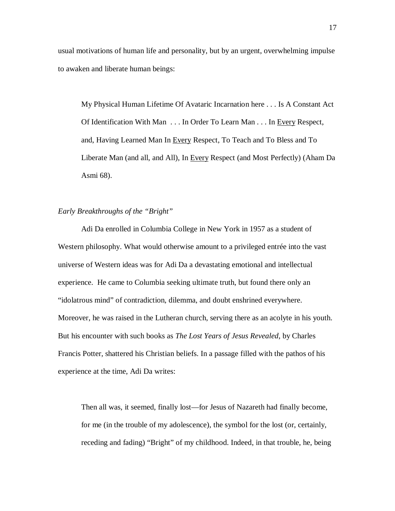usual motivations of human life and personality, but by an urgent, overwhelming impulse to awaken and liberate human beings:

My Physical Human Lifetime Of Avataric Incarnation here . . . Is A Constant Act Of Identification With Man . . . In Order To Learn Man . . . In Every Respect, and, Having Learned Man In Every Respect, To Teach and To Bless and To Liberate Man (and all, and All), In Every Respect (and Most Perfectly) (Aham Da Asmi 68).

### *Early Breakthroughs of the "Bright"*

Adi Da enrolled in Columbia College in New York in 1957 as a student of Western philosophy. What would otherwise amount to a privileged entrée into the vast universe of Western ideas was for Adi Da a devastating emotional and intellectual experience. He came to Columbia seeking ultimate truth, but found there only an "idolatrous mind" of contradiction, dilemma, and doubt enshrined everywhere. Moreover, he was raised in the Lutheran church, serving there as an acolyte in his youth. But his encounter with such books as *The Lost Years of Jesus Revealed*, by Charles Francis Potter, shattered his Christian beliefs. In a passage filled with the pathos of his experience at the time, Adi Da writes:

Then all was, it seemed, finally lost—for Jesus of Nazareth had finally become, for me (in the trouble of my adolescence), the symbol for the lost (or, certainly, receding and fading) "Bright" of my childhood. Indeed, in that trouble, he, being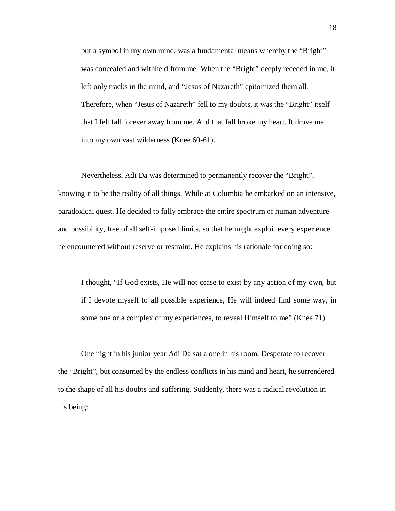but a symbol in my own mind, was a fundamental means whereby the "Bright" was concealed and withheld from me. When the "Bright" deeply receded in me, it left only tracks in the mind, and "Jesus of Nazareth" epitomized them all. Therefore, when "Jesus of Nazareth" fell to my doubts, it was the "Bright" itself that I felt fall forever away from me. And that fall broke my heart. It drove me into my own vast wilderness (Knee 60-61).

Nevertheless, Adi Da was determined to permanently recover the "Bright", knowing it to be the reality of all things. While at Columbia he embarked on an intensive, paradoxical quest. He decided to fully embrace the entire spectrum of human adventure and possibility, free of all self-imposed limits, so that he might exploit every experience he encountered without reserve or restraint. He explains his rationale for doing so:

I thought, "If God exists, He will not cease to exist by any action of my own, but if I devote myself to all possible experience, He will indeed find some way, in some one or a complex of my experiences, to reveal Himself to me" (Knee 71).

One night in his junior year Adi Da sat alone in his room. Desperate to recover the "Bright", but consumed by the endless conflicts in his mind and heart, he surrendered to the shape of all his doubts and suffering. Suddenly, there was a radical revolution in his being: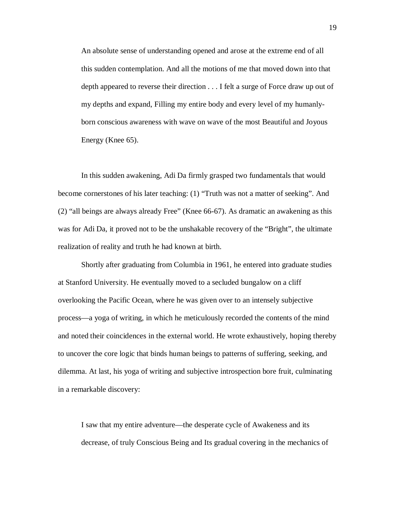An absolute sense of understanding opened and arose at the extreme end of all this sudden contemplation. And all the motions of me that moved down into that depth appeared to reverse their direction . . . I felt a surge of Force draw up out of my depths and expand, Filling my entire body and every level of my humanlyborn conscious awareness with wave on wave of the most Beautiful and Joyous Energy (Knee 65).

In this sudden awakening, Adi Da firmly grasped two fundamentals that would become cornerstones of his later teaching: (1) "Truth was not a matter of seeking". And (2) "all beings are always already Free" (Knee 66-67). As dramatic an awakening as this was for Adi Da, it proved not to be the unshakable recovery of the "Bright", the ultimate realization of reality and truth he had known at birth.

Shortly after graduating from Columbia in 1961, he entered into graduate studies at Stanford University. He eventually moved to a secluded bungalow on a cliff overlooking the Pacific Ocean, where he was given over to an intensely subjective process—a yoga of writing, in which he meticulously recorded the contents of the mind and noted their coincidences in the external world. He wrote exhaustively, hoping thereby to uncover the core logic that binds human beings to patterns of suffering, seeking, and dilemma. At last, his yoga of writing and subjective introspection bore fruit, culminating in a remarkable discovery:

I saw that my entire adventure—the desperate cycle of Awakeness and its decrease, of truly Conscious Being and Its gradual covering in the mechanics of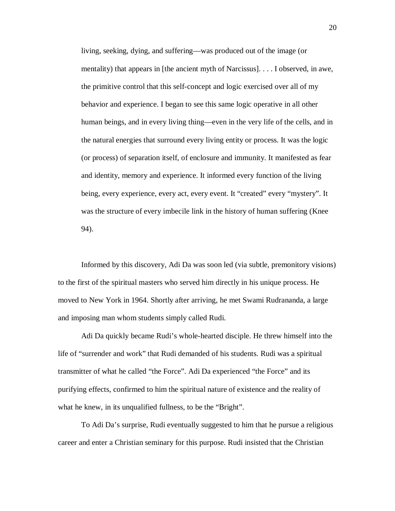living, seeking, dying, and suffering—was produced out of the image (or mentality) that appears in [the ancient myth of Narcissus]. . . . I observed, in awe, the primitive control that this self-concept and logic exercised over all of my behavior and experience. I began to see this same logic operative in all other human beings, and in every living thing—even in the very life of the cells, and in the natural energies that surround every living entity or process. It was the logic (or process) of separation itself, of enclosure and immunity. It manifested as fear and identity, memory and experience. It informed every function of the living being, every experience, every act, every event. It "created" every "mystery". It was the structure of every imbecile link in the history of human suffering (Knee 94).

Informed by this discovery, Adi Da was soon led (via subtle, premonitory visions) to the first of the spiritual masters who served him directly in his unique process. He moved to New York in 1964. Shortly after arriving, he met Swami Rudrananda, a large and imposing man whom students simply called Rudi.

Adi Da quickly became Rudi's whole-hearted disciple. He threw himself into the life of "surrender and work" that Rudi demanded of his students. Rudi was a spiritual transmitter of what he called "the Force". Adi Da experienced "the Force" and its purifying effects, confirmed to him the spiritual nature of existence and the reality of what he knew, in its unqualified fullness, to be the "Bright".

To Adi Da's surprise, Rudi eventually suggested to him that he pursue a religious career and enter a Christian seminary for this purpose. Rudi insisted that the Christian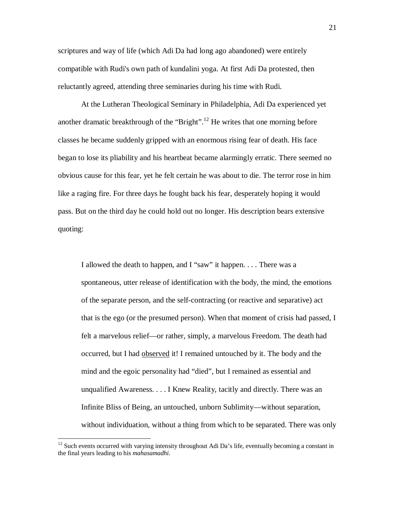scriptures and way of life (which Adi Da had long ago abandoned) were entirely compatible with Rudi's own path of kundalini yoga. At first Adi Da protested, then reluctantly agreed, attending three seminaries during his time with Rudi.

At the Lutheran Theological Seminary in Philadelphia, Adi Da experienced yet another dramatic breakthrough of the "Bright".<sup>12</sup> He writes that one morning before classes he became suddenly gripped with an enormous rising fear of death. His face began to lose its pliability and his heartbeat became alarmingly erratic. There seemed no obvious cause for this fear, yet he felt certain he was about to die. The terror rose in him like a raging fire. For three days he fought back his fear, desperately hoping it would pass. But on the third day he could hold out no longer. His description bears extensive quoting:

I allowed the death to happen, and I "saw" it happen. . . . There was a spontaneous, utter release of identification with the body, the mind, the emotions of the separate person, and the self-contracting (or reactive and separative) act that is the ego (or the presumed person). When that moment of crisis had passed, I felt a marvelous relief—or rather, simply, a marvelous Freedom. The death had occurred, but I had observed it! I remained untouched by it. The body and the mind and the egoic personality had "died", but I remained as essential and unqualified Awareness. . . . I Knew Reality, tacitly and directly. There was an Infinite Bliss of Being, an untouched, unborn Sublimity—without separation, without individuation, without a thing from which to be separated. There was only

 $12$  Such events occurred with varying intensity throughout Adi Da's life, eventually becoming a constant in the final years leading to his *mahasamadhi*.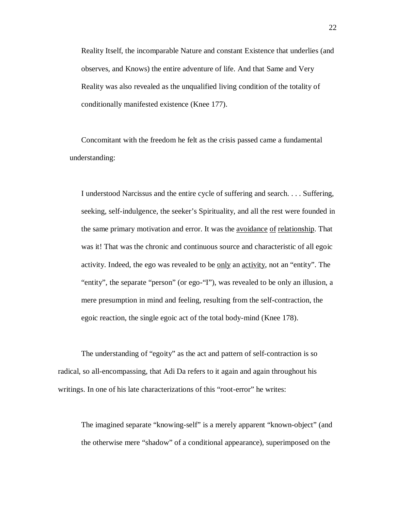Reality Itself, the incomparable Nature and constant Existence that underlies (and observes, and Knows) the entire adventure of life. And that Same and Very Reality was also revealed as the unqualified living condition of the totality of conditionally manifested existence (Knee 177).

Concomitant with the freedom he felt as the crisis passed came a fundamental understanding:

I understood Narcissus and the entire cycle of suffering and search. . . . Suffering, seeking, self-indulgence, the seeker's Spirituality, and all the rest were founded in the same primary motivation and error. It was the avoidance of relationship. That was it! That was the chronic and continuous source and characteristic of all egoic activity. Indeed, the ego was revealed to be only an activity, not an "entity". The "entity", the separate "person" (or ego-"I"), was revealed to be only an illusion, a mere presumption in mind and feeling, resulting from the self-contraction, the egoic reaction, the single egoic act of the total body-mind (Knee 178).

The understanding of "egoity" as the act and pattern of self-contraction is so radical, so all-encompassing, that Adi Da refers to it again and again throughout his writings. In one of his late characterizations of this "root-error" he writes:

The imagined separate "knowing-self" is a merely apparent "known-object" (and the otherwise mere "shadow" of a conditional appearance), superimposed on the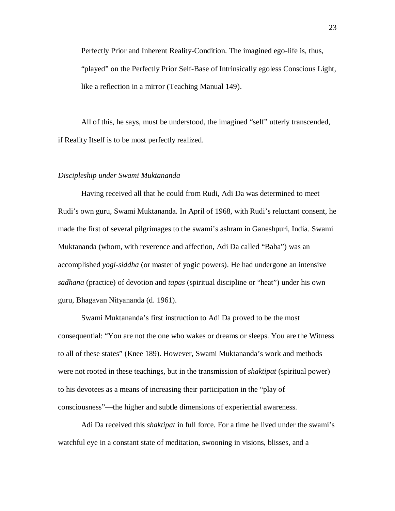Perfectly Prior and Inherent Reality-Condition. The imagined ego-life is, thus, "played" on the Perfectly Prior Self-Base of Intrinsically egoless Conscious Light, like a reflection in a mirror (Teaching Manual 149).

All of this, he says, must be understood, the imagined "self" utterly transcended, if Reality Itself is to be most perfectly realized.

#### *Discipleship under Swami Muktananda*

Having received all that he could from Rudi, Adi Da was determined to meet Rudi's own guru, Swami Muktananda. In April of 1968, with Rudi's reluctant consent, he made the first of several pilgrimages to the swami's ashram in Ganeshpuri, India. Swami Muktananda (whom, with reverence and affection, Adi Da called "Baba") was an accomplished *yogi-siddha* (or master of yogic powers). He had undergone an intensive *sadhana* (practice) of devotion and *tapas* (spiritual discipline or "heat") under his own guru, Bhagavan Nityananda (d. 1961).

Swami Muktananda's first instruction to Adi Da proved to be the most consequential: "You are not the one who wakes or dreams or sleeps. You are the Witness to all of these states" (Knee 189). However, Swami Muktananda's work and methods were not rooted in these teachings, but in the transmission of *shaktipat* (spiritual power) to his devotees as a means of increasing their participation in the "play of consciousness"—the higher and subtle dimensions of experiential awareness.

Adi Da received this *shaktipat* in full force. For a time he lived under the swami's watchful eye in a constant state of meditation, swooning in visions, blisses, and a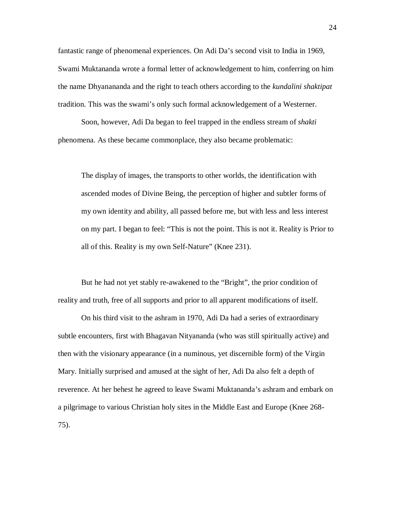fantastic range of phenomenal experiences. On Adi Da's second visit to India in 1969, Swami Muktananda wrote a formal letter of acknowledgement to him, conferring on him the name Dhyanananda and the right to teach others according to the *kundalini shaktipat* tradition. This was the swami's only such formal acknowledgement of a Westerner.

Soon, however, Adi Da began to feel trapped in the endless stream of *shakti* phenomena. As these became commonplace, they also became problematic:

The display of images, the transports to other worlds, the identification with ascended modes of Divine Being, the perception of higher and subtler forms of my own identity and ability, all passed before me, but with less and less interest on my part. I began to feel: "This is not the point. This is not it. Reality is Prior to all of this. Reality is my own Self-Nature" (Knee 231).

But he had not yet stably re-awakened to the "Bright", the prior condition of reality and truth, free of all supports and prior to all apparent modifications of itself.

On his third visit to the ashram in 1970, Adi Da had a series of extraordinary subtle encounters, first with Bhagavan Nityananda (who was still spiritually active) and then with the visionary appearance (in a numinous, yet discernible form) of the Virgin Mary. Initially surprised and amused at the sight of her, Adi Da also felt a depth of reverence. At her behest he agreed to leave Swami Muktananda's ashram and embark on a pilgrimage to various Christian holy sites in the Middle East and Europe (Knee 268- 75).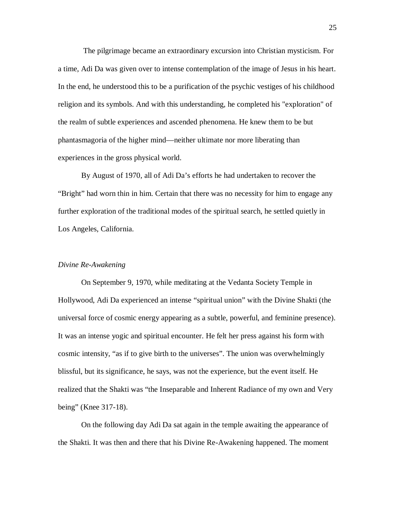The pilgrimage became an extraordinary excursion into Christian mysticism. For a time, Adi Da was given over to intense contemplation of the image of Jesus in his heart. In the end, he understood this to be a purification of the psychic vestiges of his childhood religion and its symbols. And with this understanding, he completed his "exploration" of the realm of subtle experiences and ascended phenomena. He knew them to be but phantasmagoria of the higher mind—neither ultimate nor more liberating than experiences in the gross physical world.

By August of 1970, all of Adi Da's efforts he had undertaken to recover the "Bright" had worn thin in him. Certain that there was no necessity for him to engage any further exploration of the traditional modes of the spiritual search, he settled quietly in Los Angeles, California.

#### *Divine Re-Awakening*

On September 9, 1970, while meditating at the Vedanta Society Temple in Hollywood, Adi Da experienced an intense "spiritual union" with the Divine Shakti (the universal force of cosmic energy appearing as a subtle, powerful, and feminine presence). It was an intense yogic and spiritual encounter. He felt her press against his form with cosmic intensity, "as if to give birth to the universes". The union was overwhelmingly blissful, but its significance, he says, was not the experience, but the event itself. He realized that the Shakti was "the Inseparable and Inherent Radiance of my own and Very being" (Knee 317-18).

On the following day Adi Da sat again in the temple awaiting the appearance of the Shakti. It was then and there that his Divine Re-Awakening happened. The moment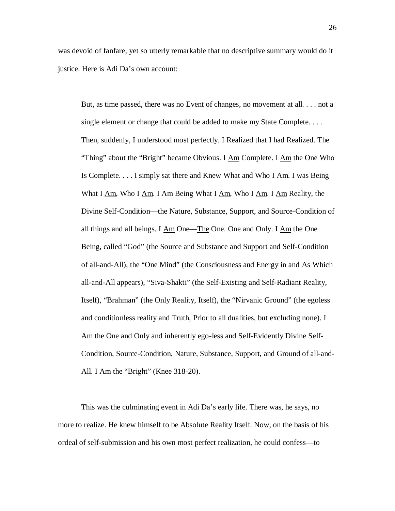was devoid of fanfare, yet so utterly remarkable that no descriptive summary would do it justice. Here is Adi Da's own account:

But, as time passed, there was no Event of changes, no movement at all. . . . not a single element or change that could be added to make my State Complete. . . . Then, suddenly, I understood most perfectly. I Realized that I had Realized. The "Thing" about the "Bright" became Obvious. I Am Complete. I Am the One Who Is Complete. . . . I simply sat there and Knew What and Who I Am. I was Being What I Am, Who I Am. I Am Being What I Am, Who I Am. I Am Reality, the Divine Self-Condition—the Nature, Substance, Support, and Source-Condition of all things and all beings. I Am One—The One. One and Only. I Am the One Being, called "God" (the Source and Substance and Support and Self-Condition of all-and-All), the "One Mind" (the Consciousness and Energy in and  $\underline{As}$  Which all-and-All appears), "Siva-Shakti" (the Self-Existing and Self-Radiant Reality, Itself), "Brahman" (the Only Reality, Itself), the "Nirvanic Ground" (the egoless and conditionless reality and Truth, Prior to all dualities, but excluding none). I Am the One and Only and inherently ego-less and Self-Evidently Divine Self-Condition, Source-Condition, Nature, Substance, Support, and Ground of all-and-All. I  $\text{Am}$  the "Bright" (Knee 318-20).

This was the culminating event in Adi Da's early life. There was, he says, no more to realize. He knew himself to be Absolute Reality Itself. Now, on the basis of his ordeal of self-submission and his own most perfect realization, he could confess—to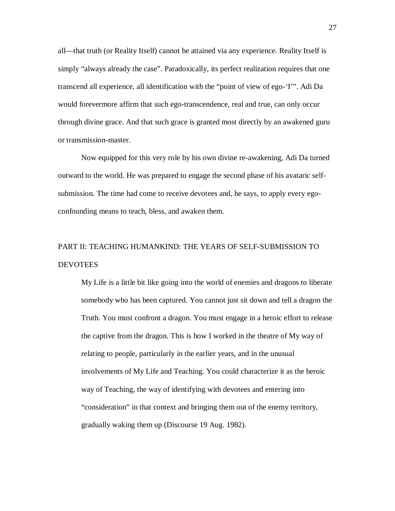all—that truth (or Reality Itself) cannot be attained via any experience. Reality Itself is simply "always already the case". Paradoxically, its perfect realization requires that one transcend all experience, all identification with the "point of view of ego-'I'". Adi Da would forevermore affirm that such ego-transcendence, real and true, can only occur through divine grace. And that such grace is granted most directly by an awakened guru or transmission-master.

Now equipped for this very role by his own divine re-awakening, Adi Da turned outward to the world. He was prepared to engage the second phase of his avataric selfsubmission. The time had come to receive devotees and, he says, to apply every egoconfounding means to teach, bless, and awaken them.

# PART II: TEACHING HUMANKIND: THE YEARS OF SELF-SUBMISSION TO **DEVOTEES**

My Life is a little bit like going into the world of enemies and dragons to liberate somebody who has been captured. You cannot just sit down and tell a dragon the Truth. You must confront a dragon. You must engage in a heroic effort to release the captive from the dragon. This is how I worked in the theatre of My way of relating to people, particularly in the earlier years, and in the unusual involvements of My Life and Teaching. You could characterize it as the heroic way of Teaching, the way of identifying with devotees and entering into "consideration" in that context and bringing them out of the enemy territory, gradually waking them up (Discourse 19 Aug. 1982).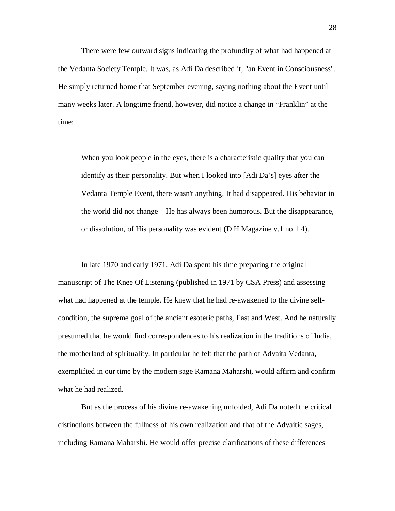There were few outward signs indicating the profundity of what had happened at the Vedanta Society Temple. It was, as Adi Da described it, "an Event in Consciousness". He simply returned home that September evening, saying nothing about the Event until many weeks later. A longtime friend, however, did notice a change in "Franklin" at the time:

When you look people in the eyes, there is a characteristic quality that you can identify as their personality. But when I looked into [Adi Da's] eyes after the Vedanta Temple Event, there wasn't anything. It had disappeared. His behavior in the world did not change—He has always been humorous. But the disappearance, or dissolution, of His personality was evident (D H Magazine v.1 no.1 4).

In late 1970 and early 1971, Adi Da spent his time preparing the original manuscript of The Knee Of Listening (published in 1971 by CSA Press) and assessing what had happened at the temple. He knew that he had re-awakened to the divine selfcondition, the supreme goal of the ancient esoteric paths, East and West. And he naturally presumed that he would find correspondences to his realization in the traditions of India, the motherland of spirituality. In particular he felt that the path of Advaita Vedanta, exemplified in our time by the modern sage Ramana Maharshi, would affirm and confirm what he had realized.

But as the process of his divine re-awakening unfolded, Adi Da noted the critical distinctions between the fullness of his own realization and that of the Advaitic sages, including Ramana Maharshi. He would offer precise clarifications of these differences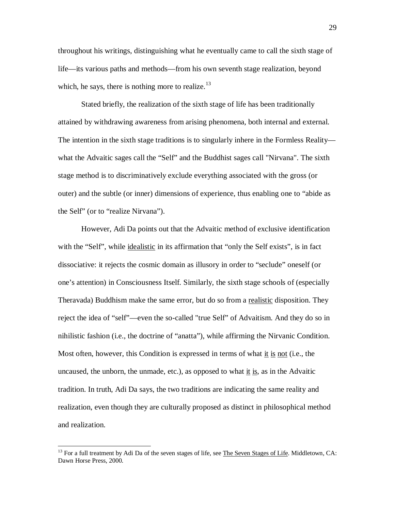throughout his writings, distinguishing what he eventually came to call the sixth stage of life—its various paths and methods—from his own seventh stage realization, beyond which, he says, there is nothing more to realize.<sup>13</sup>

Stated briefly, the realization of the sixth stage of life has been traditionally attained by withdrawing awareness from arising phenomena, both internal and external. The intention in the sixth stage traditions is to singularly inhere in the Formless Reality what the Advaitic sages call the "Self" and the Buddhist sages call "Nirvana". The sixth stage method is to discriminatively exclude everything associated with the gross (or outer) and the subtle (or inner) dimensions of experience, thus enabling one to "abide as the Self" (or to "realize Nirvana").

However, Adi Da points out that the Advaitic method of exclusive identification with the "Self", while <u>idealistic</u> in its affirmation that "only the Self exists", is in fact dissociative: it rejects the cosmic domain as illusory in order to "seclude" oneself (or one's attention) in Consciousness Itself. Similarly, the sixth stage schools of (especially Theravada) Buddhism make the same error, but do so from a realistic disposition. They reject the idea of "self"—even the so-called "true Self" of Advaitism. And they do so in nihilistic fashion (i.e., the doctrine of "anatta"), while affirming the Nirvanic Condition. Most often, however, this Condition is expressed in terms of what it is not (i.e., the uncaused, the unborn, the unmade, etc.), as opposed to what  $\underline{\text{it}}$  is, as in the Advaitic tradition. In truth, Adi Da says, the two traditions are indicating the same reality and realization, even though they are culturally proposed as distinct in philosophical method and realization.

<sup>&</sup>lt;sup>13</sup> For a full treatment by Adi Da of the seven stages of life, see The Seven Stages of Life. Middletown, CA: Dawn Horse Press, 2000.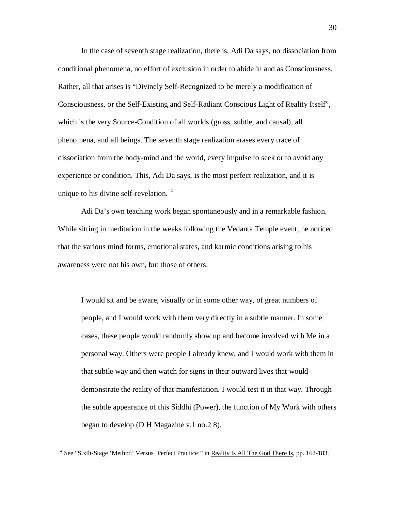In the case of seventh stage realization, there is, Adi Da says, no dissociation from conditional phenomena, no effort of exclusion in order to abide in and as Consciousness. Rather, all that arises is "Divinely Self-Recognized to be merely a modification of Consciousness, or the Self-Existing and Self-Radiant Conscious Light of Reality Itself", which is the very Source-Condition of all worlds (gross, subtle, and causal), all phenomena, and all beings. The seventh stage realization erases every trace of dissociation from the body-mind and the world, every impulse to seek or to avoid any experience or condition. This, Adi Da says, is the most perfect realization, and it is unique to his divine self-revelation.<sup>14</sup>

Adi Da's own teaching work began spontaneously and in a remarkable fashion. While sitting in meditation in the weeks following the Vedanta Temple event, he noticed that the various mind forms, emotional states, and karmic conditions arising to his awareness were not his own, but those of others:

I would sit and be aware, visually or in some other way, of great numbers of people, and I would work with them very directly in a subtle manner. In some cases, these people would randomly show up and become involved with Me in a personal way. Others were people I already knew, and I would work with them in that subtle way and then watch for signs in their outward lives that would demonstrate the reality of that manifestation. I would test it in that way. Through the subtle appearance of this Siddhi (Power), the function of My Work with others began to develop (D H Magazine v.1 no.2 8).

<sup>&</sup>lt;sup>14</sup> See "Sixth-Stage 'Method' Versus 'Perfect Practice'" in <u>Reality Is All The God There Is</u>, pp. 162-183.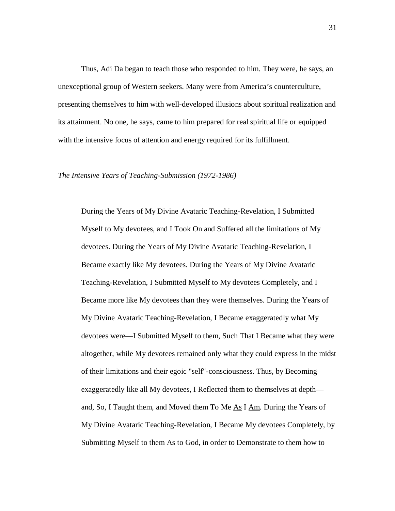Thus, Adi Da began to teach those who responded to him. They were, he says, an unexceptional group of Western seekers. Many were from America's counterculture, presenting themselves to him with well-developed illusions about spiritual realization and its attainment. No one, he says, came to him prepared for real spiritual life or equipped with the intensive focus of attention and energy required for its fulfillment.

#### *The Intensive Years of Teaching-Submission (1972-1986)*

During the Years of My Divine Avataric Teaching-Revelation, I Submitted Myself to My devotees, and I Took On and Suffered all the limitations of My devotees. During the Years of My Divine Avataric Teaching-Revelation, I Became exactly like My devotees. During the Years of My Divine Avataric Teaching-Revelation, I Submitted Myself to My devotees Completely, and I Became more like My devotees than they were themselves. During the Years of My Divine Avataric Teaching-Revelation, I Became exaggeratedly what My devotees were—I Submitted Myself to them, Such That I Became what they were altogether, while My devotees remained only what they could express in the midst of their limitations and their egoic "self"-consciousness. Thus, by Becoming exaggeratedly like all My devotees, I Reflected them to themselves at depth and, So, I Taught them, and Moved them To Me  $\underline{As}$  I  $\underline{Am}$ . During the Years of My Divine Avataric Teaching-Revelation, I Became My devotees Completely, by Submitting Myself to them As to God, in order to Demonstrate to them how to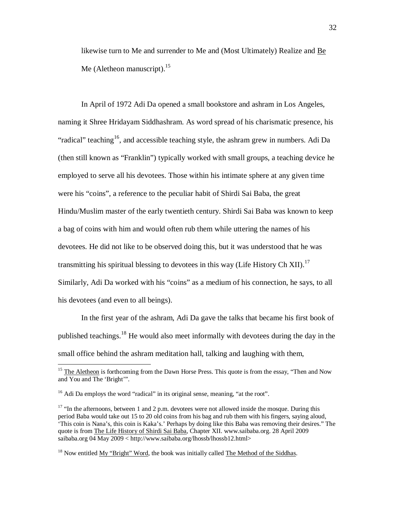likewise turn to Me and surrender to Me and (Most Ultimately) Realize and Be Me (Aletheon manuscript). $15<sup>15</sup>$ 

In April of 1972 Adi Da opened a small bookstore and ashram in Los Angeles, naming it Shree Hridayam Siddhashram. As word spread of his charismatic presence, his "radical" teaching<sup>16</sup>, and accessible teaching style, the ashram grew in numbers. Adi Da (then still known as "Franklin") typically worked with small groups, a teaching device he employed to serve all his devotees. Those within his intimate sphere at any given time were his "coins", a reference to the peculiar habit of Shirdi Sai Baba, the great Hindu/Muslim master of the early twentieth century. Shirdi Sai Baba was known to keep a bag of coins with him and would often rub them while uttering the names of his devotees. He did not like to be observed doing this, but it was understood that he was transmitting his spiritual blessing to devotees in this way (Life History Ch XII).<sup>17</sup> Similarly, Adi Da worked with his "coins" as a medium of his connection, he says, to all his devotees (and even to all beings).

In the first year of the ashram, Adi Da gave the talks that became his first book of published teachings.<sup>18</sup> He would also meet informally with devotees during the day in the small office behind the ashram meditation hall, talking and laughing with them,

<sup>&</sup>lt;sup>15</sup> The Aletheon is forthcoming from the Dawn Horse Press. This quote is from the essay, "Then and Now and You and The 'Bright'".

<sup>&</sup>lt;sup>16</sup> Adi Da employs the word "radical" in its original sense, meaning, "at the root".

<sup>&</sup>lt;sup>17</sup> "In the afternoons, between 1 and 2 p.m. devotees were not allowed inside the mosque. During this period Baba would take out 15 to 20 old coins from his bag and rub them with his fingers, saying aloud, 'This coin is Nana's, this coin is Kaka's.' Perhaps by doing like this Baba was removing their desires." The quote is from The Life History of Shirdi Sai Baba, Chapter XII. [www.saibaba.org.](http://www.saibaba.org.) 28 April 2009 saibaba.org 04 May 2009 < [http://www.saibaba.org/lhossb/lhossb12.html>](http://www.saibaba.org/lhossb/lhossb12.html)

<sup>&</sup>lt;sup>18</sup> Now entitled My "Bright" Word, the book was initially called The Method of the Siddhas.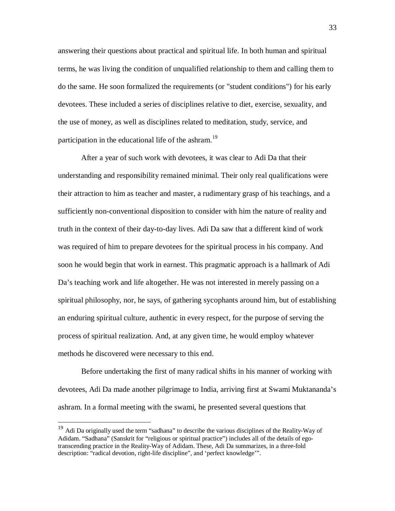answering their questions about practical and spiritual life. In both human and spiritual terms, he was living the condition of unqualified relationship to them and calling them to do the same. He soon formalized the requirements (or "student conditions") for his early devotees. These included a series of disciplines relative to diet, exercise, sexuality, and the use of money, as well as disciplines related to meditation, study, service, and participation in the educational life of the ashram.<sup>19</sup>

After a year of such work with devotees, it was clear to Adi Da that their understanding and responsibility remained minimal. Their only real qualifications were their attraction to him as teacher and master, a rudimentary grasp of his teachings, and a sufficiently non-conventional disposition to consider with him the nature of reality and truth in the context of their day-to-day lives. Adi Da saw that a different kind of work was required of him to prepare devotees for the spiritual process in his company. And soon he would begin that work in earnest. This pragmatic approach is a hallmark of Adi Da's teaching work and life altogether. He was not interested in merely passing on a spiritual philosophy, nor, he says, of gathering sycophants around him, but of establishing an enduring spiritual culture, authentic in every respect, for the purpose of serving the process of spiritual realization. And, at any given time, he would employ whatever methods he discovered were necessary to this end.

Before undertaking the first of many radical shifts in his manner of working with devotees, Adi Da made another pilgrimage to India, arriving first at Swami Muktananda's ashram. In a formal meeting with the swami, he presented several questions that

<sup>&</sup>lt;sup>19</sup> Adi Da originally used the term "sadhana" to describe the various disciplines of the Reality-Way of Adidam. "Sadhana" (Sanskrit for "religious or spiritual practice") includes all of the details of egotranscending practice in the Reality-Way of Adidam. These, Adi Da summarizes, in a three-fold description: "radical devotion, right-life discipline", and 'perfect knowledge'".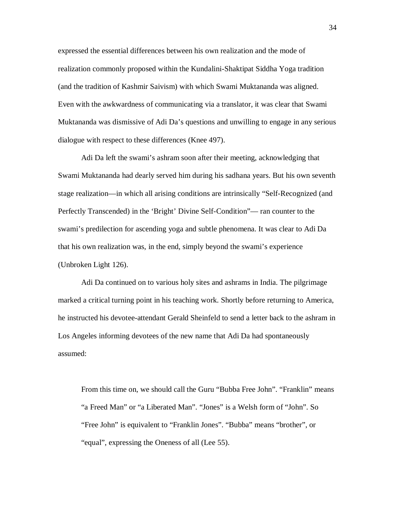expressed the essential differences between his own realization and the mode of realization commonly proposed within the Kundalini-Shaktipat Siddha Yoga tradition (and the tradition of Kashmir Saivism) with which Swami Muktananda was aligned. Even with the awkwardness of communicating via a translator, it was clear that Swami Muktananda was dismissive of Adi Da's questions and unwilling to engage in any serious dialogue with respect to these differences (Knee 497).

Adi Da left the swami's ashram soon after their meeting, acknowledging that Swami Muktananda had dearly served him during his sadhana years. But his own seventh stage realization—in which all arising conditions are intrinsically "Self-Recognized (and Perfectly Transcended) in the 'Bright' Divine Self-Condition"— ran counter to the swami's predilection for ascending yoga and subtle phenomena. It was clear to Adi Da that his own realization was, in the end, simply beyond the swami's experience (Unbroken Light 126).

Adi Da continued on to various holy sites and ashrams in India. The pilgrimage marked a critical turning point in his teaching work. Shortly before returning to America, he instructed his devotee-attendant Gerald Sheinfeld to send a letter back to the ashram in Los Angeles informing devotees of the new name that Adi Da had spontaneously assumed:

From this time on, we should call the Guru "Bubba Free John". "Franklin" means "a Freed Man" or "a Liberated Man". "Jones" is a Welsh form of "John". So "Free John" is equivalent to "Franklin Jones". "Bubba" means "brother", or "equal", expressing the Oneness of all (Lee 55).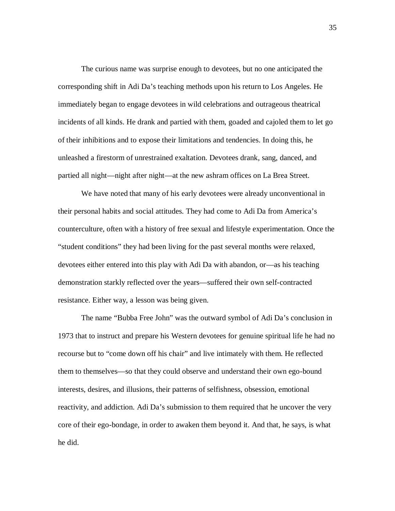The curious name was surprise enough to devotees, but no one anticipated the corresponding shift in Adi Da's teaching methods upon his return to Los Angeles. He immediately began to engage devotees in wild celebrations and outrageous theatrical incidents of all kinds. He drank and partied with them, goaded and cajoled them to let go of their inhibitions and to expose their limitations and tendencies. In doing this, he unleashed a firestorm of unrestrained exaltation. Devotees drank, sang, danced, and partied all night—night after night—at the new ashram offices on La Brea Street.

We have noted that many of his early devotees were already unconventional in their personal habits and social attitudes. They had come to Adi Da from America's counterculture, often with a history of free sexual and lifestyle experimentation. Once the "student conditions" they had been living for the past several months were relaxed, devotees either entered into this play with Adi Da with abandon, or—as his teaching demonstration starkly reflected over the years—suffered their own self-contracted resistance. Either way, a lesson was being given.

The name "Bubba Free John" was the outward symbol of Adi Da's conclusion in 1973 that to instruct and prepare his Western devotees for genuine spiritual life he had no recourse but to "come down off his chair" and live intimately with them. He reflected them to themselves—so that they could observe and understand their own ego-bound interests, desires, and illusions, their patterns of selfishness, obsession, emotional reactivity, and addiction. Adi Da's submission to them required that he uncover the very core of their ego-bondage, in order to awaken them beyond it. And that, he says, is what he did.

35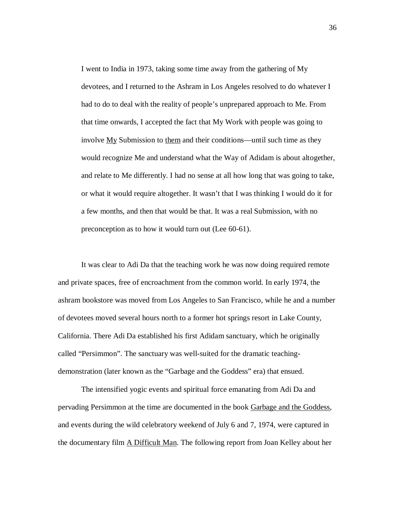I went to India in 1973, taking some time away from the gathering of My devotees, and I returned to the Ashram in Los Angeles resolved to do whatever I had to do to deal with the reality of people's unprepared approach to Me. From that time onwards, I accepted the fact that My Work with people was going to involve My Submission to them and their conditions—until such time as they would recognize Me and understand what the Way of Adidam is about altogether, and relate to Me differently. I had no sense at all how long that was going to take, or what it would require altogether. It wasn't that I was thinking I would do it for a few months, and then that would be that. It was a real Submission, with no preconception as to how it would turn out (Lee 60-61).

It was clear to Adi Da that the teaching work he was now doing required remote and private spaces, free of encroachment from the common world. In early 1974, the ashram bookstore was moved from Los Angeles to San Francisco, while he and a number of devotees moved several hours north to a former hot springs resort in Lake County, California. There Adi Da established his first Adidam sanctuary, which he originally called "Persimmon". The sanctuary was well-suited for the dramatic teachingdemonstration (later known as the "Garbage and the Goddess" era) that ensued.

The intensified yogic events and spiritual force emanating from Adi Da and pervading Persimmon at the time are documented in the book Garbage and the Goddess*,* and events during the wild celebratory weekend of July 6 and 7, 1974, were captured in the documentary film A Difficult Man. The following report from Joan Kelley about her

36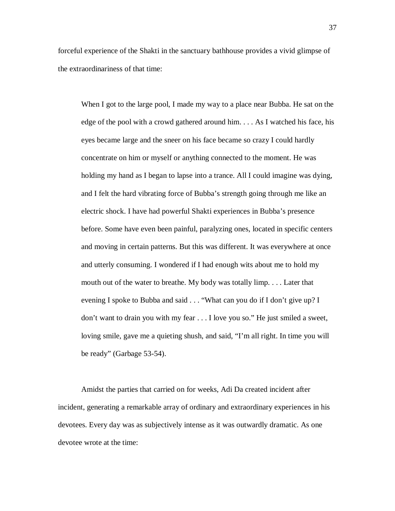forceful experience of the Shakti in the sanctuary bathhouse provides a vivid glimpse of the extraordinariness of that time:

When I got to the large pool, I made my way to a place near Bubba. He sat on the edge of the pool with a crowd gathered around him. . . . As I watched his face, his eyes became large and the sneer on his face became so crazy I could hardly concentrate on him or myself or anything connected to the moment. He was holding my hand as I began to lapse into a trance. All I could imagine was dying, and I felt the hard vibrating force of Bubba's strength going through me like an electric shock. I have had powerful Shakti experiences in Bubba's presence before. Some have even been painful, paralyzing ones, located in specific centers and moving in certain patterns. But this was different. It was everywhere at once and utterly consuming. I wondered if I had enough wits about me to hold my mouth out of the water to breathe. My body was totally limp. . . . Later that evening I spoke to Bubba and said . . . "What can you do if I don't give up? I don't want to drain you with my fear . . . I love you so." He just smiled a sweet, loving smile, gave me a quieting shush, and said, "I'm all right. In time you will be ready" (Garbage 53-54).

Amidst the parties that carried on for weeks, Adi Da created incident after incident, generating a remarkable array of ordinary and extraordinary experiences in his devotees. Every day was as subjectively intense as it was outwardly dramatic. As one devotee wrote at the time: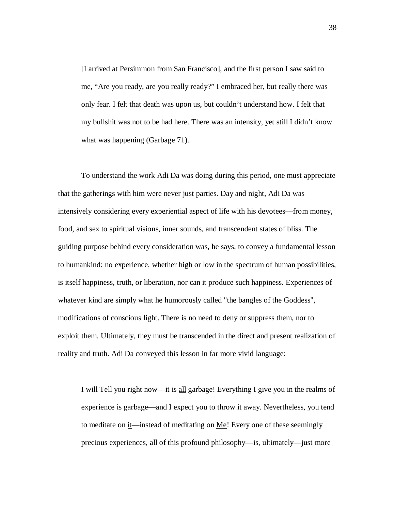[I arrived at Persimmon from San Francisco], and the first person I saw said to me, "Are you ready, are you really ready?" I embraced her, but really there was only fear. I felt that death was upon us, but couldn't understand how. I felt that my bullshit was not to be had here. There was an intensity, yet still I didn't know what was happening (Garbage 71).

To understand the work Adi Da was doing during this period, one must appreciate that the gatherings with him were never just parties. Day and night, Adi Da was intensively considering every experiential aspect of life with his devotees—from money, food, and sex to spiritual visions, inner sounds, and transcendent states of bliss. The guiding purpose behind every consideration was, he says, to convey a fundamental lesson to humankind: no experience, whether high or low in the spectrum of human possibilities, is itself happiness, truth, or liberation, nor can it produce such happiness. Experiences of whatever kind are simply what he humorously called "the bangles of the Goddess", modifications of conscious light. There is no need to deny or suppress them, nor to exploit them. Ultimately, they must be transcended in the direct and present realization of reality and truth. Adi Da conveyed this lesson in far more vivid language:

I will Tell you right now—it is all garbage! Everything I give you in the realms of experience is garbage—and I expect you to throw it away. Nevertheless, you tend to meditate on  $\underline{i}$ —instead of meditating on  $\underline{Me}$ ! Every one of these seemingly precious experiences, all of this profound philosophy—is, ultimately—just more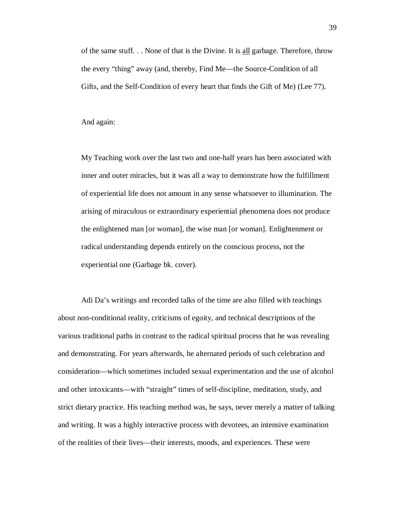of the same stuff. . . None of that is the Divine. It is all garbage. Therefore, throw the every "thing" away (and, thereby, Find Me—the Source-Condition of all Gifts, and the Self-Condition of every heart that finds the Gift of Me) (Lee 77).

And again:

My Teaching work over the last two and one-half years has been associated with inner and outer miracles, but it was all a way to demonstrate how the fulfillment of experiential life does not amount in any sense whatsoever to illumination. The arising of miraculous or extraordinary experiential phenomena does not produce the enlightened man [or woman], the wise man [or woman]. Enlightenment or radical understanding depends entirely on the conscious process, not the experiential one (Garbage bk. cover).

Adi Da's writings and recorded talks of the time are also filled with teachings about non-conditional reality, criticisms of egoity, and technical descriptions of the various traditional paths in contrast to the radical spiritual process that he was revealing and demonstrating. For years afterwards, he alternated periods of such celebration and consideration—which sometimes included sexual experimentation and the use of alcohol and other intoxicants—with "straight" times of self-discipline, meditation, study, and strict dietary practice. His teaching method was, he says, never merely a matter of talking and writing. It was a highly interactive process with devotees, an intensive examination of the realities of their lives—their interests, moods, and experiences. These were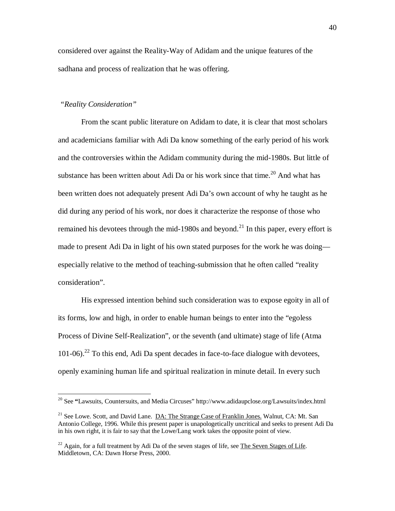considered over against the Reality-Way of Adidam and the unique features of the sadhana and process of realization that he was offering.

# *"Reality Consideration"*

 $\overline{a}$ 

From the scant public literature on Adidam to date, it is clear that most scholars and academicians familiar with Adi Da know something of the early period of his work and the controversies within the Adidam community during the mid-1980s. But little of substance has been written about Adi Da or his work since that time.<sup>20</sup> And what has been written does not adequately present Adi Da's own account of why he taught as he did during any period of his work, nor does it characterize the response of those who remained his devotees through the mid-1980s and beyond.<sup>21</sup> In this paper, every effort is made to present Adi Da in light of his own stated purposes for the work he was doing especially relative to the method of teaching-submission that he often called "reality consideration".

His expressed intention behind such consideration was to expose egoity in all of its forms, low and high, in order to enable human beings to enter into the "egoless Process of Divine Self-Realization", or the seventh (and ultimate) stage of life (Atma  $101-06$ ).<sup>22</sup> To this end, Adi Da spent decades in face-to-face dialogue with devotees, openly examining human life and spiritual realization in minute detail. In every such

<sup>20</sup> See **"**Lawsuits, Countersuits, and Media Circuses" <http://www.adidaupclose.org/Lawsuits/index.html>

<sup>&</sup>lt;sup>21</sup> See Lowe. Scott, and David Lane. DA: The Strange Case of Franklin Jones. Walnut, CA: Mt. San Antonio College, 1996. While this present paper is unapologetically uncritical and seeks to present Adi Da in his own right, it is fair to say that the Lowe/Lang work takes the opposite point of view.

 $^{22}$  Again, for a full treatment by Adi Da of the seven stages of life, see The Seven Stages of Life. Middletown, CA: Dawn Horse Press, 2000.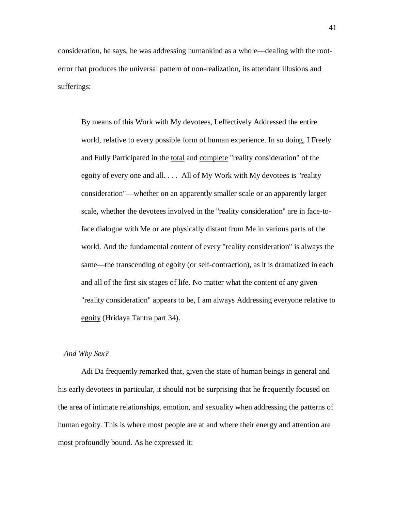consideration, he says, he was addressing humankind as a whole—dealing with the rooterror that produces the universal pattern of non-realization, its attendant illusions and sufferings:

By means of this Work with My devotees, I effectively Addressed the entire world, relative to every possible form of human experience. In so doing, I Freely and Fully Participated in the total and complete "reality consideration" of the egoity of every one and all.  $\ldots$  All of My Work with My devotees is "reality" consideration"—whether on an apparently smaller scale or an apparently larger scale, whether the devotees involved in the "reality consideration" are in face-toface dialogue with Me or are physically distant from Me in various parts of the world. And the fundamental content of every "reality consideration" is always the same—the transcending of egoity (or self-contraction), as it is dramatized in each and all of the first six stages of life. No matter what the content of any given "reality consideration" appears to be, I am always Addressing everyone relative to egoity (Hridaya Tantra part 34).

#### *And Why Sex?*

Adi Da frequently remarked that, given the state of human beings in general and his early devotees in particular, it should not be surprising that he frequently focused on the area of intimate relationships, emotion, and sexuality when addressing the patterns of human egoity. This is where most people are at and where their energy and attention are most profoundly bound. As he expressed it: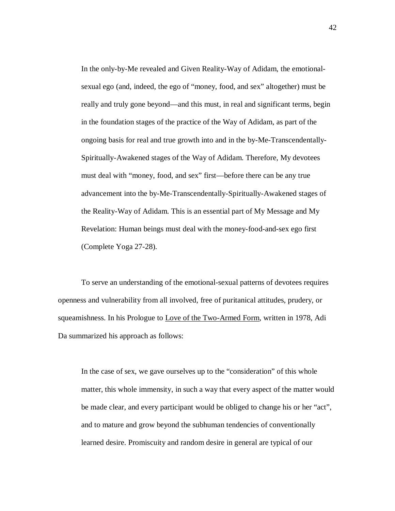In the only-by-Me revealed and Given Reality-Way of Adidam, the emotionalsexual ego (and, indeed, the ego of "money, food, and sex" altogether) must be really and truly gone beyond—and this must, in real and significant terms, begin in the foundation stages of the practice of the Way of Adidam, as part of the ongoing basis for real and true growth into and in the by-Me-Transcendentally-Spiritually-Awakened stages of the Way of Adidam. Therefore, My devotees must deal with "money, food, and sex" first—before there can be any true advancement into the by-Me-Transcendentally-Spiritually-Awakened stages of the Reality-Way of Adidam. This is an essential part of My Message and My Revelation: Human beings must deal with the money-food-and-sex ego first (Complete Yoga 27-28).

To serve an understanding of the emotional-sexual patterns of devotees requires openness and vulnerability from all involved, free of puritanical attitudes, prudery, or squeamishness. In his Prologue to Love of the Two-Armed Form, written in 1978, Adi Da summarized his approach as follows:

In the case of sex, we gave ourselves up to the "consideration" of this whole matter, this whole immensity, in such a way that every aspect of the matter would be made clear, and every participant would be obliged to change his or her "act", and to mature and grow beyond the subhuman tendencies of conventionally learned desire. Promiscuity and random desire in general are typical of our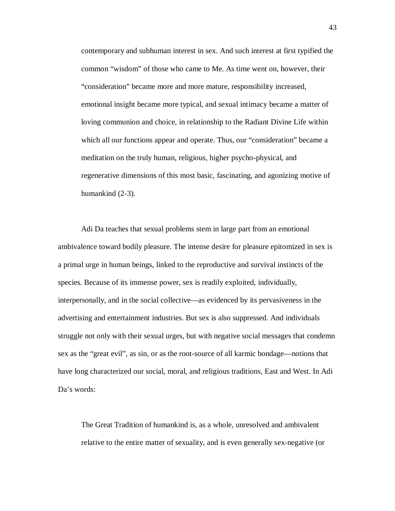contemporary and subhuman interest in sex. And such interest at first typified the common "wisdom" of those who came to Me. As time went on, however, their "consideration" became more and more mature, responsibility increased, emotional insight became more typical, and sexual intimacy became a matter of loving communion and choice, in relationship to the Radiant Divine Life within which all our functions appear and operate. Thus, our "consideration" became a meditation on the truly human, religious, higher psycho-physical, and regenerative dimensions of this most basic, fascinating, and agonizing motive of humankind (2-3).

Adi Da teaches that sexual problems stem in large part from an emotional ambivalence toward bodily pleasure. The intense desire for pleasure epitomized in sex is a primal urge in human beings, linked to the reproductive and survival instincts of the species. Because of its immense power, sex is readily exploited, individually, interpersonally, and in the social collective—as evidenced by its pervasiveness in the advertising and entertainment industries. But sex is also suppressed. And individuals struggle not only with their sexual urges, but with negative social messages that condemn sex as the "great evil", as sin, or as the root-source of all karmic bondage—notions that have long characterized our social, moral, and religious traditions, East and West. In Adi Da's words:

The Great Tradition of humankind is, as a whole, unresolved and ambivalent relative to the entire matter of sexuality, and is even generally sex-negative (or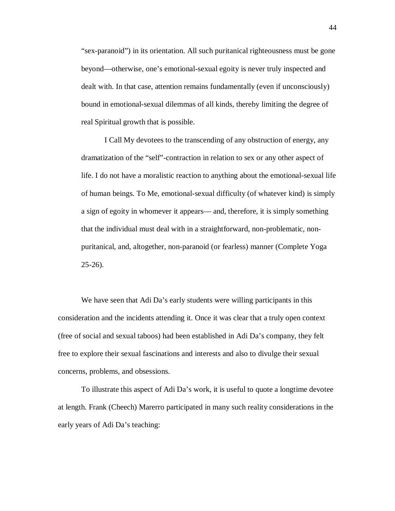"sex-paranoid") in its orientation. All such puritanical righteousness must be gone beyond—otherwise, one's emotional-sexual egoity is never truly inspected and dealt with. In that case, attention remains fundamentally (even if unconsciously) bound in emotional-sexual dilemmas of all kinds, thereby limiting the degree of real Spiritual growth that is possible.

I Call My devotees to the transcending of any obstruction of energy, any dramatization of the "self"-contraction in relation to sex or any other aspect of life. I do not have a moralistic reaction to anything about the emotional-sexual life of human beings. To Me, emotional-sexual difficulty (of whatever kind) is simply a sign of egoity in whomever it appears— and, therefore, it is simply something that the individual must deal with in a straightforward, non-problematic, nonpuritanical, and, altogether, non-paranoid (or fearless) manner (Complete Yoga  $25-26$ ).

We have seen that Adi Da's early students were willing participants in this consideration and the incidents attending it. Once it was clear that a truly open context (free of social and sexual taboos) had been established in Adi Da's company, they felt free to explore their sexual fascinations and interests and also to divulge their sexual concerns, problems, and obsessions.

To illustrate this aspect of Adi Da's work, it is useful to quote a longtime devotee at length. Frank (Cheech) Marerro participated in many such reality considerations in the early years of Adi Da's teaching: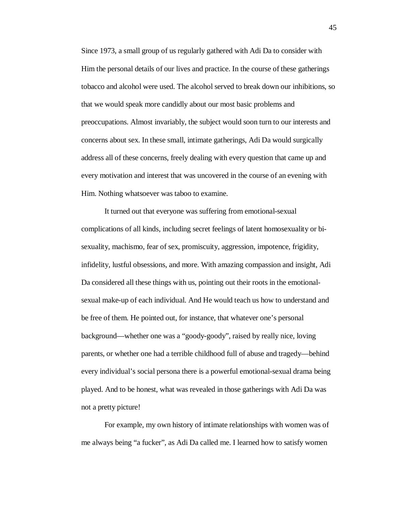Since 1973, a small group of us regularly gathered with Adi Da to consider with Him the personal details of our lives and practice. In the course of these gatherings tobacco and alcohol were used. The alcohol served to break down our inhibitions, so that we would speak more candidly about our most basic problems and preoccupations. Almost invariably, the subject would soon turn to our interests and concerns about sex. In these small, intimate gatherings, Adi Da would surgically address all of these concerns, freely dealing with every question that came up and every motivation and interest that was uncovered in the course of an evening with Him. Nothing whatsoever was taboo to examine.

It turned out that everyone was suffering from emotional-sexual complications of all kinds, including secret feelings of latent homosexuality or bisexuality, machismo, fear of sex, promiscuity, aggression, impotence, frigidity, infidelity, lustful obsessions, and more. With amazing compassion and insight, Adi Da considered all these things with us, pointing out their roots in the emotionalsexual make-up of each individual. And He would teach us how to understand and be free of them. He pointed out, for instance, that whatever one's personal background—whether one was a "goody-goody", raised by really nice, loving parents, or whether one had a terrible childhood full of abuse and tragedy—behind every individual's social persona there is a powerful emotional-sexual drama being played. And to be honest, what was revealed in those gatherings with Adi Da was not a pretty picture!

For example, my own history of intimate relationships with women was of me always being "a fucker", as Adi Da called me. I learned how to satisfy women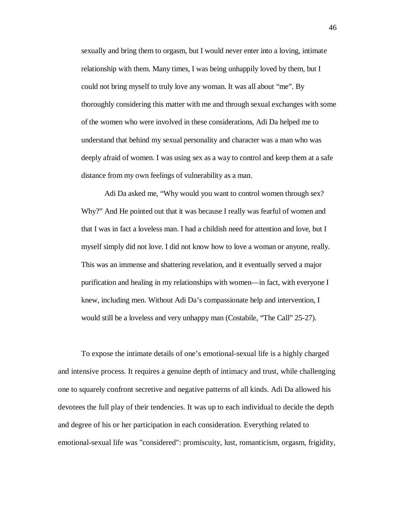sexually and bring them to orgasm, but I would never enter into a loving, intimate relationship with them. Many times, I was being unhappily loved by them, but I could not bring myself to truly love any woman. It was all about "me". By thoroughly considering this matter with me and through sexual exchanges with some of the women who were involved in these considerations, Adi Da helped me to understand that behind my sexual personality and character was a man who was deeply afraid of women. I was using sex as a way to control and keep them at a safe distance from my own feelings of vulnerability as a man.

Adi Da asked me, "Why would you want to control women through sex? Why?" And He pointed out that it was because I really was fearful of women and that I was in fact a loveless man. I had a childish need for attention and love, but I myself simply did not love. I did not know how to love a woman or anyone, really. This was an immense and shattering revelation, and it eventually served a major purification and healing in my relationships with women—in fact, with everyone I knew, including men. Without Adi Da's compassionate help and intervention, I would still be a loveless and very unhappy man (Costabile, "The Call" 25-27).

To expose the intimate details of one's emotional-sexual life is a highly charged and intensive process. It requires a genuine depth of intimacy and trust, while challenging one to squarely confront secretive and negative patterns of all kinds. Adi Da allowed his devotees the full play of their tendencies. It was up to each individual to decide the depth and degree of his or her participation in each consideration. Everything related to emotional-sexual life was "considered": promiscuity, lust, romanticism, orgasm, frigidity,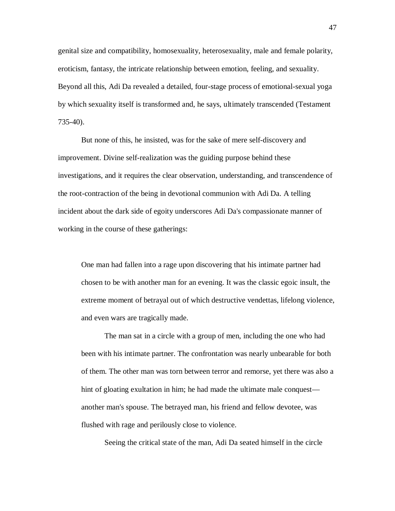genital size and compatibility, homosexuality, heterosexuality, male and female polarity, eroticism, fantasy, the intricate relationship between emotion, feeling, and sexuality. Beyond all this, Adi Da revealed a detailed, four-stage process of emotional-sexual yoga by which sexuality itself is transformed and, he says, ultimately transcended (Testament 735-40).

But none of this, he insisted, was for the sake of mere self-discovery and improvement. Divine self-realization was the guiding purpose behind these investigations, and it requires the clear observation, understanding, and transcendence of the root-contraction of the being in devotional communion with Adi Da. A telling incident about the dark side of egoity underscores Adi Da's compassionate manner of working in the course of these gatherings:

One man had fallen into a rage upon discovering that his intimate partner had chosen to be with another man for an evening. It was the classic egoic insult, the extreme moment of betrayal out of which destructive vendettas, lifelong violence, and even wars are tragically made.

The man sat in a circle with a group of men, including the one who had been with his intimate partner. The confrontation was nearly unbearable for both of them. The other man was torn between terror and remorse, yet there was also a hint of gloating exultation in him; he had made the ultimate male conquest another man's spouse. The betrayed man, his friend and fellow devotee, was flushed with rage and perilously close to violence.

Seeing the critical state of the man, Adi Da seated himself in the circle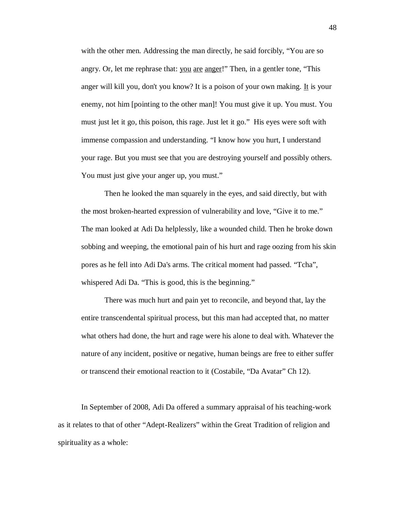with the other men. Addressing the man directly, he said forcibly, "You are so angry. Or, let me rephrase that: you are anger!" Then, in a gentler tone, "This anger will kill you, don't you know? It is a poison of your own making. It is your enemy, not him [pointing to the other man]! You must give it up. You must. You must just let it go, this poison, this rage. Just let it go." His eyes were soft with immense compassion and understanding. "I know how you hurt, I understand your rage. But you must see that you are destroying yourself and possibly others. You must just give your anger up, you must."

Then he looked the man squarely in the eyes, and said directly, but with the most broken-hearted expression of vulnerability and love, "Give it to me." The man looked at Adi Da helplessly, like a wounded child. Then he broke down sobbing and weeping, the emotional pain of his hurt and rage oozing from his skin pores as he fell into Adi Da's arms. The critical moment had passed. "Tcha", whispered Adi Da. "This is good, this is the beginning."

There was much hurt and pain yet to reconcile, and beyond that, lay the entire transcendental spiritual process, but this man had accepted that, no matter what others had done, the hurt and rage were his alone to deal with. Whatever the nature of any incident, positive or negative, human beings are free to either suffer or transcend their emotional reaction to it (Costabile, "Da Avatar" Ch 12).

In September of 2008, Adi Da offered a summary appraisal of his teaching-work as it relates to that of other "Adept-Realizers" within the Great Tradition of religion and spirituality as a whole: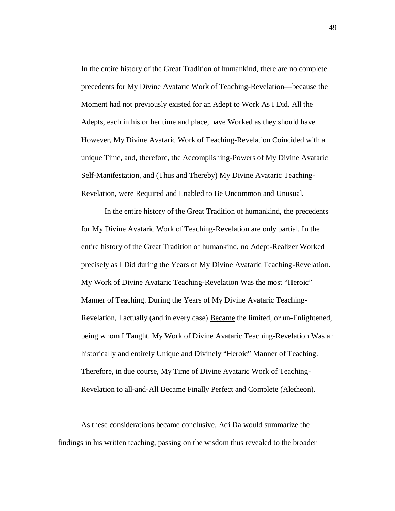In the entire history of the Great Tradition of humankind, there are no complete precedents for My Divine Avataric Work of Teaching-Revelation—because the Moment had not previously existed for an Adept to Work As I Did. All the Adepts, each in his or her time and place, have Worked as they should have. However, My Divine Avataric Work of Teaching-Revelation Coincided with a unique Time, and, therefore, the Accomplishing-Powers of My Divine Avataric Self-Manifestation, and (Thus and Thereby) My Divine Avataric Teaching-Revelation, were Required and Enabled to Be Uncommon and Unusual.

In the entire history of the Great Tradition of humankind, the precedents for My Divine Avataric Work of Teaching-Revelation are only partial. In the entire history of the Great Tradition of humankind, no Adept-Realizer Worked precisely as I Did during the Years of My Divine Avataric Teaching-Revelation. My Work of Divine Avataric Teaching-Revelation Was the most "Heroic" Manner of Teaching. During the Years of My Divine Avataric Teaching-Revelation, I actually (and in every case) Became the limited, or un-Enlightened, being whom I Taught. My Work of Divine Avataric Teaching-Revelation Was an historically and entirely Unique and Divinely "Heroic" Manner of Teaching. Therefore, in due course, My Time of Divine Avataric Work of Teaching-Revelation to all-and-All Became Finally Perfect and Complete (Aletheon).

As these considerations became conclusive, Adi Da would summarize the findings in his written teaching, passing on the wisdom thus revealed to the broader 49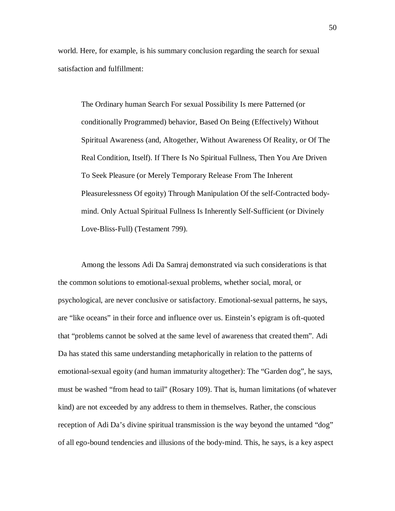world. Here, for example, is his summary conclusion regarding the search for sexual satisfaction and fulfillment:

The Ordinary human Search For sexual Possibility Is mere Patterned (or conditionally Programmed) behavior, Based On Being (Effectively) Without Spiritual Awareness (and, Altogether, Without Awareness Of Reality, or Of The Real Condition, Itself). If There Is No Spiritual Fullness, Then You Are Driven To Seek Pleasure (or Merely Temporary Release From The Inherent Pleasurelessness Of egoity) Through Manipulation Of the self-Contracted bodymind. Only Actual Spiritual Fullness Is Inherently Self-Sufficient (or Divinely Love-Bliss-Full) (Testament 799).

Among the lessons Adi Da Samraj demonstrated via such considerations is that the common solutions to emotional-sexual problems, whether social, moral, or psychological, are never conclusive or satisfactory. Emotional-sexual patterns, he says, are "like oceans" in their force and influence over us. Einstein's epigram is oft-quoted that "problems cannot be solved at the same level of awareness that created them". Adi Da has stated this same understanding metaphorically in relation to the patterns of emotional-sexual egoity (and human immaturity altogether): The "Garden dog", he says, must be washed "from head to tail" (Rosary 109). That is, human limitations (of whatever kind) are not exceeded by any address to them in themselves. Rather, the conscious reception of Adi Da's divine spiritual transmission is the way beyond the untamed "dog" of all ego-bound tendencies and illusions of the body-mind. This, he says, is a key aspect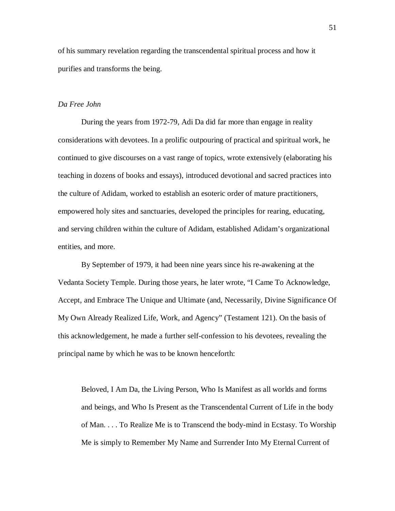of his summary revelation regarding the transcendental spiritual process and how it purifies and transforms the being.

#### *Da Free John*

During the years from 1972-79, Adi Da did far more than engage in reality considerations with devotees. In a prolific outpouring of practical and spiritual work, he continued to give discourses on a vast range of topics, wrote extensively (elaborating his teaching in dozens of books and essays), introduced devotional and sacred practices into the culture of Adidam, worked to establish an esoteric order of mature practitioners, empowered holy sites and sanctuaries, developed the principles for rearing, educating, and serving children within the culture of Adidam, established Adidam's organizational entities, and more.

By September of 1979, it had been nine years since his re-awakening at the Vedanta Society Temple. During those years, he later wrote, "I Came To Acknowledge, Accept, and Embrace The Unique and Ultimate (and, Necessarily, Divine Significance Of My Own Already Realized Life, Work, and Agency" (Testament 121). On the basis of this acknowledgement, he made a further self-confession to his devotees, revealing the principal name by which he was to be known henceforth:

Beloved, I Am Da, the Living Person, Who Is Manifest as all worlds and forms and beings, and Who Is Present as the Transcendental Current of Life in the body of Man. . . . To Realize Me is to Transcend the body-mind in Ecstasy. To Worship Me is simply to Remember My Name and Surrender Into My Eternal Current of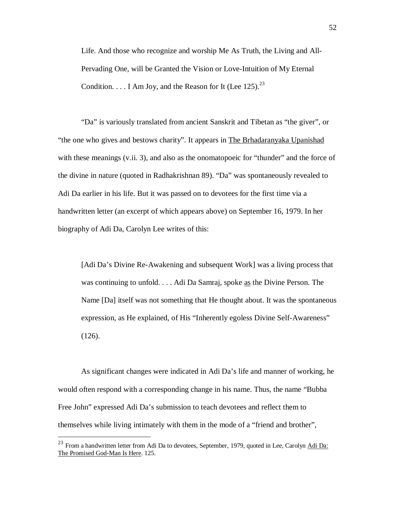Life. And those who recognize and worship Me As Truth, the Living and All-Pervading One, will be Granted the Vision or Love-Intuition of My Eternal Condition.  $\ldots$  I Am Jov, and the Reason for It (Lee 125).<sup>23</sup>

"Da" is variously translated from ancient Sanskrit and Tibetan as "the giver", or "the one who gives and bestows charity". It appears in The Brhadaranyaka Upanishad with these meanings (v.ii. 3), and also as the onomatopoeic for "thunder" and the force of the divine in nature (quoted in Radhakrishnan 89). "Da" was spontaneously revealed to Adi Da earlier in his life. But it was passed on to devotees for the first time via a handwritten letter (an excerpt of which appears above) on September 16, 1979. In her biography of Adi Da, Carolyn Lee writes of this:

[Adi Da's Divine Re-Awakening and subsequent Work] was a living process that was continuing to unfold. . . . Adi Da Samraj, spoke as the Divine Person. The Name [Da] itself was not something that He thought about. It was the spontaneous expression, as He explained, of His "Inherently egoless Divine Self-Awareness" (126).

As significant changes were indicated in Adi Da's life and manner of working, he would often respond with a corresponding change in his name. Thus, the name "Bubba Free John" expressed Adi Da's submission to teach devotees and reflect them to themselves while living intimately with them in the mode of a "friend and brother",

 $\overline{a}$ 

<sup>&</sup>lt;sup>23</sup> From a handwritten letter from Adi Da to devotees, September, 1979, quoted in Lee, Carolyn Adi Da: The Promised God-Man Is Here. 125.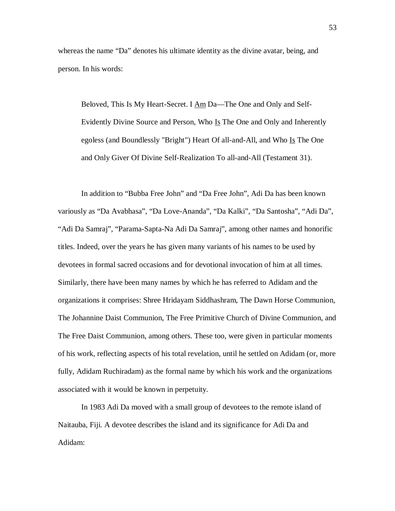whereas the name "Da" denotes his ultimate identity as the divine avatar, being, and person. In his words:

Beloved, This Is My Heart-Secret. I Am Da—The One and Only and Self-Evidently Divine Source and Person, Who Is The One and Only and Inherently egoless (and Boundlessly "Bright") Heart Of all-and-All, and Who Is The One and Only Giver Of Divine Self-Realization To all-and-All (Testament 31).

In addition to "Bubba Free John" and "Da Free John", Adi Da has been known variously as "Da Avabhasa", "Da Love-Ananda", "Da Kalki", "Da Santosha", "Adi Da", "Adi Da Samraj", "Parama-Sapta-Na Adi Da Samraj", among other names and honorific titles. Indeed, over the years he has given many variants of his names to be used by devotees in formal sacred occasions and for devotional invocation of him at all times. Similarly, there have been many names by which he has referred to Adidam and the organizations it comprises: Shree Hridayam Siddhashram, The Dawn Horse Communion, The Johannine Daist Communion, The Free Primitive Church of Divine Communion, and The Free Daist Communion, among others. These too, were given in particular moments of his work, reflecting aspects of his total revelation, until he settled on Adidam (or, more fully, Adidam Ruchiradam) as the formal name by which his work and the organizations associated with it would be known in perpetuity.

In 1983 Adi Da moved with a small group of devotees to the remote island of Naitauba, Fiji. A devotee describes the island and its significance for Adi Da and Adidam:

53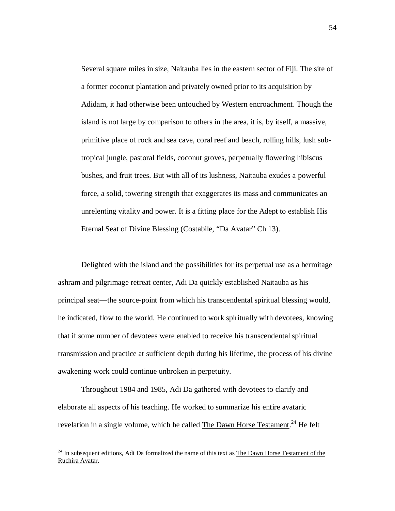Several square miles in size, Naitauba lies in the eastern sector of Fiji. The site of a former coconut plantation and privately owned prior to its acquisition by Adidam, it had otherwise been untouched by Western encroachment. Though the island is not large by comparison to others in the area, it is, by itself, a massive, primitive place of rock and sea cave, coral reef and beach, rolling hills, lush subtropical jungle, pastoral fields, coconut groves, perpetually flowering hibiscus bushes, and fruit trees. But with all of its lushness, Naitauba exudes a powerful force, a solid, towering strength that exaggerates its mass and communicates an unrelenting vitality and power. It is a fitting place for the Adept to establish His Eternal Seat of Divine Blessing (Costabile, "Da Avatar" Ch 13).

Delighted with the island and the possibilities for its perpetual use as a hermitage ashram and pilgrimage retreat center, Adi Da quickly established Naitauba as his principal seat—the source-point from which his transcendental spiritual blessing would, he indicated, flow to the world. He continued to work spiritually with devotees, knowing that if some number of devotees were enabled to receive his transcendental spiritual transmission and practice at sufficient depth during his lifetime, the process of his divine awakening work could continue unbroken in perpetuity.

Throughout 1984 and 1985, Adi Da gathered with devotees to clarify and elaborate all aspects of his teaching. He worked to summarize his entire avataric revelation in a single volume, which he called The Dawn Horse Testament.<sup>24</sup> He felt

 $\overline{a}$ 

<sup>&</sup>lt;sup>24</sup> In subsequent editions, Adi Da formalized the name of this text as The Dawn Horse Testament of the Ruchira Avatar.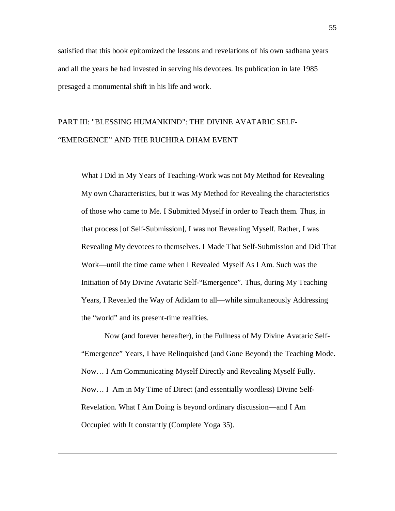satisfied that this book epitomized the lessons and revelations of his own sadhana years and all the years he had invested in serving his devotees. Its publication in late 1985 presaged a monumental shift in his life and work.

# PART III: "BLESSING HUMANKIND": THE DIVINE AVATARIC SELF- "EMERGENCE" AND THE RUCHIRA DHAM EVENT

What I Did in My Years of Teaching-Work was not My Method for Revealing My own Characteristics, but it was My Method for Revealing the characteristics of those who came to Me. I Submitted Myself in order to Teach them. Thus, in that process [of Self-Submission], I was not Revealing Myself. Rather, I was Revealing My devotees to themselves. I Made That Self-Submission and Did That Work—until the time came when I Revealed Myself As I Am. Such was the Initiation of My Divine Avataric Self-"Emergence". Thus, during My Teaching Years, I Revealed the Way of Adidam to all—while simultaneously Addressing the "world" and its present-time realities.

Now (and forever hereafter), in the Fullness of My Divine Avataric Self- "Emergence" Years, I have Relinquished (and Gone Beyond) the Teaching Mode. Now… I Am Communicating Myself Directly and Revealing Myself Fully. Now… I Am in My Time of Direct (and essentially wordless) Divine Self-Revelation. What I Am Doing is beyond ordinary discussion—and I Am Occupied with It constantly (Complete Yoga 35).

 $\ddot{ }$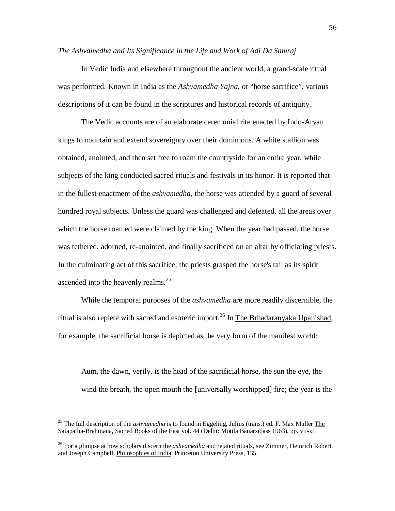*The Ashvamedha and Its Significance in the Life and Work of Adi Da Samraj*

In Vedic India and elsewhere throughout the ancient world, a grand-scale ritual was performed. Known in India as the *Ashvamedha Yajna*, or "horse sacrifice", various descriptions of it can be found in the scriptures and historical records of antiquity.

The Vedic accounts are of an elaborate ceremonial rite enacted by Indo-Aryan kings to maintain and extend sovereignty over their dominions. A white stallion was obtained, anointed, and then set free to roam the countryside for an entire year, while subjects of the king conducted sacred rituals and festivals in its honor. It is reported that in the fullest enactment of the *ashvamedha*, the horse was attended by a guard of several hundred royal subjects. Unless the guard was challenged and defeated, all the areas over which the horse roamed were claimed by the king. When the year had passed, the horse was tethered, adorned, re-anointed, and finally sacrificed on an altar by officiating priests. In the culminating act of this sacrifice, the priests grasped the horse's tail as its spirit ascended into the heavenly realms. $^{25}$ 

While the temporal purposes of the *ashvamedha* are more readily discernible, the ritual is also replete with sacred and esoteric import.<sup>26</sup> In The Brhadaranyaka Upanishad, for example, the sacrificial horse is depicted as the very form of the manifest world:

Aum, the dawn, verily, is the head of the sacrificial horse, the sun the eye, the wind the breath, the open mouth the [universally worshipped] fire; the year is the

 $\overline{a}$ 

<sup>25</sup> The full description of the *ashvamedha* is to found in Eggeling, Julius (trans.) ed. F. Max Muller The Satapatha-Brahmana, Sacred Books of the East vol. 44 (Delhi: Motila Banarsidass 1963), pp. vii-xi

<sup>&</sup>lt;sup>26</sup> For a glimpse at how scholars discern the *ashvamedha* and related rituals, see Zimmer, Heinrich Robert, and Joseph Campbell. Philosophies of India. Princeton University Press, 135.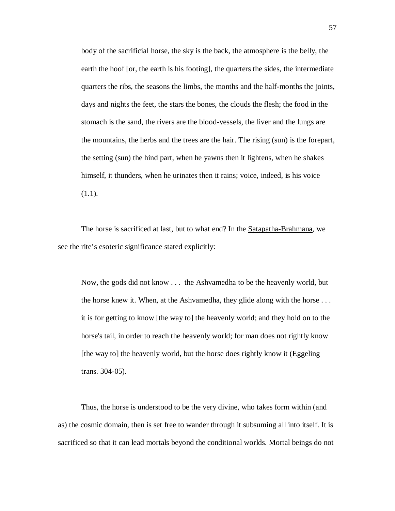body of the sacrificial horse, the sky is the back, the atmosphere is the belly, the earth the hoof [or, the earth is his footing], the quarters the sides, the intermediate quarters the ribs, the seasons the limbs, the months and the half-months the joints, days and nights the feet, the stars the bones, the clouds the flesh; the food in the stomach is the sand, the rivers are the blood-vessels, the liver and the lungs are the mountains, the herbs and the trees are the hair. The rising (sun) is the forepart, the setting (sun) the hind part, when he yawns then it lightens, when he shakes himself, it thunders, when he urinates then it rains; voice, indeed, is his voice  $(1.1).$ 

The horse is sacrificed at last, but to what end? In the Satapatha-Brahmana, we see the rite's esoteric significance stated explicitly:

Now, the gods did not know . . . the Ashvamedha to be the heavenly world, but the horse knew it. When, at the Ashvamedha, they glide along with the horse . . . it is for getting to know [the way to] the heavenly world; and they hold on to the horse's tail, in order to reach the heavenly world; for man does not rightly know [the way to] the heavenly world, but the horse does rightly know it (Eggeling trans. 304-05).

Thus, the horse is understood to be the very divine, who takes form within (and as) the cosmic domain, then is set free to wander through it subsuming all into itself. It is sacrificed so that it can lead mortals beyond the conditional worlds. Mortal beings do not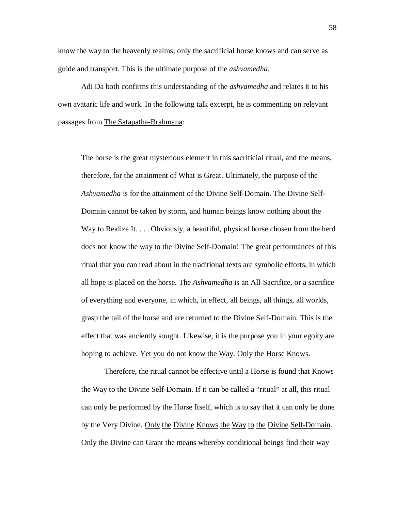know the way to the heavenly realms; only the sacrificial horse knows and can serve as guide and transport. This is the ultimate purpose of the *ashvamedha*.

Adi Da both confirms this understanding of the *ashvamedha* and relates it to his own avataric life and work. In the following talk excerpt, he is commenting on relevant passages from The Satapatha-Brahmana:

The horse is the great mysterious element in this sacrificial ritual, and the means, therefore, for the attainment of What is Great. Ultimately, the purpose of the *Ashvamedha* is for the attainment of the Divine Self-Domain. The Divine Self-Domain cannot be taken by storm, and human beings know nothing about the Way to Realize It. . . . Obviously, a beautiful, physical horse chosen from the herd does not know the way to the Divine Self-Domain! The great performances of this ritual that you can read about in the traditional texts are symbolic efforts, in which all hope is placed on the horse. The *Ashvamedha* is an All-Sacrifice, or a sacrifice of everything and everyone, in which, in effect, all beings, all things, all worlds, grasp the tail of the horse and are returned to the Divine Self-Domain. This is the effect that was anciently sought. Likewise, it is the purpose you in your egoity are hoping to achieve. <u>Yet you do not know the Way. Only the Horse Knows.</u>

Therefore, the ritual cannot be effective until a Horse is found that Knows the Way to the Divine Self-Domain. If it can be called a "ritual" at all, this ritual can only be performed by the Horse Itself, which is to say that it can only be done by the Very Divine. Only the Divine Knows the Way to the Divine Self-Domain. Only the Divine can Grant the means whereby conditional beings find their way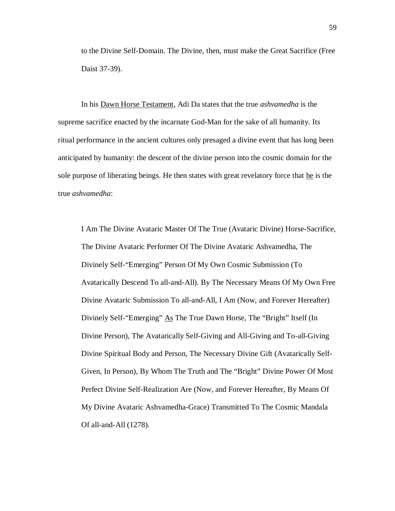to the Divine Self-Domain. The Divine, then, must make the Great Sacrifice (Free Daist 37-39).

In his Dawn Horse Testament, Adi Da states that the true *ashvamedha* is the supreme sacrifice enacted by the incarnate God-Man for the sake of all humanity. Its ritual performance in the ancient cultures only presaged a divine event that has long been anticipated by humanity: the descent of the divine person into the cosmic domain for the sole purpose of liberating beings. He then states with great revelatory force that he is the true *ashvamedha*:

I Am The Divine Avataric Master Of The True (Avataric Divine) Horse-Sacrifice, The Divine Avataric Performer Of The Divine Avataric Ashvamedha, The Divinely Self-"Emerging" Person Of My Own Cosmic Submission (To Avatarically Descend To all-and-All). By The Necessary Means Of My Own Free Divine Avataric Submission To all-and-All, I Am (Now, and Forever Hereafter) Divinely Self-"Emerging" As The True Dawn Horse, The "Bright" Itself (In Divine Person), The Avatarically Self-Giving and All-Giving and To-all-Giving Divine Spiritual Body and Person, The Necessary Divine Gift (Avatarically Self-Given, In Person), By Whom The Truth and The "Bright" Divine Power Of Most Perfect Divine Self-Realization Are (Now, and Forever Hereafter, By Means Of My Divine Avataric Ashvamedha-Grace) Transmitted To The Cosmic Mandala Of all-and-All (1278).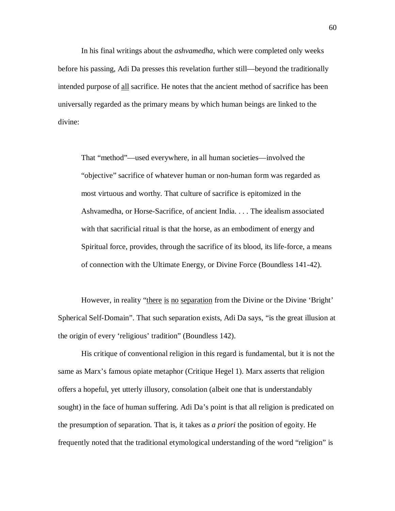In his final writings about the *ashvamedha*, which were completed only weeks before his passing, Adi Da presses this revelation further still—beyond the traditionally intended purpose of all sacrifice. He notes that the ancient method of sacrifice has been universally regarded as the primary means by which human beings are linked to the divine:

That "method"—used everywhere, in all human societies—involved the "objective" sacrifice of whatever human or non-human form was regarded as most virtuous and worthy. That culture of sacrifice is epitomized in the Ashvamedha, or Horse-Sacrifice, of ancient India. . . . The idealism associated with that sacrificial ritual is that the horse, as an embodiment of energy and Spiritual force, provides, through the sacrifice of its blood, its life-force, a means of connection with the Ultimate Energy, or Divine Force (Boundless 141-42).

However, in reality "there is no separation from the Divine or the Divine 'Bright' Spherical Self-Domain". That such separation exists, Adi Da says, "is the great illusion at the origin of every 'religious' tradition" (Boundless 142).

His critique of conventional religion in this regard is fundamental, but it is not the same as Marx's famous opiate metaphor (Critique Hegel 1). Marx asserts that religion offers a hopeful, yet utterly illusory, consolation (albeit one that is understandably sought) in the face of human suffering. Adi Da's point is that all religion is predicated on the presumption of separation. That is, it takes as *a priori* the position of egoity. He frequently noted that the traditional etymological understanding of the word "religion" is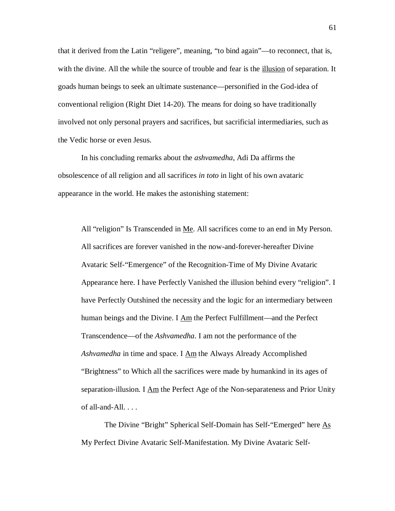that it derived from the Latin "religere", meaning, "to bind again"—to reconnect, that is, with the divine. All the while the source of trouble and fear is the illusion of separation. It goads human beings to seek an ultimate sustenance—personified in the God-idea of conventional religion (Right Diet 14-20). The means for doing so have traditionally involved not only personal prayers and sacrifices, but sacrificial intermediaries, such as the Vedic horse or even Jesus.

In his concluding remarks about the *ashvamedha*, Adi Da affirms the obsolescence of all religion and all sacrifices *in toto* in light of his own avataric appearance in the world. He makes the astonishing statement:

All "religion" Is Transcended in Me. All sacrifices come to an end in My Person. All sacrifices are forever vanished in the now-and-forever-hereafter Divine Avataric Self-"Emergence" of the Recognition-Time of My Divine Avataric Appearance here. I have Perfectly Vanished the illusion behind every "religion". I have Perfectly Outshined the necessity and the logic for an intermediary between human beings and the Divine. I Am the Perfect Fulfillment—and the Perfect Transcendence—of the *Ashvamedha*. I am not the performance of the *Ashvamedha* in time and space. I Am the Always Already Accomplished "Brightness" to Which all the sacrifices were made by humankind in its ages of separation-illusion. I  $\Delta m$  the Perfect Age of the Non-separateness and Prior Unity of all-and- $All. \ldots$ 

The Divine "Bright" Spherical Self-Domain has Self-"Emerged" here As My Perfect Divine Avataric Self-Manifestation. My Divine Avataric Self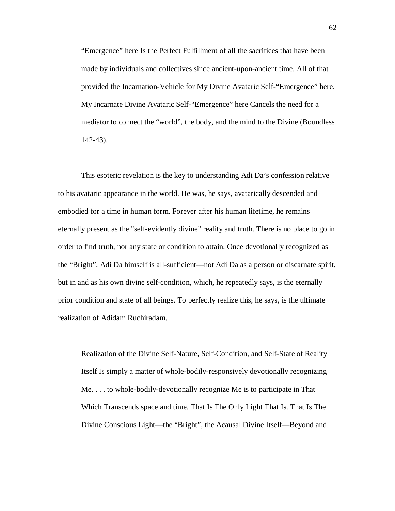"Emergence" here Is the Perfect Fulfillment of all the sacrifices that have been made by individuals and collectives since ancient-upon-ancient time. All of that provided the Incarnation-Vehicle for My Divine Avataric Self-"Emergence" here. My Incarnate Divine Avataric Self-"Emergence" here Cancels the need for a mediator to connect the "world", the body, and the mind to the Divine (Boundless 142-43).

This esoteric revelation is the key to understanding Adi Da's confession relative to his avataric appearance in the world. He was, he says, avatarically descended and embodied for a time in human form. Forever after his human lifetime, he remains eternally present as the "self-evidently divine" reality and truth. There is no place to go in order to find truth, nor any state or condition to attain. Once devotionally recognized as the "Bright", Adi Da himself is all-sufficient—not Adi Da as a person or discarnate spirit, but in and as his own divine self-condition, which, he repeatedly says, is the eternally prior condition and state of all beings. To perfectly realize this, he says, is the ultimate realization of Adidam Ruchiradam.

Realization of the Divine Self-Nature, Self-Condition, and Self-State of Reality Itself Is simply a matter of whole-bodily-responsively devotionally recognizing Me. . . . to whole-bodily-devotionally recognize Me is to participate in That Which Transcends space and time. That  $I_s$  The Only Light That  $I_s$ . That  $I_s$  The Divine Conscious Light—the "Bright", the Acausal Divine Itself—Beyond and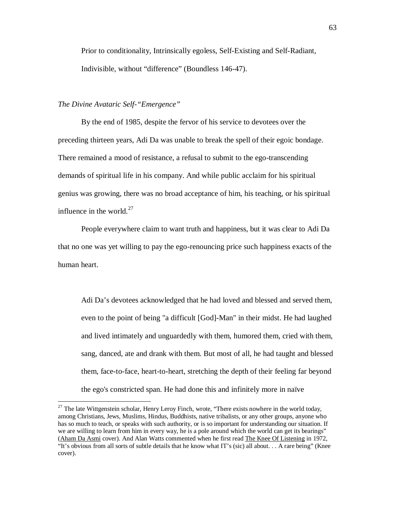Prior to conditionality, Intrinsically egoless, Self-Existing and Self-Radiant, Indivisible, without "difference" (Boundless 146-47).

## *The Divine Avataric Self-"Emergence"*

 $\overline{a}$ 

By the end of 1985, despite the fervor of his service to devotees over the preceding thirteen years, Adi Da was unable to break the spell of their egoic bondage. There remained a mood of resistance, a refusal to submit to the ego-transcending demands of spiritual life in his company. And while public acclaim for his spiritual genius was growing, there was no broad acceptance of him, his teaching, or his spiritual influence in the world. $27$ 

People everywhere claim to want truth and happiness, but it was clear to Adi Da that no one was yet willing to pay the ego-renouncing price such happiness exacts of the human heart.

Adi Da's devotees acknowledged that he had loved and blessed and served them, even to the point of being "a difficult [God]-Man" in their midst. He had laughed and lived intimately and unguardedly with them, humored them, cried with them, sang, danced, ate and drank with them. But most of all, he had taught and blessed them, face-to-face, heart-to-heart, stretching the depth of their feeling far beyond the ego's constricted span. He had done this and infinitely more in naïve

 $27$  The late Wittgenstein scholar, Henry Leroy Finch, wrote, "There exists nowhere in the world today, among Christians, Jews, Muslims, Hindus, Buddhists, native tribalists, or any other groups, anyone who has so much to teach, or speaks with such authority, or is so important for understanding our situation. If we are willing to learn from him in every way, he is a pole around which the world can get its bearings" (Aham Da Asmi cover). And Alan Watts commented when he first read The Knee Of Listening in 1972, "It's obvious from all sorts of subtle details that he know what IT's (sic) all about. . . A rare being" (Knee cover).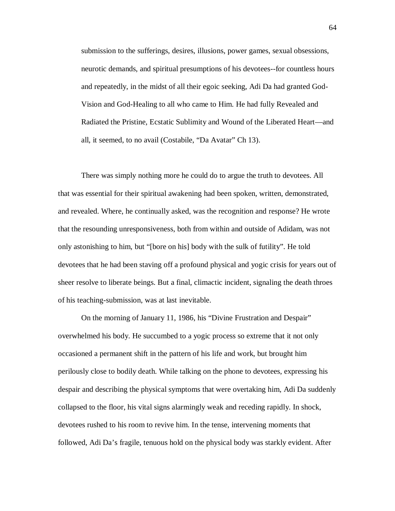submission to the sufferings, desires, illusions, power games, sexual obsessions, neurotic demands, and spiritual presumptions of his devotees--for countless hours and repeatedly, in the midst of all their egoic seeking, Adi Da had granted God-Vision and God-Healing to all who came to Him. He had fully Revealed and Radiated the Pristine, Ecstatic Sublimity and Wound of the Liberated Heart—and all, it seemed, to no avail (Costabile, "Da Avatar" Ch 13).

There was simply nothing more he could do to argue the truth to devotees. All that was essential for their spiritual awakening had been spoken, written, demonstrated, and revealed. Where, he continually asked, was the recognition and response? He wrote that the resounding unresponsiveness, both from within and outside of Adidam, was not only astonishing to him, but "[bore on his] body with the sulk of futility". He told devotees that he had been staving off a profound physical and yogic crisis for years out of sheer resolve to liberate beings. But a final, climactic incident, signaling the death throes of his teaching-submission, was at last inevitable.

On the morning of January 11, 1986, his "Divine Frustration and Despair" overwhelmed his body. He succumbed to a yogic process so extreme that it not only occasioned a permanent shift in the pattern of his life and work, but brought him perilously close to bodily death. While talking on the phone to devotees, expressing his despair and describing the physical symptoms that were overtaking him, Adi Da suddenly collapsed to the floor, his vital signs alarmingly weak and receding rapidly. In shock, devotees rushed to his room to revive him. In the tense, intervening moments that followed, Adi Da's fragile, tenuous hold on the physical body was starkly evident. After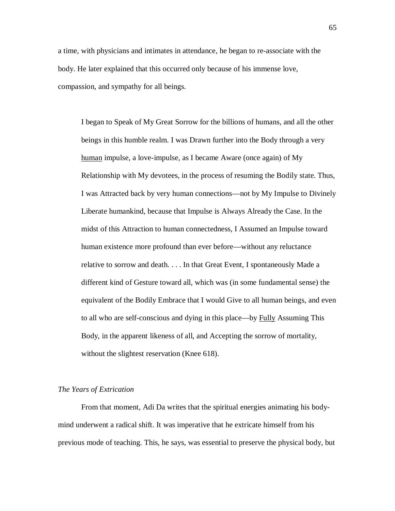a time, with physicians and intimates in attendance, he began to re-associate with the body. He later explained that this occurred only because of his immense love, compassion, and sympathy for all beings.

I began to Speak of My Great Sorrow for the billions of humans, and all the other beings in this humble realm. I was Drawn further into the Body through a very human impulse, a love-impulse, as I became Aware (once again) of My Relationship with My devotees, in the process of resuming the Bodily state. Thus, I was Attracted back by very human connections—not by My Impulse to Divinely Liberate humankind, because that Impulse is Always Already the Case. In the midst of this Attraction to human connectedness, I Assumed an Impulse toward human existence more profound than ever before—without any reluctance relative to sorrow and death. . . . In that Great Event, I spontaneously Made a different kind of Gesture toward all, which was (in some fundamental sense) the equivalent of the Bodily Embrace that I would Give to all human beings, and even to all who are self-conscious and dying in this place—by Fully Assuming This Body, in the apparent likeness of all, and Accepting the sorrow of mortality, without the slightest reservation (Knee 618).

#### *The Years of Extrication*

From that moment, Adi Da writes that the spiritual energies animating his bodymind underwent a radical shift. It was imperative that he extricate himself from his previous mode of teaching. This, he says, was essential to preserve the physical body, but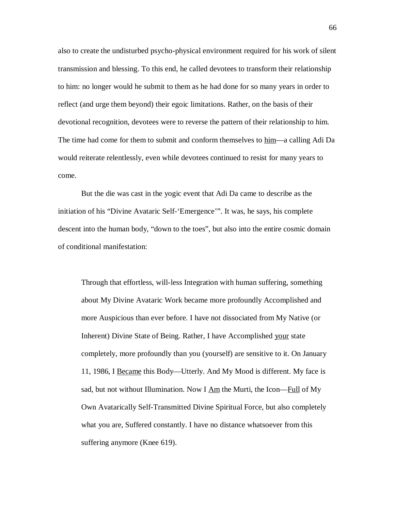also to create the undisturbed psycho-physical environment required for his work of silent transmission and blessing. To this end, he called devotees to transform their relationship to him: no longer would he submit to them as he had done for so many years in order to reflect (and urge them beyond) their egoic limitations. Rather, on the basis of their devotional recognition, devotees were to reverse the pattern of their relationship to him. The time had come for them to submit and conform themselves to him—a calling Adi Da would reiterate relentlessly, even while devotees continued to resist for many years to come.

But the die was cast in the yogic event that Adi Da came to describe as the initiation of his "Divine Avataric Self-'Emergence'". It was, he says, his complete descent into the human body, "down to the toes", but also into the entire cosmic domain of conditional manifestation:

Through that effortless, will-less Integration with human suffering, something about My Divine Avataric Work became more profoundly Accomplished and more Auspicious than ever before. I have not dissociated from My Native (or Inherent) Divine State of Being. Rather, I have Accomplished your state completely, more profoundly than you (yourself) are sensitive to it. On January 11, 1986, I Became this Body—Utterly. And My Mood is different. My face is sad, but not without Illumination. Now I Am the Murti, the Icon—Full of My Own Avatarically Self-Transmitted Divine Spiritual Force, but also completely what you are, Suffered constantly. I have no distance whatsoever from this suffering anymore (Knee 619).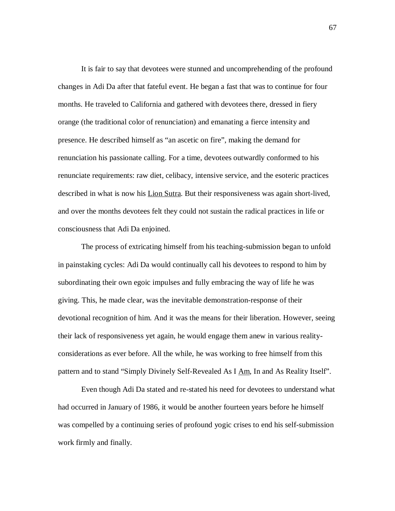It is fair to say that devotees were stunned and uncomprehending of the profound changes in Adi Da after that fateful event. He began a fast that was to continue for four months. He traveled to California and gathered with devotees there, dressed in fiery orange (the traditional color of renunciation) and emanating a fierce intensity and presence. He described himself as "an ascetic on fire", making the demand for renunciation his passionate calling. For a time, devotees outwardly conformed to his renunciate requirements: raw diet, celibacy, intensive service, and the esoteric practices described in what is now his Lion Sutra. But their responsiveness was again short-lived, and over the months devotees felt they could not sustain the radical practices in life or consciousness that Adi Da enjoined.

The process of extricating himself from his teaching-submission began to unfold in painstaking cycles: Adi Da would continually call his devotees to respond to him by subordinating their own egoic impulses and fully embracing the way of life he was giving. This, he made clear, was the inevitable demonstration-response of their devotional recognition of him. And it was the means for their liberation. However, seeing their lack of responsiveness yet again, he would engage them anew in various realityconsiderations as ever before. All the while, he was working to free himself from this pattern and to stand "Simply Divinely Self-Revealed As I Am, In and As Reality Itself".

Even though Adi Da stated and re-stated his need for devotees to understand what had occurred in January of 1986, it would be another fourteen years before he himself was compelled by a continuing series of profound yogic crises to end his self-submission work firmly and finally.

67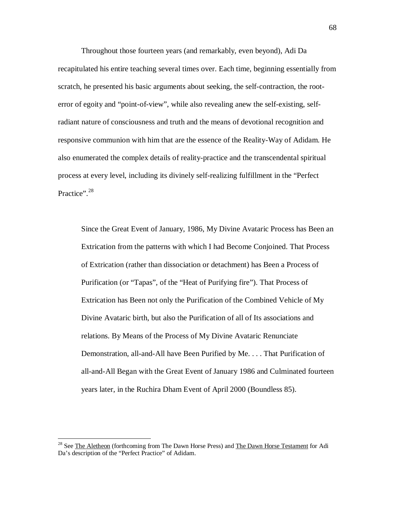Throughout those fourteen years (and remarkably, even beyond), Adi Da recapitulated his entire teaching several times over. Each time, beginning essentially from scratch, he presented his basic arguments about seeking, the self-contraction, the rooterror of egoity and "point-of-view", while also revealing anew the self-existing, selfradiant nature of consciousness and truth and the means of devotional recognition and responsive communion with him that are the essence of the Reality-Way of Adidam. He also enumerated the complex details of reality-practice and the transcendental spiritual process at every level, including its divinely self-realizing fulfillment in the "Perfect Practice".<sup>28</sup>

Since the Great Event of January, 1986, My Divine Avataric Process has Been an Extrication from the patterns with which I had Become Conjoined. That Process of Extrication (rather than dissociation or detachment) has Been a Process of Purification (or "Tapas", of the "Heat of Purifying fire"). That Process of Extrication has Been not only the Purification of the Combined Vehicle of My Divine Avataric birth, but also the Purification of all of Its associations and relations. By Means of the Process of My Divine Avataric Renunciate Demonstration, all-and-All have Been Purified by Me. . . . That Purification of all-and-All Began with the Great Event of January 1986 and Culminated fourteen years later, in the Ruchira Dham Event of April 2000 (Boundless 85).

 $\overline{a}$ 

<sup>&</sup>lt;sup>28</sup> See The Aletheon (forthcoming from The Dawn Horse Press) and The Dawn Horse Testament for Adi Da's description of the "Perfect Practice" of Adidam.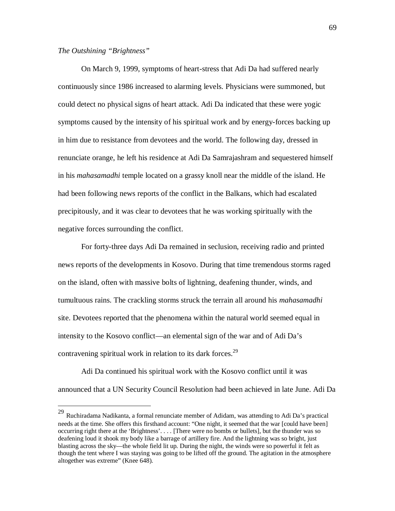# *The Outshining "Brightness"*

 $\overline{a}$ 

On March 9, 1999, symptoms of heart-stress that Adi Da had suffered nearly continuously since 1986 increased to alarming levels. Physicians were summoned, but could detect no physical signs of heart attack. Adi Da indicated that these were yogic symptoms caused by the intensity of his spiritual work and by energy-forces backing up in him due to resistance from devotees and the world. The following day, dressed in renunciate orange, he left his residence at Adi Da Samrajashram and sequestered himself in his *mahasamadhi* temple located on a grassy knoll near the middle of the island. He had been following news reports of the conflict in the Balkans, which had escalated precipitously, and it was clear to devotees that he was working spiritually with the negative forces surrounding the conflict.

For forty-three days Adi Da remained in seclusion, receiving radio and printed news reports of the developments in Kosovo. During that time tremendous storms raged on the island, often with massive bolts of lightning, deafening thunder, winds, and tumultuous rains. The crackling storms struck the terrain all around his *mahasamadhi* site. Devotees reported that the phenomena within the natural world seemed equal in intensity to the Kosovo conflict—an elemental sign of the war and of Adi Da's contravening spiritual work in relation to its dark forces.<sup>29</sup>

Adi Da continued his spiritual work with the Kosovo conflict until it was announced that a UN Security Council Resolution had been achieved in late June. Adi Da

<sup>29</sup> Ruchiradama Nadikanta, a formal renunciate member of Adidam, was attending to Adi Da's practical needs at the time. She offers this firsthand account: "One night, it seemed that the war [could have been] occurring right there at the 'Brightness'. . . . [There were no bombs or bullets], but the thunder was so deafening loud it shook my body like a barrage of artillery fire. And the lightning was so bright, just blasting across the sky—the whole field lit up. During the night, the winds were so powerful it felt as though the tent where I was staying was going to be lifted off the ground. The agitation in the atmosphere altogether was extreme" (Knee 648).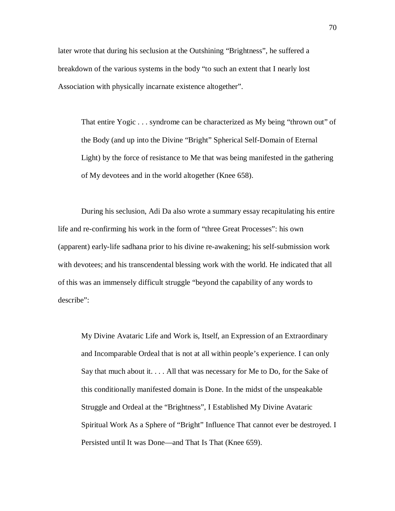later wrote that during his seclusion at the Outshining "Brightness", he suffered a breakdown of the various systems in the body "to such an extent that I nearly lost Association with physically incarnate existence altogether".

That entire Yogic . . . syndrome can be characterized as My being "thrown out" of the Body (and up into the Divine "Bright" Spherical Self-Domain of Eternal Light) by the force of resistance to Me that was being manifested in the gathering of My devotees and in the world altogether (Knee 658).

During his seclusion, Adi Da also wrote a summary essay recapitulating his entire life and re-confirming his work in the form of "three Great Processes": his own (apparent) early-life sadhana prior to his divine re-awakening; his self-submission work with devotees; and his transcendental blessing work with the world. He indicated that all of this was an immensely difficult struggle "beyond the capability of any words to describe":

My Divine Avataric Life and Work is, Itself, an Expression of an Extraordinary and Incomparable Ordeal that is not at all within people's experience. I can only Say that much about it. . . . All that was necessary for Me to Do, for the Sake of this conditionally manifested domain is Done. In the midst of the unspeakable Struggle and Ordeal at the "Brightness", I Established My Divine Avataric Spiritual Work As a Sphere of "Bright" Influence That cannot ever be destroyed. I Persisted until It was Done—and That Is That (Knee 659).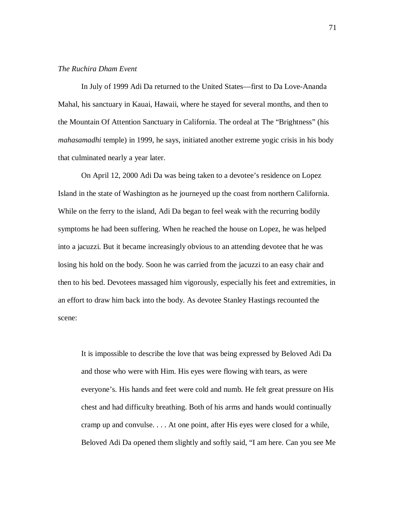## *The Ruchira Dham Event*

In July of 1999 Adi Da returned to the United States—first to Da Love-Ananda Mahal, his sanctuary in Kauai, Hawaii, where he stayed for several months, and then to the Mountain Of Attention Sanctuary in California. The ordeal at The "Brightness" (his *mahasamadhi* temple) in 1999, he says, initiated another extreme yogic crisis in his body that culminated nearly a year later.

On April 12, 2000 Adi Da was being taken to a devotee's residence on Lopez Island in the state of Washington as he journeyed up the coast from northern California. While on the ferry to the island, Adi Da began to feel weak with the recurring bodily symptoms he had been suffering. When he reached the house on Lopez, he was helped into a jacuzzi. But it became increasingly obvious to an attending devotee that he was losing his hold on the body. Soon he was carried from the jacuzzi to an easy chair and then to his bed. Devotees massaged him vigorously, especially his feet and extremities, in an effort to draw him back into the body. As devotee Stanley Hastings recounted the scene:

It is impossible to describe the love that was being expressed by Beloved Adi Da and those who were with Him. His eyes were flowing with tears, as were everyone's. His hands and feet were cold and numb. He felt great pressure on His chest and had difficulty breathing. Both of his arms and hands would continually cramp up and convulse. . . . At one point, after His eyes were closed for a while, Beloved Adi Da opened them slightly and softly said, "I am here. Can you see Me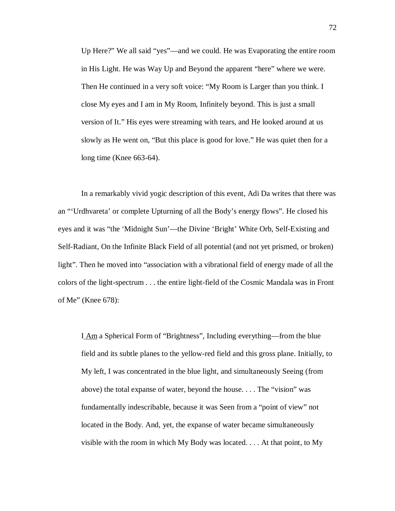Up Here?" We all said "yes"—and we could. He was Evaporating the entire room in His Light. He was Way Up and Beyond the apparent "here" where we were. Then He continued in a very soft voice: "My Room is Larger than you think. I close My eyes and I am in My Room, Infinitely beyond. This is just a small version of It." His eyes were streaming with tears, and He looked around at us slowly as He went on, "But this place is good for love." He was quiet then for a long time (Knee 663-64).

In a remarkably vivid yogic description of this event, Adi Da writes that there was an "'Urdhvareta' or complete Upturning of all the Body's energy flows". He closed his eyes and it was "the 'Midnight Sun'—the Divine 'Bright' White Orb, Self-Existing and Self-Radiant, On the Infinite Black Field of all potential (and not yet prismed, or broken) light". Then he moved into "association with a vibrational field of energy made of all the colors of the light-spectrum . . . the entire light-field of the Cosmic Mandala was in Front of Me" (Knee 678):

I Am a Spherical Form of "Brightness", Including everything—from the blue field and its subtle planes to the yellow-red field and this gross plane. Initially, to My left, I was concentrated in the blue light, and simultaneously Seeing (from above) the total expanse of water, beyond the house. . . . The "vision" was fundamentally indescribable, because it was Seen from a "point of view" not located in the Body. And, yet, the expanse of water became simultaneously visible with the room in which My Body was located. . . . At that point, to My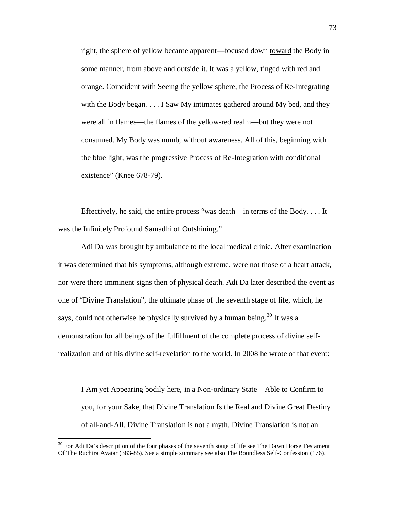right, the sphere of yellow became apparent—focused down toward the Body in some manner, from above and outside it. It was a yellow, tinged with red and orange. Coincident with Seeing the yellow sphere, the Process of Re-Integrating with the Body began. . . . I Saw My intimates gathered around My bed, and they were all in flames—the flames of the yellow-red realm—but they were not consumed. My Body was numb, without awareness. All of this, beginning with the blue light, was the progressive Process of Re-Integration with conditional existence" (Knee 678-79).

Effectively, he said, the entire process "was death—in terms of the Body. . . . It was the Infinitely Profound Samadhi of Outshining."

Adi Da was brought by ambulance to the local medical clinic. After examination it was determined that his symptoms, although extreme, were not those of a heart attack, nor were there imminent signs then of physical death. Adi Da later described the event as one of "Divine Translation", the ultimate phase of the seventh stage of life, which, he says, could not otherwise be physically survived by a human being.<sup>30</sup> It was a demonstration for all beings of the fulfillment of the complete process of divine selfrealization and of his divine self-revelation to the world. In 2008 he wrote of that event:

I Am yet Appearing bodily here, in a Non-ordinary State—Able to Confirm to you, for your Sake, that Divine Translation Is the Real and Divine Great Destiny of all-and-All. Divine Translation is not a myth. Divine Translation is not an

 $30$  For Adi Da's description of the four phases of the seventh stage of life see The Dawn Horse Testament Of The Ruchira Avatar (383-85). See a simple summary see also The Boundless Self-Confession (176).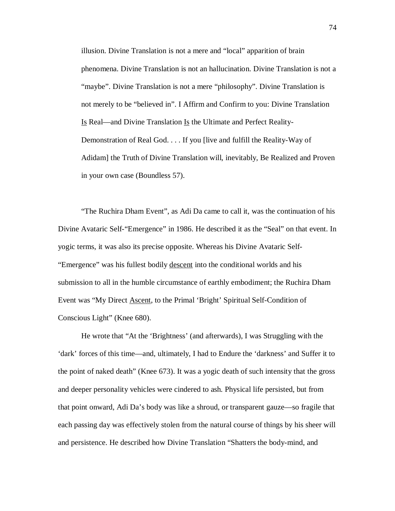illusion. Divine Translation is not a mere and "local" apparition of brain phenomena. Divine Translation is not an hallucination. Divine Translation is not a "maybe". Divine Translation is not a mere "philosophy". Divine Translation is not merely to be "believed in". I Affirm and Confirm to you: Divine Translation Is Real—and Divine Translation Is the Ultimate and Perfect Reality-Demonstration of Real God. . . . If you [live and fulfill the Reality-Way of Adidam] the Truth of Divine Translation will, inevitably, Be Realized and Proven in your own case (Boundless 57).

"The Ruchira Dham Event", as Adi Da came to call it, was the continuation of his Divine Avataric Self-"Emergence" in 1986. He described it as the "Seal" on that event. In yogic terms, it was also its precise opposite. Whereas his Divine Avataric Self- "Emergence" was his fullest bodily descent into the conditional worlds and his submission to all in the humble circumstance of earthly embodiment; the Ruchira Dham Event was "My Direct Ascent, to the Primal 'Bright' Spiritual Self-Condition of Conscious Light" (Knee 680).

He wrote that "At the 'Brightness' (and afterwards), I was Struggling with the 'dark' forces of this time—and, ultimately, I had to Endure the 'darkness' and Suffer it to the point of naked death" (Knee 673). It was a yogic death of such intensity that the gross and deeper personality vehicles were cindered to ash. Physical life persisted, but from that point onward, Adi Da's body was like a shroud, or transparent gauze—so fragile that each passing day was effectively stolen from the natural course of things by his sheer will and persistence. He described how Divine Translation "Shatters the body-mind, and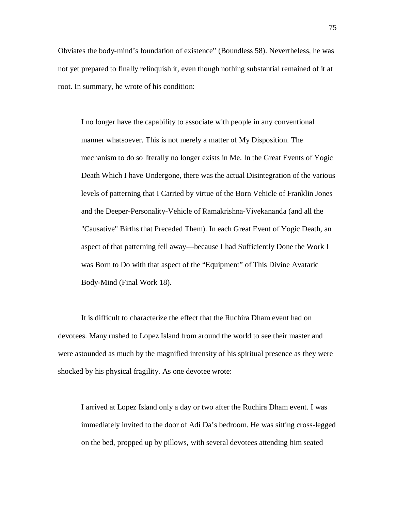Obviates the body-mind's foundation of existence" (Boundless 58). Nevertheless, he was not yet prepared to finally relinquish it, even though nothing substantial remained of it at root. In summary, he wrote of his condition:

I no longer have the capability to associate with people in any conventional manner whatsoever. This is not merely a matter of My Disposition. The mechanism to do so literally no longer exists in Me. In the Great Events of Yogic Death Which I have Undergone, there was the actual Disintegration of the various levels of patterning that I Carried by virtue of the Born Vehicle of Franklin Jones and the Deeper-Personality-Vehicle of Ramakrishna-Vivekananda (and all the "Causative" Births that Preceded Them). In each Great Event of Yogic Death, an aspect of that patterning fell away—because I had Sufficiently Done the Work I was Born to Do with that aspect of the "Equipment" of This Divine Avataric Body-Mind (Final Work 18).

It is difficult to characterize the effect that the Ruchira Dham event had on devotees. Many rushed to Lopez Island from around the world to see their master and were astounded as much by the magnified intensity of his spiritual presence as they were shocked by his physical fragility. As one devotee wrote:

I arrived at Lopez Island only a day or two after the Ruchira Dham event. I was immediately invited to the door of Adi Da's bedroom. He was sitting cross-legged on the bed, propped up by pillows, with several devotees attending him seated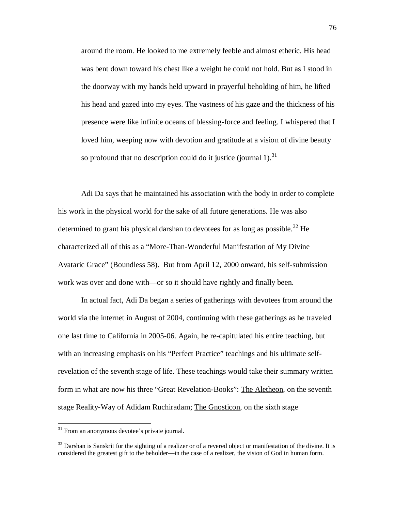around the room. He looked to me extremely feeble and almost etheric. His head was bent down toward his chest like a weight he could not hold. But as I stood in the doorway with my hands held upward in prayerful beholding of him, he lifted his head and gazed into my eyes. The vastness of his gaze and the thickness of his presence were like infinite oceans of blessing-force and feeling. I whispered that I loved him, weeping now with devotion and gratitude at a vision of divine beauty so profound that no description could do it justice (journal 1).<sup>31</sup>

Adi Da says that he maintained his association with the body in order to complete his work in the physical world for the sake of all future generations. He was also determined to grant his physical darshan to devotees for as long as possible.<sup>32</sup> He characterized all of this as a "More-Than-Wonderful Manifestation of My Divine Avataric Grace" (Boundless 58). But from April 12, 2000 onward, his self-submission work was over and done with—or so it should have rightly and finally been.

In actual fact, Adi Da began a series of gatherings with devotees from around the world via the internet in August of 2004, continuing with these gatherings as he traveled one last time to California in 2005-06. Again, he re-capitulated his entire teaching, but with an increasing emphasis on his "Perfect Practice" teachings and his ultimate selfrevelation of the seventh stage of life. These teachings would take their summary written form in what are now his three "Great Revelation-Books": The Aletheon, on the seventh stage Reality-Way of Adidam Ruchiradam; The Gnosticon, on the sixth stage

 $31$  From an anonymous devotee's private journal.

 $32$  Darshan is Sanskrit for the sighting of a realizer or of a revered object or manifestation of the divine. It is considered the greatest gift to the beholder—in the case of a realizer, the vision of God in human form.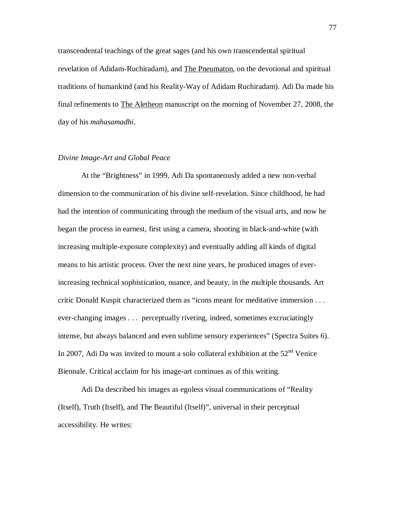transcendental teachings of the great sages (and his own transcendental spiritual revelation of Adidam-Ruchiradam), and The Pneumaton, on the devotional and spiritual traditions of humankind (and his Reality-Way of Adidam Ruchiradam). Adi Da made his final refinements to The Aletheon manuscript on the morning of November 27, 2008, the day of his *mahasamadhi*.

## *Divine Image-Art and Global Peace*

At the "Brightness" in 1999, Adi Da spontaneously added a new non-verbal dimension to the communication of his divine self-revelation. Since childhood, he had had the intention of communicating through the medium of the visual arts, and now he began the process in earnest, first using a camera, shooting in black-and-white (with increasing multiple-exposure complexity) and eventually adding all kinds of digital means to his artistic process. Over the next nine years, he produced images of everincreasing technical sophistication, nuance, and beauty, in the multiple thousands. Art critic Donald Kuspit characterized them as "icons meant for meditative immersion . . . ever-changing images . . . perceptually riveting, indeed, sometimes excruciatingly intense, but always balanced and even sublime sensory experiences" (Spectra Suites 6). In 2007, Adi Da was invited to mount a solo collateral exhibition at the  $52<sup>nd</sup>$  Venice Biennale. Critical acclaim for his image-art continues as of this writing.

Adi Da described his images as egoless visual communications of "Reality (Itself), Truth (Itself), and The Beautiful (Itself)", universal in their perceptual accessibility. He writes: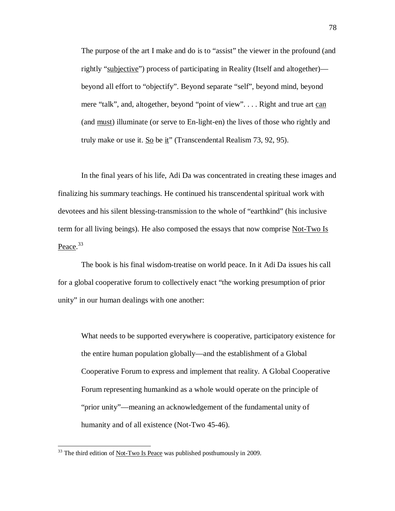The purpose of the art I make and do is to "assist" the viewer in the profound (and rightly "subjective") process of participating in Reality (Itself and altogether) beyond all effort to "objectify". Beyond separate "self", beyond mind, beyond mere "talk", and, altogether, beyond "point of view". . . . Right and true art can (and must) illuminate (or serve to En-light-en) the lives of those who rightly and truly make or use it. So be it" (Transcendental Realism 73, 92, 95).

In the final years of his life, Adi Da was concentrated in creating these images and finalizing his summary teachings. He continued his transcendental spiritual work with devotees and his silent blessing-transmission to the whole of "earthkind" (his inclusive term for all living beings). He also composed the essays that now comprise Not-Two Is Peace.<sup>33</sup>

The book is his final wisdom-treatise on world peace. In it Adi Da issues his call for a global cooperative forum to collectively enact "the working presumption of prior unity" in our human dealings with one another:

What needs to be supported everywhere is cooperative, participatory existence for the entire human population globally—and the establishment of a Global Cooperative Forum to express and implement that reality. A Global Cooperative Forum representing humankind as a whole would operate on the principle of "prior unity"—meaning an acknowledgement of the fundamental unity of humanity and of all existence (Not-Two 45-46).

 $33$  The third edition of <u>Not-Two Is Peace</u> was published posthumously in 2009.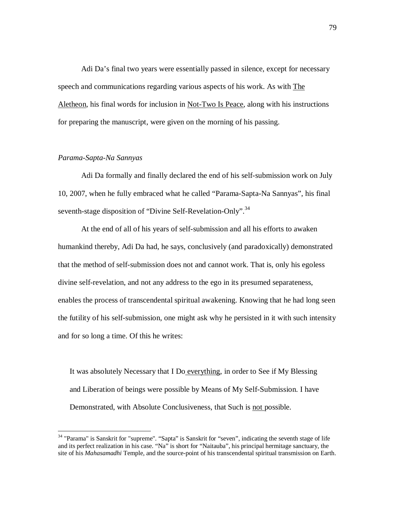Adi Da's final two years were essentially passed in silence, except for necessary speech and communications regarding various aspects of his work. As with The Aletheon, his final words for inclusion in Not-Two Is Peace, along with his instructions for preparing the manuscript, were given on the morning of his passing.

# *Parama-Sapta-Na Sannyas*

 $\overline{a}$ 

Adi Da formally and finally declared the end of his self-submission work on July 10, 2007, when he fully embraced what he called "Parama-Sapta-Na Sannyas", his final seventh-stage disposition of "Divine Self-Revelation-Only".<sup>34</sup>

At the end of all of his years of self-submission and all his efforts to awaken humankind thereby, Adi Da had, he says, conclusively (and paradoxically) demonstrated that the method of self-submission does not and cannot work. That is, only his egoless divine self-revelation, and not any address to the ego in its presumed separateness, enables the process of transcendental spiritual awakening. Knowing that he had long seen the futility of his self-submission, one might ask why he persisted in it with such intensity and for so long a time. Of this he writes:

It was absolutely Necessary that I Do everything, in order to See if My Blessing and Liberation of beings were possible by Means of My Self-Submission. I have Demonstrated, with Absolute Conclusiveness, that Such is not possible.

<sup>&</sup>lt;sup>34</sup> "Parama" is Sanskrit for "supreme". "Sapta" is Sanskrit for "seven", indicating the seventh stage of life and its perfect realization in his case. "Na" is short for "Naitauba", his principal hermitage sanctuary, the site of his *Mahasamadhi* Temple, and the source-point of his transcendental spiritual transmission on Earth.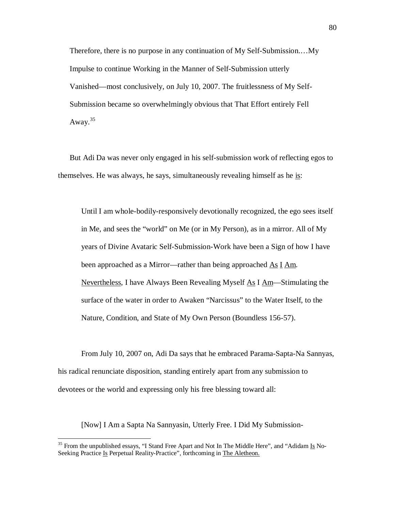Therefore, there is no purpose in any continuation of My Self-Submission.…My Impulse to continue Working in the Manner of Self-Submission utterly Vanished—most conclusively, on July 10, 2007. The fruitlessness of My Self-Submission became so overwhelmingly obvious that That Effort entirely Fell Away. $35$ 

But Adi Da was never only engaged in his self-submission work of reflecting egos to themselves. He was always, he says, simultaneously revealing himself as he is:

Until I am whole-bodily-responsively devotionally recognized, the ego sees itself in Me, and sees the "world" on Me (or in My Person), as in a mirror. All of My years of Divine Avataric Self-Submission-Work have been a Sign of how I have been approached as a Mirror—rather than being approached <u>As I Am</u>. Nevertheless, I have Always Been Revealing Myself  $\Delta s$  I  $\Delta m$ —Stimulating the surface of the water in order to Awaken "Narcissus" to the Water Itself, to the Nature, Condition, and State of My Own Person (Boundless 156-57).

From July 10, 2007 on, Adi Da says that he embraced Parama-Sapta-Na Sannyas, his radical renunciate disposition, standing entirely apart from any submission to devotees or the world and expressing only his free blessing toward all:

[Now] I Am a Sapta Na Sannyasin, Utterly Free. I Did My Submission-

<sup>&</sup>lt;sup>35</sup> From the unpublished essays, "I Stand Free Apart and Not In The Middle Here", and "Adidam Is No-Seeking Practice Is Perpetual Reality-Practice", forthcoming in The Aletheon.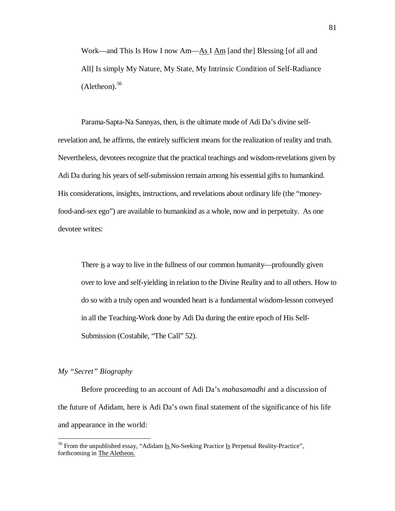Work—and This Is How I now Am—As I Am [and the] Blessing [of all and All] Is simply My Nature, My State, My Intrinsic Condition of Self-Radiance  $(Alethen).$ <sup>36</sup>

Parama-Sapta-Na Sannyas, then, is the ultimate mode of Adi Da's divine selfrevelation and, he affirms, the entirely sufficient means for the realization of reality and truth. Nevertheless, devotees recognize that the practical teachings and wisdom-revelations given by Adi Da during his years of self-submission remain among his essential gifts to humankind. His considerations, insights, instructions, and revelations about ordinary life (the "moneyfood-and-sex ego") are available to humankind as a whole, now and in perpetuity. As one devotee writes:

There is a way to live in the fullness of our common humanity—profoundly given over to love and self-yielding in relation to the Divine Reality and to all others. How to do so with a truly open and wounded heart is a fundamental wisdom-lesson conveyed in all the Teaching-Work done by Adi Da during the entire epoch of His Self-Submission (Costabile, "The Call" 52).

### *My "Secret" Biography*

 $\overline{a}$ 

Before proceeding to an account of Adi Da's *mahasamadhi* and a discussion of the future of Adidam, here is Adi Da's own final statement of the significance of his life and appearance in the world:

<sup>&</sup>lt;sup>36</sup> From the unpublished essay, "Adidam  $\underline{Is}$  No-Seeking Practice  $\underline{Is}$  Perpetual Reality-Practice", forthcoming in The Aletheon.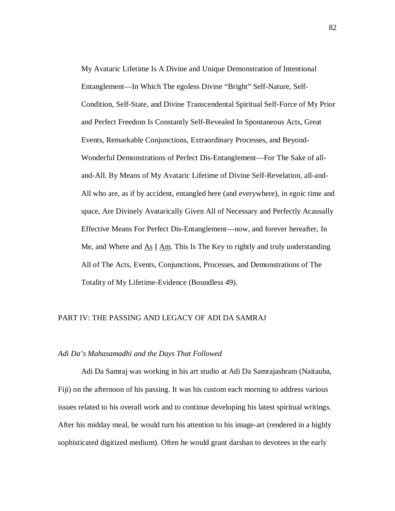My Avataric Lifetime Is A Divine and Unique Demonstration of Intentional Entanglement—In Which The egoless Divine "Bright" Self-Nature, Self-Condition, Self-State, and Divine Transcendental Spiritual Self-Force of My Prior and Perfect Freedom Is Constantly Self-Revealed In Spontaneous Acts, Great Events, Remarkable Conjunctions, Extraordinary Processes, and Beyond-Wonderful Demonstrations of Perfect Dis-Entanglement—For The Sake of alland-All. By Means of My Avataric Lifetime of Divine Self-Revelation, all-and-All who are, as if by accident, entangled here (and everywhere), in egoic time and space, Are Divinely Avatarically Given All of Necessary and Perfectly Acausally Effective Means For Perfect Dis-Entanglement—now, and forever hereafter, In Me, and Where and  $\overline{As} \underline{I} \overline{Am}$ . This Is The Key to rightly and truly understanding All of The Acts, Events, Conjunctions, Processes, and Demonstrations of The Totality of My Lifetime-Evidence (Boundless 49).

# PART IV: THE PASSING AND LEGACY OF ADI DA SAMRAJ

### *Adi Da's Mahasamadhi and the Days That Followed*

Adi Da Samraj was working in his art studio at Adi Da Samrajashram (Naitauba, Fiji) on the afternoon of his passing. It was his custom each morning to address various issues related to his overall work and to continue developing his latest spiritual writings. After his midday meal, he would turn his attention to his image-art (rendered in a highly sophisticated digitized medium). Often he would grant darshan to devotees in the early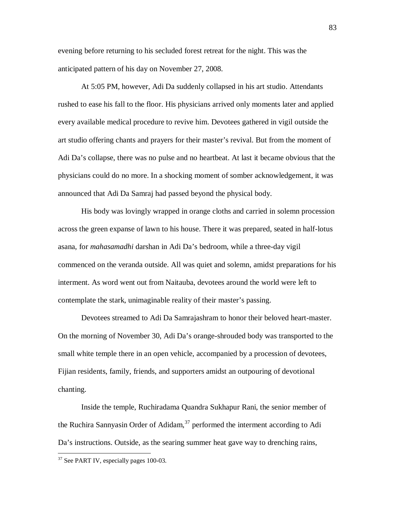evening before returning to his secluded forest retreat for the night. This was the anticipated pattern of his day on November 27, 2008.

At 5:05 PM, however, Adi Da suddenly collapsed in his art studio. Attendants rushed to ease his fall to the floor. His physicians arrived only moments later and applied every available medical procedure to revive him. Devotees gathered in vigil outside the art studio offering chants and prayers for their master's revival. But from the moment of Adi Da's collapse, there was no pulse and no heartbeat. At last it became obvious that the physicians could do no more. In a shocking moment of somber acknowledgement, it was announced that Adi Da Samraj had passed beyond the physical body.

His body was lovingly wrapped in orange cloths and carried in solemn procession across the green expanse of lawn to his house. There it was prepared, seated in half-lotus asana, for *mahasamadhi* darshan in Adi Da's bedroom, while a three-day vigil commenced on the veranda outside. All was quiet and solemn, amidst preparations for his interment. As word went out from Naitauba, devotees around the world were left to contemplate the stark, unimaginable reality of their master's passing.

Devotees streamed to Adi Da Samrajashram to honor their beloved heart-master. On the morning of November 30, Adi Da's orange-shrouded body was transported to the small white temple there in an open vehicle, accompanied by a procession of devotees, Fijian residents, family, friends, and supporters amidst an outpouring of devotional chanting.

Inside the temple, Ruchiradama Quandra Sukhapur Rani, the senior member of the Ruchira Sannyasin Order of Adidam,  $37$  performed the interment according to Adi Da's instructions. Outside, as the searing summer heat gave way to drenching rains,

<sup>&</sup>lt;sup>37</sup> See PART IV, especially pages 100-03.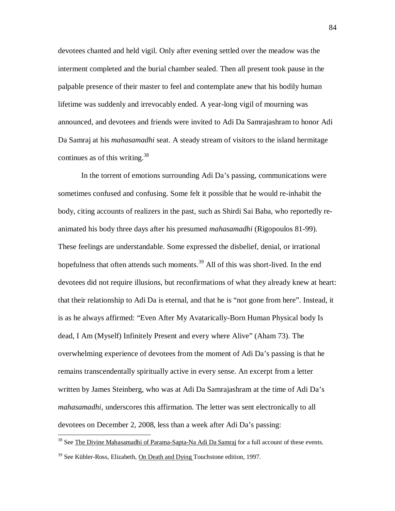devotees chanted and held vigil. Only after evening settled over the meadow was the interment completed and the burial chamber sealed. Then all present took pause in the palpable presence of their master to feel and contemplate anew that his bodily human lifetime was suddenly and irrevocably ended. A year-long vigil of mourning was announced, and devotees and friends were invited to Adi Da Samrajashram to honor Adi Da Samraj at his *mahasamadhi* seat. A steady stream of visitors to the island hermitage continues as of this writing. $38$ 

In the torrent of emotions surrounding Adi Da's passing, communications were sometimes confused and confusing. Some felt it possible that he would re-inhabit the body, citing accounts of realizers in the past, such as Shirdi Sai Baba, who reportedly reanimated his body three days after his presumed *mahasamadhi* (Rigopoulos 81-99). These feelings are understandable. Some expressed the disbelief, denial, or irrational hopefulness that often attends such moments.<sup>39</sup> All of this was short-lived. In the end devotees did not require illusions, but reconfirmations of what they already knew at heart: that their relationship to Adi Da is eternal, and that he is "not gone from here". Instead, it is as he always affirmed: "Even After My Avatarically-Born Human Physical body Is dead, I Am (Myself) Infinitely Present and every where Alive" (Aham 73). The overwhelming experience of devotees from the moment of Adi Da's passing is that he remains transcendentally spiritually active in every sense. An excerpt from a letter written by James Steinberg, who was at Adi Da Samrajashram at the time of Adi Da's *mahasamadhi*, underscores this affirmation. The letter was sent electronically to all devotees on December 2, 2008, less than a week after Adi Da's passing:

<sup>&</sup>lt;sup>38</sup> See The Divine Mahasamadhi of Parama-Sapta-Na Adi Da Samraj for a full account of these events.

<sup>&</sup>lt;sup>39</sup> See Kübler-Ross, Elizabeth, On Death and Dying Touchstone edition, 1997.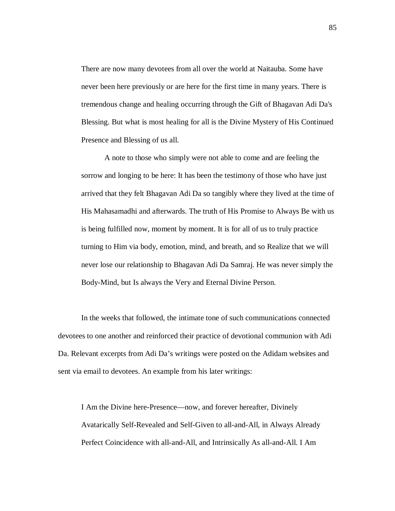There are now many devotees from all over the world at Naitauba. Some have never been here previously or are here for the first time in many years. There is tremendous change and healing occurring through the Gift of Bhagavan Adi Da's Blessing. But what is most healing for all is the Divine Mystery of His Continued Presence and Blessing of us all.

A note to those who simply were not able to come and are feeling the sorrow and longing to be here: It has been the testimony of those who have just arrived that they felt Bhagavan Adi Da so tangibly where they lived at the time of His Mahasamadhi and afterwards. The truth of His Promise to Always Be with us is being fulfilled now, moment by moment. It is for all of us to truly practice turning to Him via body, emotion, mind, and breath, and so Realize that we will never lose our relationship to Bhagavan Adi Da Samraj. He was never simply the Body-Mind, but Is always the Very and Eternal Divine Person.

In the weeks that followed, the intimate tone of such communications connected devotees to one another and reinforced their practice of devotional communion with Adi Da. Relevant excerpts from Adi Da's writings were posted on the Adidam websites and sent via email to devotees. An example from his later writings:

I Am the Divine here-Presence—now, and forever hereafter, Divinely Avatarically Self-Revealed and Self-Given to all-and-All, in Always Already Perfect Coincidence with all-and-All, and Intrinsically As all-and-All. I Am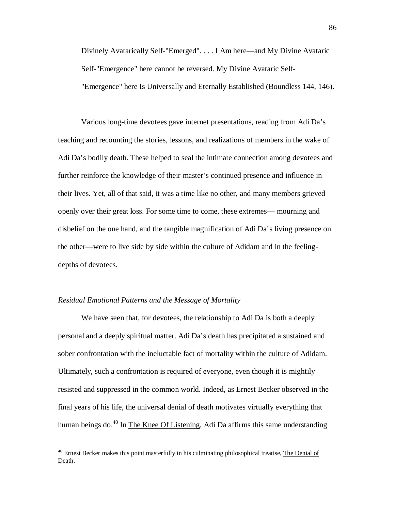Divinely Avatarically Self-"Emerged". . . . I Am here—and My Divine Avataric Self-"Emergence" here cannot be reversed. My Divine Avataric Self- "Emergence" here Is Universally and Eternally Established (Boundless 144, 146).

Various long-time devotees gave internet presentations, reading from Adi Da's teaching and recounting the stories, lessons, and realizations of members in the wake of Adi Da's bodily death. These helped to seal the intimate connection among devotees and further reinforce the knowledge of their master's continued presence and influence in their lives. Yet, all of that said, it was a time like no other, and many members grieved openly over their great loss. For some time to come, these extremes— mourning and disbelief on the one hand, and the tangible magnification of Adi Da's living presence on the other—were to live side by side within the culture of Adidam and in the feelingdepths of devotees.

### *Residual Emotional Patterns and the Message of Mortality*

 $\overline{a}$ 

We have seen that, for devotees, the relationship to Adi Da is both a deeply personal and a deeply spiritual matter. Adi Da's death has precipitated a sustained and sober confrontation with the ineluctable fact of mortality within the culture of Adidam. Ultimately, such a confrontation is required of everyone, even though it is mightily resisted and suppressed in the common world. Indeed, as Ernest Becker observed in the final years of his life, the universal denial of death motivates virtually everything that human beings do.<sup>40</sup> In The Knee Of Listening, Adi Da affirms this same understanding

<sup>&</sup>lt;sup>40</sup> Ernest Becker makes this point masterfully in his culminating philosophical treatise, The Denial of Death.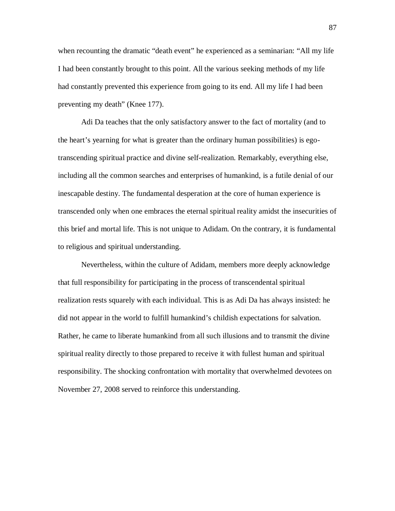when recounting the dramatic "death event" he experienced as a seminarian: "All my life I had been constantly brought to this point. All the various seeking methods of my life had constantly prevented this experience from going to its end. All my life I had been preventing my death" (Knee 177).

Adi Da teaches that the only satisfactory answer to the fact of mortality (and to the heart's yearning for what is greater than the ordinary human possibilities) is egotranscending spiritual practice and divine self-realization. Remarkably, everything else, including all the common searches and enterprises of humankind, is a futile denial of our inescapable destiny. The fundamental desperation at the core of human experience is transcended only when one embraces the eternal spiritual reality amidst the insecurities of this brief and mortal life. This is not unique to Adidam. On the contrary, it is fundamental to religious and spiritual understanding.

Nevertheless, within the culture of Adidam, members more deeply acknowledge that full responsibility for participating in the process of transcendental spiritual realization rests squarely with each individual. This is as Adi Da has always insisted: he did not appear in the world to fulfill humankind's childish expectations for salvation. Rather, he came to liberate humankind from all such illusions and to transmit the divine spiritual reality directly to those prepared to receive it with fullest human and spiritual responsibility. The shocking confrontation with mortality that overwhelmed devotees on November 27, 2008 served to reinforce this understanding.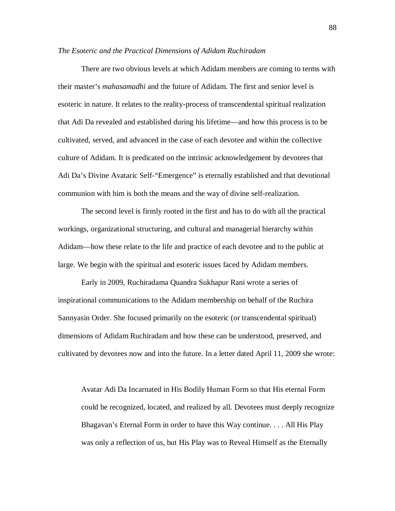#### *The Esoteric and the Practical Dimensions of Adidam Ruchiradam*

There are two obvious levels at which Adidam members are coming to terms with their master's *mahasamadhi* and the future of Adidam. The first and senior level is esoteric in nature. It relates to the reality-process of transcendental spiritual realization that Adi Da revealed and established during his lifetime—and how this process is to be cultivated, served, and advanced in the case of each devotee and within the collective culture of Adidam. It is predicated on the intrinsic acknowledgement by devotees that Adi Da's Divine Avataric Self-"Emergence" is eternally established and that devotional communion with him is both the means and the way of divine self-realization.

The second level is firmly rooted in the first and has to do with all the practical workings, organizational structuring, and cultural and managerial hierarchy within Adidam—how these relate to the life and practice of each devotee and to the public at large. We begin with the spiritual and esoteric issues faced by Adidam members.

Early in 2009, Ruchiradama Quandra Sukhapur Rani wrote a series of inspirational communications to the Adidam membership on behalf of the Ruchira Sannyasin Order. She focused primarily on the esoteric (or transcendental spiritual) dimensions of Adidam Ruchiradam and how these can be understood, preserved, and cultivated by devotees now and into the future. In a letter dated April 11, 2009 she wrote:

Avatar Adi Da Incarnated in His Bodily Human Form so that His eternal Form could be recognized, located, and realized by all. Devotees must deeply recognize Bhagavan's Eternal Form in order to have this Way continue. . . . All His Play was only a reflection of us, but His Play was to Reveal Himself as the Eternally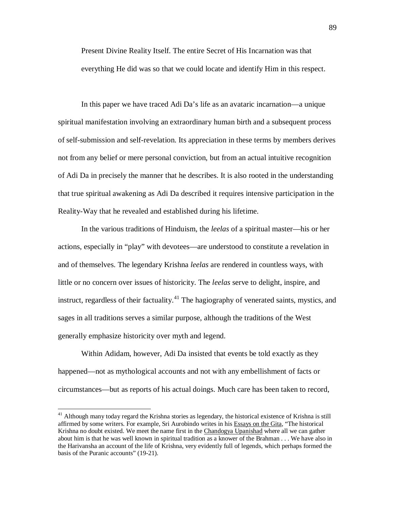Present Divine Reality Itself. The entire Secret of His Incarnation was that everything He did was so that we could locate and identify Him in this respect.

In this paper we have traced Adi Da's life as an avataric incarnation—a unique spiritual manifestation involving an extraordinary human birth and a subsequent process of self-submission and self-revelation. Its appreciation in these terms by members derives not from any belief or mere personal conviction, but from an actual intuitive recognition of Adi Da in precisely the manner that he describes. It is also rooted in the understanding that true spiritual awakening as Adi Da described it requires intensive participation in the Reality-Way that he revealed and established during his lifetime.

In the various traditions of Hinduism, the *leelas* of a spiritual master—his or her actions, especially in "play" with devotees—are understood to constitute a revelation in and of themselves. The legendary Krishna *leelas* are rendered in countless ways, with little or no concern over issues of historicity. The *leelas* serve to delight, inspire, and instruct, regardless of their factuality.<sup>41</sup> The hagiography of venerated saints, mystics, and sages in all traditions serves a similar purpose, although the traditions of the West generally emphasize historicity over myth and legend.

Within Adidam, however, Adi Da insisted that events be told exactly as they happened—not as mythological accounts and not with any embellishment of facts or circumstances—but as reports of his actual doings. Much care has been taken to record,

<sup>&</sup>lt;sup>41</sup> Although many today regard the Krishna stories as legendary, the historical existence of Krishna is still affirmed by some writers. For example, Sri Aurobindo writes in his Essays on the Gita, "The historical Krishna no doubt existed. We meet the name first in the Chandogya Upanishad where all we can gather about him is that he was well known in spiritual tradition as a knower of the Brahman . . . We have also in the Harivansha an account of the life of Krishna, very evidently full of legends, which perhaps formed the basis of the Puranic accounts" (19-21).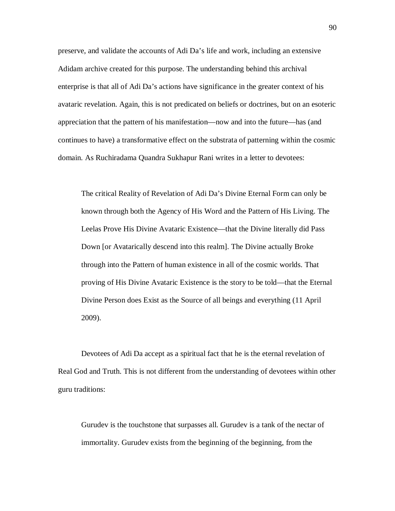preserve, and validate the accounts of Adi Da's life and work, including an extensive Adidam archive created for this purpose. The understanding behind this archival enterprise is that all of Adi Da's actions have significance in the greater context of his avataric revelation. Again, this is not predicated on beliefs or doctrines, but on an esoteric appreciation that the pattern of his manifestation—now and into the future—has (and continues to have) a transformative effect on the substrata of patterning within the cosmic domain. As Ruchiradama Quandra Sukhapur Rani writes in a letter to devotees:

The critical Reality of Revelation of Adi Da's Divine Eternal Form can only be known through both the Agency of His Word and the Pattern of His Living. The Leelas Prove His Divine Avataric Existence—that the Divine literally did Pass Down [or Avatarically descend into this realm]. The Divine actually Broke through into the Pattern of human existence in all of the cosmic worlds. That proving of His Divine Avataric Existence is the story to be told—that the Eternal Divine Person does Exist as the Source of all beings and everything (11 April 2009).

Devotees of Adi Da accept as a spiritual fact that he is the eternal revelation of Real God and Truth. This is not different from the understanding of devotees within other guru traditions:

Gurudev is the touchstone that surpasses all. Gurudev is a tank of the nectar of immortality. Gurudev exists from the beginning of the beginning, from the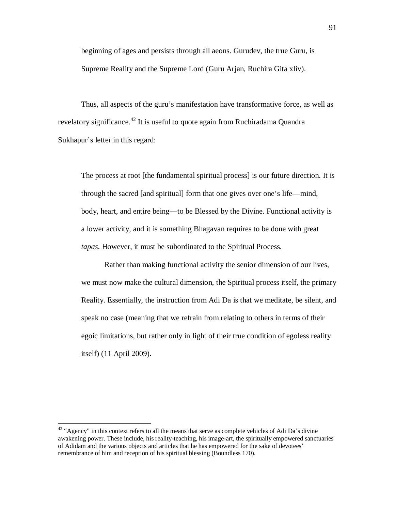beginning of ages and persists through all aeons. Gurudev, the true Guru, is Supreme Reality and the Supreme Lord (Guru Arjan, Ruchira Gita xliv).

Thus, all aspects of the guru's manifestation have transformative force, as well as revelatory significance.<sup>42</sup> It is useful to quote again from Ruchiradama Quandra Sukhapur's letter in this regard:

The process at root [the fundamental spiritual process] is our future direction. It is through the sacred [and spiritual] form that one gives over one's life—mind, body, heart, and entire being—to be Blessed by the Divine. Functional activity is a lower activity, and it is something Bhagavan requires to be done with great *tapas*. However, it must be subordinated to the Spiritual Process.

Rather than making functional activity the senior dimension of our lives, we must now make the cultural dimension, the Spiritual process itself, the primary Reality. Essentially, the instruction from Adi Da is that we meditate, be silent, and speak no case (meaning that we refrain from relating to others in terms of their egoic limitations, but rather only in light of their true condition of egoless reality itself) (11 April 2009).

 $42$  "Agency" in this context refers to all the means that serve as complete vehicles of Adi Da's divine awakening power. These include, his reality-teaching, his image-art, the spiritually empowered sanctuaries of Adidam and the various objects and articles that he has empowered for the sake of devotees' remembrance of him and reception of his spiritual blessing (Boundless 170).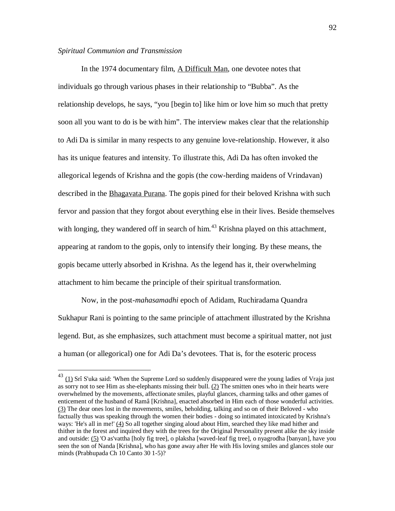### *Spiritual Communion and Transmission*

 $\overline{a}$ 

In the 1974 documentary film, A Difficult Man, one devotee notes that individuals go through various phases in their relationship to "Bubba". As the relationship develops, he says, "you [begin to] like him or love him so much that pretty soon all you want to do is be with him". The interview makes clear that the relationship to Adi Da is similar in many respects to any genuine love-relationship. However, it also has its unique features and intensity. To illustrate this, Adi Da has often invoked the allegorical legends of Krishna and the gopis (the cow-herding maidens of Vrindavan) described in the Bhagavata Purana. The gopis pined for their beloved Krishna with such fervor and passion that they forgot about everything else in their lives. Beside themselves with longing, they wandered off in search of him.<sup>43</sup> Krishna played on this attachment, appearing at random to the gopis, only to intensify their longing. By these means, the gopis became utterly absorbed in Krishna. As the legend has it, their overwhelming attachment to him became the principle of their spiritual transformation.

Now, in the post-*mahasamadhi* epoch of Adidam, Ruchiradama Quandra Sukhapur Rani is pointing to the same principle of attachment illustrated by the Krishna legend. But, as she emphasizes, such attachment must become a spiritual matter, not just a human (or allegorical) one for Adi Da's devotees. That is, for the esoteric process

 $^{43}$  (1) Srî S'uka said: 'When the Supreme Lord so suddenly disappeared were the young ladies of Vraja just as sorry not to see Him as she-elephants missing their bull. (2) The smitten ones who in their hearts were overwhelmed by the movements, affectionate smiles, playful glances, charming talks and other games of enticement of the husband of Ramâ [Krishna], enacted absorbed in Him each of those wonderful activities. (3) The dear ones lost in the movements, smiles, beholding, talking and so on of their Beloved - who factually thus was speaking through the women their bodies - doing so intimated intoxicated by Krishna's ways: 'He's all in me!' (4) So all together singing aloud about Him, searched they like mad hither and thither in the forest and inquired they with the trees for the Original Personality present alike the sky inside and outside: (5) 'O as'vattha [holy fig tree], o plaksha [waved-leaf fig tree], o nyagrodha [banyan], have you seen the son of Nanda [Krishna], who has gone away after He with His loving smiles and glances stole our minds (Prabhupada Ch 10 Canto 30 1-5)?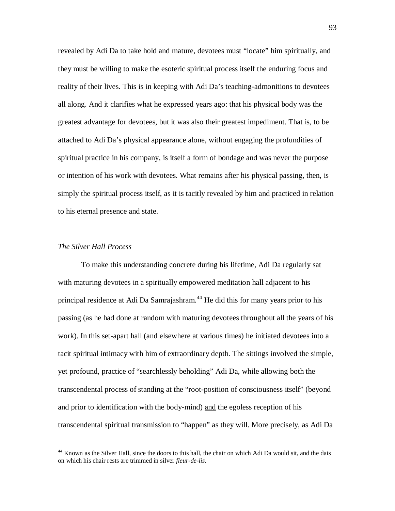revealed by Adi Da to take hold and mature, devotees must "locate" him spiritually, and they must be willing to make the esoteric spiritual process itself the enduring focus and reality of their lives. This is in keeping with Adi Da's teaching-admonitions to devotees all along. And it clarifies what he expressed years ago: that his physical body was the greatest advantage for devotees, but it was also their greatest impediment. That is, to be attached to Adi Da's physical appearance alone, without engaging the profundities of spiritual practice in his company, is itself a form of bondage and was never the purpose or intention of his work with devotees. What remains after his physical passing, then, is simply the spiritual process itself, as it is tacitly revealed by him and practiced in relation to his eternal presence and state.

## *The Silver Hall Process*

 $\overline{a}$ 

To make this understanding concrete during his lifetime, Adi Da regularly sat with maturing devotees in a spiritually empowered meditation hall adjacent to his principal residence at Adi Da Samrajashram.<sup>44</sup> He did this for many years prior to his passing (as he had done at random with maturing devotees throughout all the years of his work). In this set-apart hall (and elsewhere at various times) he initiated devotees into a tacit spiritual intimacy with him of extraordinary depth. The sittings involved the simple, yet profound, practice of "searchlessly beholding" Adi Da, while allowing both the transcendental process of standing at the "root-position of consciousness itself" (beyond and prior to identification with the body-mind) and the egoless reception of his transcendental spiritual transmission to "happen" as they will. More precisely, as Adi Da

<sup>&</sup>lt;sup>44</sup> Known as the Silver Hall, since the doors to this hall, the chair on which Adi Da would sit, and the dais on which his chair rests are trimmed in silver *fleur-de-lis*.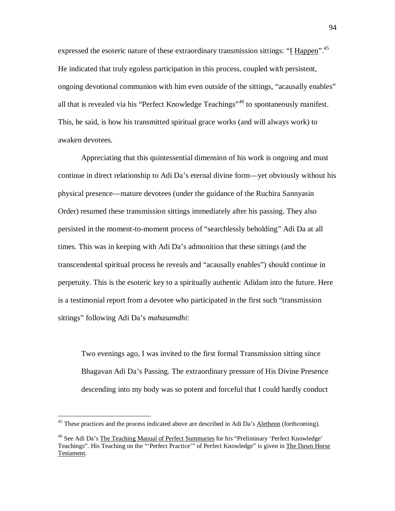expressed the esoteric nature of these extraordinary transmission sittings: "I Happen".<sup>45</sup> He indicated that truly egoless participation in this process, coupled with persistent, ongoing devotional communion with him even outside of the sittings, "acausally enables" all that is revealed via his "Perfect Knowledge Teachings"<sup>46</sup> to spontaneously manifest. This, he said, is how his transmitted spiritual grace works (and will always work) to awaken devotees.

Appreciating that this quintessential dimension of his work is ongoing and must continue in direct relationship to Adi Da's eternal divine form—yet obviously without his physical presence—mature devotees (under the guidance of the Ruchira Sannyasin Order) resumed these transmission sittings immediately after his passing. They also persisted in the moment-to-moment process of "searchlessly beholding" Adi Da at all times. This was in keeping with Adi Da's admonition that these sittings (and the transcendental spiritual process he reveals and "acausally enables") should continue in perpetuity. This is the esoteric key to a spiritually authentic Adidam into the future. Here is a testimonial report from a devotee who participated in the first such "transmission sittings" following Adi Da's *mahasamdhi*:

Two evenings ago, I was invited to the first formal Transmission sitting since Bhagavan Adi Da's Passing. The extraordinary pressure of His Divine Presence descending into my body was so potent and forceful that I could hardly conduct

<sup>&</sup>lt;sup>45</sup> These practices and the process indicated above are described in Adi Da's <u>Aletheon</u> (forthcoming).

<sup>&</sup>lt;sup>46</sup> See Adi Da's The Teaching Manual of Perfect Summaries for his "Preliminary 'Perfect Knowledge' Teachings". His Teaching on the "'Perfect Practice'" of Perfect Knowledge" is given in The Dawn Horse Testament.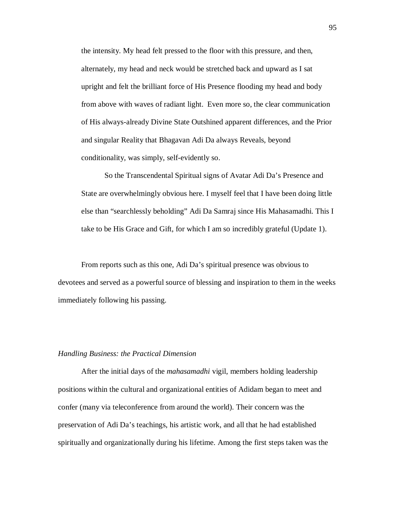the intensity. My head felt pressed to the floor with this pressure, and then, alternately, my head and neck would be stretched back and upward as I sat upright and felt the brilliant force of His Presence flooding my head and body from above with waves of radiant light. Even more so, the clear communication of His always-already Divine State Outshined apparent differences, and the Prior and singular Reality that Bhagavan Adi Da always Reveals, beyond conditionality, was simply, self-evidently so.

So the Transcendental Spiritual signs of Avatar Adi Da's Presence and State are overwhelmingly obvious here. I myself feel that I have been doing little else than "searchlessly beholding" Adi Da Samraj since His Mahasamadhi. This I take to be His Grace and Gift, for which I am so incredibly grateful (Update 1).

From reports such as this one, Adi Da's spiritual presence was obvious to devotees and served as a powerful source of blessing and inspiration to them in the weeks immediately following his passing.

### *Handling Business: the Practical Dimension*

After the initial days of the *mahasamadhi* vigil, members holding leadership positions within the cultural and organizational entities of Adidam began to meet and confer (many via teleconference from around the world). Their concern was the preservation of Adi Da's teachings, his artistic work, and all that he had established spiritually and organizationally during his lifetime. Among the first steps taken was the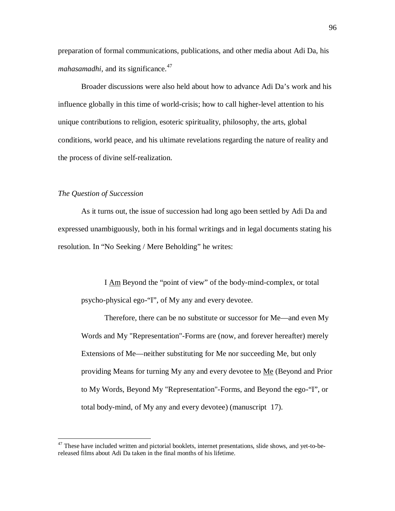preparation of formal communications, publications, and other media about Adi Da, his *mahasamadhi*, and its significance.<sup>47</sup>

Broader discussions were also held about how to advance Adi Da's work and his influence globally in this time of world-crisis; how to call higher-level attention to his unique contributions to religion, esoteric spirituality, philosophy, the arts, global conditions, world peace, and his ultimate revelations regarding the nature of reality and the process of divine self-realization.

# *The Question of Succession*

 $\overline{a}$ 

As it turns out, the issue of succession had long ago been settled by Adi Da and expressed unambiguously, both in his formal writings and in legal documents stating his resolution. In "No Seeking / Mere Beholding" he writes:

I Am Beyond the "point of view" of the body-mind-complex, or total psycho-physical ego-"I", of My any and every devotee.

Therefore, there can be no substitute or successor for Me—and even My Words and My "Representation"-Forms are (now, and forever hereafter) merely Extensions of Me—neither substituting for Me nor succeeding Me, but only providing Means for turning My any and every devotee to <u>Me</u> (Beyond and Prior to My Words, Beyond My "Representation"-Forms, and Beyond the ego-"I", or total body-mind, of My any and every devotee) (manuscript 17).

 $47$  These have included written and pictorial booklets, internet presentations, slide shows, and yet-to-bereleased films about Adi Da taken in the final months of his lifetime.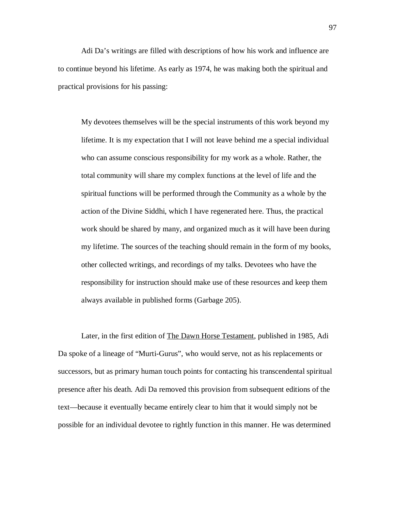Adi Da's writings are filled with descriptions of how his work and influence are to continue beyond his lifetime. As early as 1974, he was making both the spiritual and practical provisions for his passing:

My devotees themselves will be the special instruments of this work beyond my lifetime. It is my expectation that I will not leave behind me a special individual who can assume conscious responsibility for my work as a whole. Rather, the total community will share my complex functions at the level of life and the spiritual functions will be performed through the Community as a whole by the action of the Divine Siddhi, which I have regenerated here. Thus, the practical work should be shared by many, and organized much as it will have been during my lifetime. The sources of the teaching should remain in the form of my books, other collected writings, and recordings of my talks. Devotees who have the responsibility for instruction should make use of these resources and keep them always available in published forms (Garbage 205).

Later, in the first edition of The Dawn Horse Testament, published in 1985, Adi Da spoke of a lineage of "Murti-Gurus", who would serve, not as his replacements or successors, but as primary human touch points for contacting his transcendental spiritual presence after his death. Adi Da removed this provision from subsequent editions of the text—because it eventually became entirely clear to him that it would simply not be possible for an individual devotee to rightly function in this manner. He was determined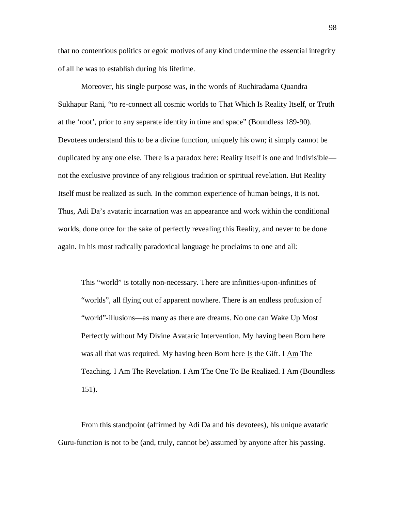that no contentious politics or egoic motives of any kind undermine the essential integrity of all he was to establish during his lifetime.

Moreover, his single purpose was, in the words of Ruchiradama Quandra Sukhapur Rani, "to re-connect all cosmic worlds to That Which Is Reality Itself, or Truth at the 'root', prior to any separate identity in time and space" (Boundless 189-90). Devotees understand this to be a divine function, uniquely his own; it simply cannot be duplicated by any one else. There is a paradox here: Reality Itself is one and indivisible not the exclusive province of any religious tradition or spiritual revelation. But Reality Itself must be realized as such. In the common experience of human beings, it is not. Thus, Adi Da's avataric incarnation was an appearance and work within the conditional worlds, done once for the sake of perfectly revealing this Reality, and never to be done again. In his most radically paradoxical language he proclaims to one and all:

This "world" is totally non-necessary. There are infinities-upon-infinities of "worlds", all flying out of apparent nowhere. There is an endless profusion of "world"-illusions—as many as there are dreams. No one can Wake Up Most Perfectly without My Divine Avataric Intervention. My having been Born here was all that was required. My having been Born here  $I_s$  the Gift. I  $\Delta m$  The Teaching. I  $\overline{Am}$  The Revelation. I  $\overline{Am}$  The One To Be Realized. I  $\overline{Am}$  (Boundless 151).

From this standpoint (affirmed by Adi Da and his devotees), his unique avataric Guru-function is not to be (and, truly, cannot be) assumed by anyone after his passing.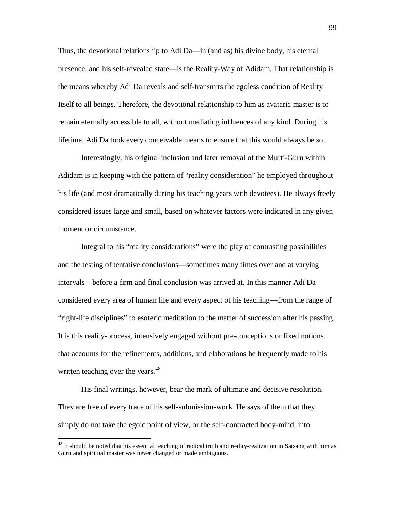Thus, the devotional relationship to Adi Da—in (and as) his divine body, his eternal presence, and his self-revealed state—is the Reality-Way of Adidam. That relationship is the means whereby Adi Da reveals and self-transmits the egoless condition of Reality Itself to all beings. Therefore, the devotional relationship to him as avataric master is to remain eternally accessible to all, without mediating influences of any kind. During his lifetime, Adi Da took every conceivable means to ensure that this would always be so.

Interestingly, his original inclusion and later removal of the Murti-Guru within Adidam is in keeping with the pattern of "reality consideration" he employed throughout his life (and most dramatically during his teaching years with devotees). He always freely considered issues large and small, based on whatever factors were indicated in any given moment or circumstance.

Integral to his "reality considerations" were the play of contrasting possibilities and the testing of tentative conclusions—sometimes many times over and at varying intervals—before a firm and final conclusion was arrived at. In this manner Adi Da considered every area of human life and every aspect of his teaching—from the range of "right-life disciplines" to esoteric meditation to the matter of succession after his passing. It is this reality-process, intensively engaged without pre-conceptions or fixed notions, that accounts for the refinements, additions, and elaborations he frequently made to his written teaching over the years. $48$ 

His final writings, however, bear the mark of ultimate and decisive resolution. They are free of every trace of his self-submission-work. He says of them that they simply do not take the egoic point of view, or the self-contracted body-mind, into

<sup>&</sup>lt;sup>48</sup> It should be noted that his essential teaching of radical truth and reality-realization in Satsang with him as Guru and spiritual master was never changed or made ambiguous.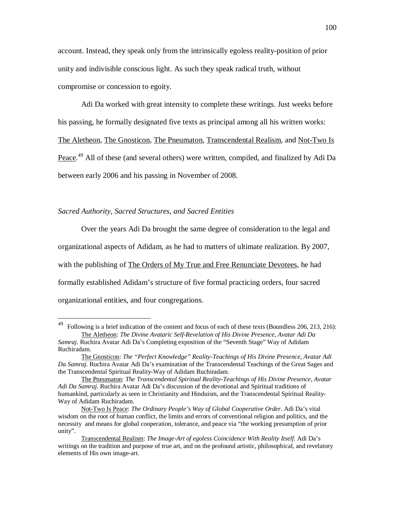account. Instead, they speak only from the intrinsically egoless reality-position of prior unity and indivisible conscious light. As such they speak radical truth, without compromise or concession to egoity.

Adi Da worked with great intensity to complete these writings. Just weeks before his passing, he formally designated five texts as principal among all his written works: The Aletheon, The Gnosticon, The Pneumaton, Transcendental Realism, and Not-Two Is Peace.<sup>49</sup> All of these (and several others) were written, compiled, and finalized by Adi Da between early 2006 and his passing in November of 2008.

### *Sacred Authority, Sacred Structures, and Sacred Entities*

 $\overline{\phantom{a}}$ 

Over the years Adi Da brought the same degree of consideration to the legal and organizational aspects of Adidam, as he had to matters of ultimate realization. By 2007, with the publishing of The Orders of My True and Free Renunciate Devotees, he had formally established Adidam's structure of five formal practicing orders, four sacred organizational entities, and four congregations.

<sup>&</sup>lt;sup>49</sup> Following is a brief indication of the content and focus of each of these texts (Boundless 206, 213, 216): The Aletheon: *The Divine Avataric Self-Revelation of His Divine Presence, Avatar Adi Da* 

*Samraj*. Ruchira Avatar Adi Da's Completing exposition of the "Seventh Stage" Way of Adidam Ruchiradam.

The Gnosticon: *The "Perfect Knowledge" Reality-Teachings of His Divine Presence, Avatar Adi Da Samraj*. Ruchira Avatar Adi Da's examination of the Transcendental Teachings of the Great Sages and the Transcendental Spiritual Reality-Way of Adidam Ruchiradam.

The Pneumaton: *The Transcendental Spiritual Reality-Teachings of His Divine Presence, Avatar Adi Da Samraj*. Ruchira Avatar Adi Da's discussion of the devotional and Spiritual traditions of humankind, particularly as seen in Christianity and Hinduism, and the Transcendental Spiritual Reality-Way of Adidam Ruchiradam.

Not-Two Is Peace: *The Ordinary People's Way of Global Cooperative Order*. Adi Da's vital wisdom on the root of human conflict, the limits and errors of conventional religion and politics, and the necessity and means for global cooperation, tolerance, and peace via "the working presumption of prior unity".

Transcendental Realism: *The Image-Art of egoless Coincidence With Reality Itself*. Adi Da's writings on the tradition and purpose of true art, and on the profound artistic, philosophical, and revelatory elements of His own image-art.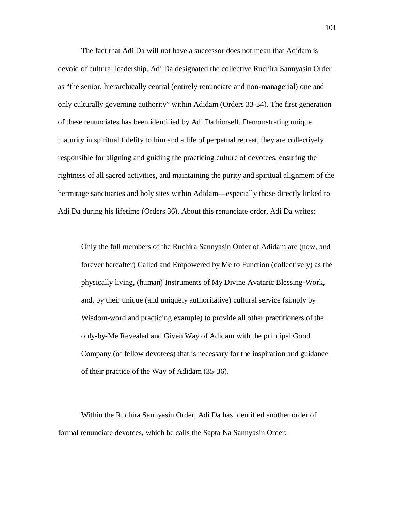The fact that Adi Da will not have a successor does not mean that Adidam is devoid of cultural leadership. Adi Da designated the collective Ruchira Sannyasin Order as "the senior, hierarchically central (entirely renunciate and non-managerial) one and only culturally governing authority" within Adidam (Orders 33-34). The first generation of these renunciates has been identified by Adi Da himself. Demonstrating unique maturity in spiritual fidelity to him and a life of perpetual retreat, they are collectively responsible for aligning and guiding the practicing culture of devotees, ensuring the rightness of all sacred activities, and maintaining the purity and spiritual alignment of the hermitage sanctuaries and holy sites within Adidam—especially those directly linked to Adi Da during his lifetime (Orders 36). About this renunciate order, Adi Da writes:

Only the full members of the Ruchira Sannyasin Order of Adidam are (now, and forever hereafter) Called and Empowered by Me to Function (collectively) as the physically living, (human) Instruments of My Divine Avataric Blessing-Work, and, by their unique (and uniquely authoritative) cultural service (simply by Wisdom-word and practicing example) to provide all other practitioners of the only-by-Me Revealed and Given Way of Adidam with the principal Good Company (of fellow devotees) that is necessary for the inspiration and guidance of their practice of the Way of Adidam (35-36).

Within the Ruchira Sannyasin Order, Adi Da has identified another order of formal renunciate devotees, which he calls the Sapta Na Sannyasin Order: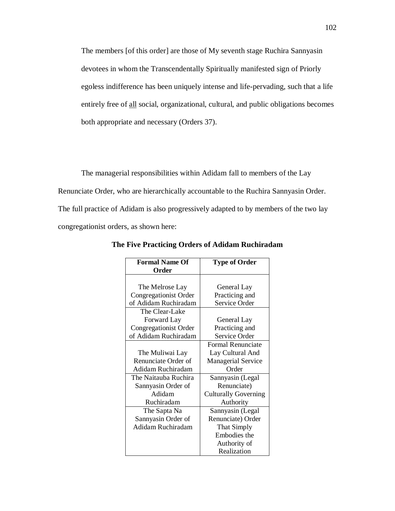The members [of this order] are those of My seventh stage Ruchira Sannyasin devotees in whom the Transcendentally Spiritually manifested sign of Priorly egoless indifference has been uniquely intense and life-pervading, such that a life entirely free of all social, organizational, cultural, and public obligations becomes both appropriate and necessary (Orders 37).

The managerial responsibilities within Adidam fall to members of the Lay Renunciate Order, who are hierarchically accountable to the Ruchira Sannyasin Order. The full practice of Adidam is also progressively adapted to by members of the two lay congregationist orders, as shown here:

| <b>Formal Name Of</b> | <b>Type of Order</b>        |
|-----------------------|-----------------------------|
| Order                 |                             |
|                       |                             |
| The Melrose Lay       | General Lay                 |
| Congregationist Order | Practicing and              |
| of Adidam Ruchiradam  | Service Order               |
| The Clear-Lake        |                             |
| Forward Lay           | General Lay                 |
| Congregationist Order | Practicing and              |
| of Adidam Ruchiradam  | Service Order               |
|                       | Formal Renunciate           |
| The Muliwai Lay       | Lay Cultural And            |
| Renunciate Order of   | <b>Managerial Service</b>   |
| Adidam Ruchiradam     | Order                       |
| The Naitauba Ruchira  | Sannyasin (Legal            |
| Sannyasin Order of    | Renunciate)                 |
| Adidam                | <b>Culturally Governing</b> |
| Ruchiradam            | Authority                   |
| The Sapta Na          | Sannyasin (Legal            |
| Sannyasin Order of    | Renunciate) Order           |
| Adidam Ruchiradam     | That Simply                 |
|                       | Embodies the                |
|                       | Authority of                |
|                       | Realization                 |

**The Five Practicing Orders of Adidam Ruchiradam**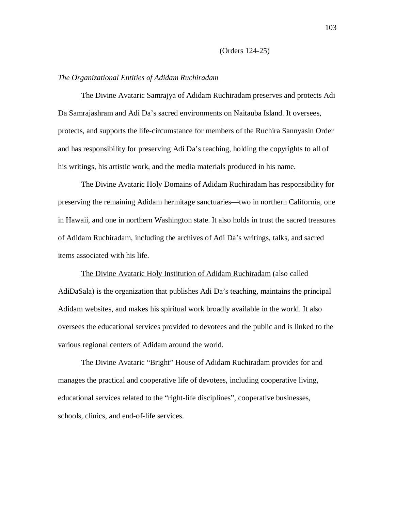#### (Orders 124-25)

#### *The Organizational Entities of Adidam Ruchiradam*

The Divine Avataric Samrajya of Adidam Ruchiradam preserves and protects Adi Da Samrajashram and Adi Da's sacred environments on Naitauba Island. It oversees, protects, and supports the life-circumstance for members of the Ruchira Sannyasin Order and has responsibility for preserving Adi Da's teaching, holding the copyrights to all of his writings, his artistic work, and the media materials produced in his name.

The Divine Avataric Holy Domains of Adidam Ruchiradam has responsibility for preserving the remaining Adidam hermitage sanctuaries—two in northern California, one in Hawaii, and one in northern Washington state. It also holds in trust the sacred treasures of Adidam Ruchiradam, including the archives of Adi Da's writings, talks, and sacred items associated with his life.

The Divine Avataric Holy Institution of Adidam Ruchiradam (also called AdiDaSala) is the organization that publishes Adi Da's teaching, maintains the principal Adidam websites, and makes his spiritual work broadly available in the world. It also oversees the educational services provided to devotees and the public and is linked to the various regional centers of Adidam around the world.

The Divine Avataric "Bright" House of Adidam Ruchiradam provides for and manages the practical and cooperative life of devotees, including cooperative living, educational services related to the "right-life disciplines", cooperative businesses, schools, clinics, and end-of-life services.

103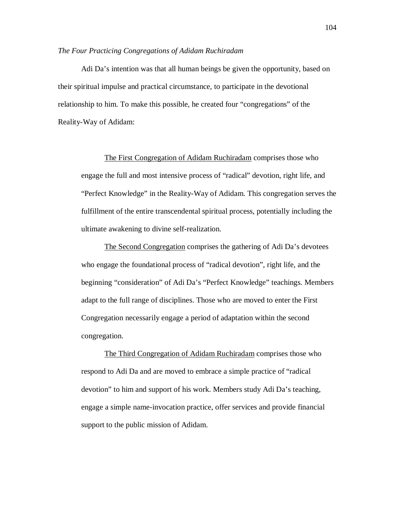#### *The Four Practicing Congregations of Adidam Ruchiradam*

Adi Da's intention was that all human beings be given the opportunity, based on their spiritual impulse and practical circumstance, to participate in the devotional relationship to him. To make this possible, he created four "congregations" of the Reality-Way of Adidam:

The First Congregation of Adidam Ruchiradam comprises those who engage the full and most intensive process of "radical" devotion, right life, and "Perfect Knowledge" in the Reality-Way of Adidam. This congregation serves the fulfillment of the entire transcendental spiritual process, potentially including the ultimate awakening to divine self-realization.

The Second Congregation comprises the gathering of Adi Da's devotees who engage the foundational process of "radical devotion", right life, and the beginning "consideration" of Adi Da's "Perfect Knowledge" teachings. Members adapt to the full range of disciplines. Those who are moved to enter the First Congregation necessarily engage a period of adaptation within the second congregation.

The Third Congregation of Adidam Ruchiradam comprises those who respond to Adi Da and are moved to embrace a simple practice of "radical devotion" to him and support of his work. Members study Adi Da's teaching, engage a simple name-invocation practice, offer services and provide financial support to the public mission of Adidam.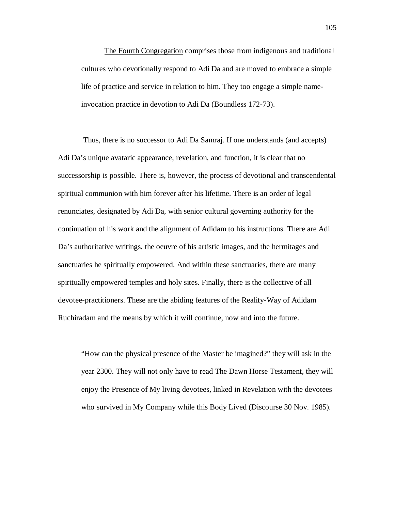The Fourth Congregation comprises those from indigenous and traditional cultures who devotionally respond to Adi Da and are moved to embrace a simple life of practice and service in relation to him. They too engage a simple nameinvocation practice in devotion to Adi Da (Boundless 172-73).

 Thus, there is no successor to Adi Da Samraj. If one understands (and accepts) Adi Da's unique avataric appearance, revelation, and function, it is clear that no successorship is possible. There is, however, the process of devotional and transcendental spiritual communion with him forever after his lifetime. There is an order of legal renunciates, designated by Adi Da, with senior cultural governing authority for the continuation of his work and the alignment of Adidam to his instructions. There are Adi Da's authoritative writings, the oeuvre of his artistic images, and the hermitages and sanctuaries he spiritually empowered. And within these sanctuaries, there are many spiritually empowered temples and holy sites. Finally, there is the collective of all devotee-practitioners. These are the abiding features of the Reality-Way of Adidam Ruchiradam and the means by which it will continue, now and into the future.

"How can the physical presence of the Master be imagined?" they will ask in the year 2300. They will not only have to read The Dawn Horse Testament, they will enjoy the Presence of My living devotees, linked in Revelation with the devotees who survived in My Company while this Body Lived (Discourse 30 Nov. 1985).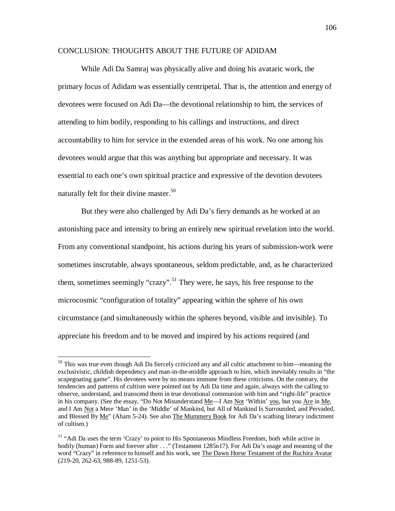## CONCLUSION: THOUGHTS ABOUT THE FUTURE OF ADIDAM

While Adi Da Samraj was physically alive and doing his avataric work, the primary focus of Adidam was essentially centripetal. That is, the attention and energy of devotees were focused on Adi Da—the devotional relationship to him, the services of attending to him bodily, responding to his callings and instructions, and direct accountability to him for service in the extended areas of his work. No one among his devotees would argue that this was anything but appropriate and necessary. It was essential to each one's own spiritual practice and expressive of the devotion devotees naturally felt for their divine master.<sup>50</sup>

But they were also challenged by Adi Da's fiery demands as he worked at an astonishing pace and intensity to bring an entirely new spiritual revelation into the world. From any conventional standpoint, his actions during his years of submission-work were sometimes inscrutable, always spontaneous, seldom predictable, and, as he characterized them, sometimes seemingly "crazy".<sup>51</sup> They were, he says, his free response to the microcosmic "configuration of totality" appearing within the sphere of his own circumstance (and simultaneously within the spheres beyond, visible and invisible). To appreciate his freedom and to be moved and inspired by his actions required (and

<sup>&</sup>lt;sup>50</sup> This was true even though Adi Da fiercely criticized any and all cultic attachment to him—meaning the exclusivistic, childish dependency and man-in-the-middle approach to him, which inevitably results in "the scapegoating game". His devotees were by no means immune from these criticisms. On the contrary, the tendencies and patterns of cultism were pointed out by Adi Da time and again, always with the calling to observe, understand, and transcend them in true devotional communion with him and "right-life" practice in his company. (See the essay, "Do Not Misunderstand Me—I Am Not 'Within' you, but you Are in Me, and I Am Not a Mere 'Man' in the 'Middle' of Mankind, but All of Mankind Is Surrounded, and Pervaded, and Blessed By Me" (Aham 5-24). See also The Mummery Book for Adi Da's scathing literary indictment of cultism.)

<sup>&</sup>lt;sup>51</sup> "Adi Da uses the term 'Crazy' to point to His Spontaneous Mindless Freedom, both while active in bodily (human) Form and forever after . . ." (Testament 1285n17). For Adi Da's usage and meaning of the word "Crazy" in reference to himself and his work, see The Dawn Horse Testament of the Ruchira Avatar (219-20, 262-63, 988-89, 1251-53).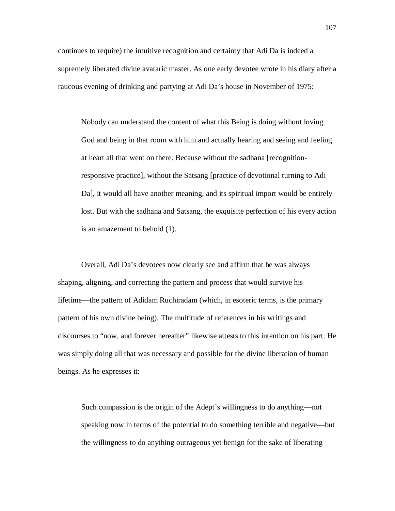continues to require) the intuitive recognition and certainty that Adi Da is indeed a supremely liberated divine avataric master. As one early devotee wrote in his diary after a raucous evening of drinking and partying at Adi Da's house in November of 1975:

Nobody can understand the content of what this Being is doing without loving God and being in that room with him and actually hearing and seeing and feeling at heart all that went on there. Because without the sadhana [recognitionresponsive practice], without the Satsang [practice of devotional turning to Adi Da], it would all have another meaning, and its spiritual import would be entirely lost. But with the sadhana and Satsang, the exquisite perfection of his every action is an amazement to behold (1).

Overall, Adi Da's devotees now clearly see and affirm that he was always shaping, aligning, and correcting the pattern and process that would survive his lifetime—the pattern of Adidam Ruchiradam (which, in esoteric terms, is the primary pattern of his own divine being). The multitude of references in his writings and discourses to "now, and forever hereafter" likewise attests to this intention on his part. He was simply doing all that was necessary and possible for the divine liberation of human beings. As he expresses it:

Such compassion is the origin of the Adept's willingness to do anything—not speaking now in terms of the potential to do something terrible and negative—but the willingness to do anything outrageous yet benign for the sake of liberating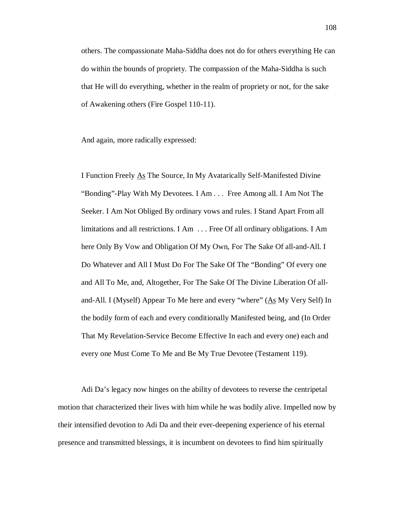others. The compassionate Maha-Siddha does not do for others everything He can do within the bounds of propriety. The compassion of the Maha-Siddha is such that He will do everything, whether in the realm of propriety or not, for the sake of Awakening others (Fire Gospel 110-11).

And again, more radically expressed:

I Function Freely As The Source, In My Avatarically Self-Manifested Divine "Bonding"-Play With My Devotees. I Am . . . Free Among all. I Am Not The Seeker. I Am Not Obliged By ordinary vows and rules. I Stand Apart From all limitations and all restrictions. I Am . . . Free Of all ordinary obligations. I Am here Only By Vow and Obligation Of My Own, For The Sake Of all-and-All. I Do Whatever and All I Must Do For The Sake Of The "Bonding" Of every one and All To Me, and, Altogether, For The Sake Of The Divine Liberation Of alland-All. I (Myself) Appear To Me here and every "where" (As My Very Self) In the bodily form of each and every conditionally Manifested being, and (In Order That My Revelation-Service Become Effective In each and every one) each and every one Must Come To Me and Be My True Devotee (Testament 119).

Adi Da's legacy now hinges on the ability of devotees to reverse the centripetal motion that characterized their lives with him while he was bodily alive. Impelled now by their intensified devotion to Adi Da and their ever-deepening experience of his eternal presence and transmitted blessings, it is incumbent on devotees to find him spiritually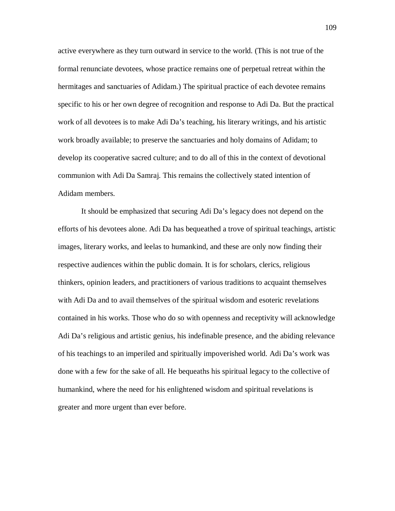active everywhere as they turn outward in service to the world. (This is not true of the formal renunciate devotees, whose practice remains one of perpetual retreat within the hermitages and sanctuaries of Adidam.) The spiritual practice of each devotee remains specific to his or her own degree of recognition and response to Adi Da. But the practical work of all devotees is to make Adi Da's teaching, his literary writings, and his artistic work broadly available; to preserve the sanctuaries and holy domains of Adidam; to develop its cooperative sacred culture; and to do all of this in the context of devotional communion with Adi Da Samraj. This remains the collectively stated intention of Adidam members.

It should be emphasized that securing Adi Da's legacy does not depend on the efforts of his devotees alone. Adi Da has bequeathed a trove of spiritual teachings, artistic images, literary works, and leelas to humankind, and these are only now finding their respective audiences within the public domain. It is for scholars, clerics, religious thinkers, opinion leaders, and practitioners of various traditions to acquaint themselves with Adi Da and to avail themselves of the spiritual wisdom and esoteric revelations contained in his works. Those who do so with openness and receptivity will acknowledge Adi Da's religious and artistic genius, his indefinable presence, and the abiding relevance of his teachings to an imperiled and spiritually impoverished world. Adi Da's work was done with a few for the sake of all. He bequeaths his spiritual legacy to the collective of humankind, where the need for his enlightened wisdom and spiritual revelations is greater and more urgent than ever before.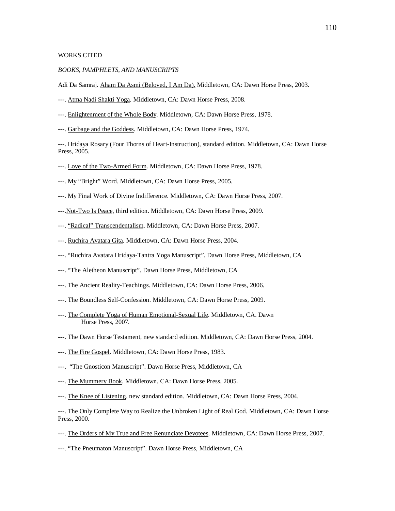### WORKS CITED

#### *BOOKS, PAMPHLETS, AND MANUSCRIPTS*

Adi Da Samraj. Aham Da Asmi (Beloved, I Am Da). Middletown, CA: Dawn Horse Press, 2003.

- ---. Atma Nadi Shakti Yoga. Middletown, CA: Dawn Horse Press, 2008.
- ---. Enlightenment of the Whole Body. Middletown, CA: Dawn Horse Press, 1978.
- ---. Garbage and the Goddess. Middletown, CA: Dawn Horse Press, 1974.

---. Hridaya Rosary (Four Thorns of Heart-Instruction), standard edition. Middletown, CA: Dawn Horse Press, 2005.

- ---. Love of the Two-Armed Form. Middletown, CA: Dawn Horse Press, 1978.
- ---. My "Bright" Word. Middletown, CA: Dawn Horse Press, 2005.
- ---. My Final Work of Divine Indifference. Middletown, CA: Dawn Horse Press, 2007.
- ---.Not-Two Is Peace, third edition. Middletown, CA: Dawn Horse Press, 2009.
- ---. "Radical" Transcendentalism. Middletown, CA: Dawn Horse Press, 2007.
- ---. Ruchira Avatara Gita. Middletown, CA: Dawn Horse Press, 2004.
- ---. "Ruchira Avatara Hridaya-Tantra Yoga Manuscript". Dawn Horse Press, Middletown, CA
- ---. "The Aletheon Manuscript". Dawn Horse Press, Middletown, CA
- ---. The Ancient Reality-Teachings. Middletown, CA: Dawn Horse Press, 2006.
- ---. The Boundless Self-Confession. Middletown, CA: Dawn Horse Press, 2009.
- ---. The Complete Yoga of Human Emotional-Sexual Life. Middletown, CA. Dawn Horse Press, 2007.
- ---. The Dawn Horse Testament, new standard edition. Middletown, CA: Dawn Horse Press, 2004.
- ---. The Fire Gospel. Middletown, CA: Dawn Horse Press, 1983.
- ---. "The Gnosticon Manuscript". Dawn Horse Press, Middletown, CA
- ---. The Mummery Book. Middletown, CA: Dawn Horse Press, 2005.
- ---. The Knee of Listening, new standard edition. Middletown, CA: Dawn Horse Press, 2004.

---. The Only Complete Way to Realize the Unbroken Light of Real God. Middletown, CA: Dawn Horse Press, 2000.

---. The Orders of My True and Free Renunciate Devotees. Middletown, CA: Dawn Horse Press, 2007.

---. "The Pneumaton Manuscript". Dawn Horse Press, Middletown, CA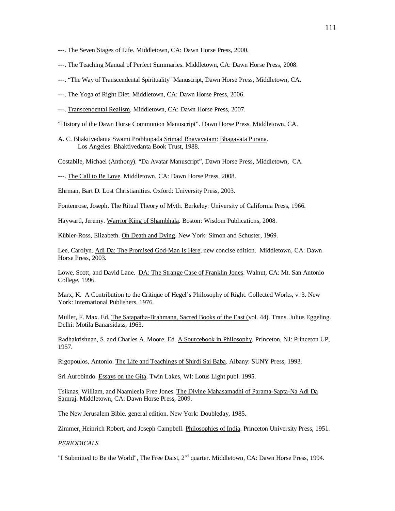- ---. The Seven Stages of Life. Middletown, CA: Dawn Horse Press, 2000.
- ---. The Teaching Manual of Perfect Summaries. Middletown, CA: Dawn Horse Press, 2008.
- ---. "The Way of Transcendental Spirituality" Manuscript, Dawn Horse Press, Middletown, CA.
- ---. The Yoga of Right Diet. Middletown, CA: Dawn Horse Press, 2006.
- ---. Transcendental Realism. Middletown, CA: Dawn Horse Press, 2007.

"History of the Dawn Horse Communion Manuscript". Dawn Horse Press, Middletown, CA.

A. C. Bhaktivedanta Swami Prabhupada Srimad Bhavavatam: Bhagavata Purana. Los Angeles: Bhaktivedanta Book Trust, 1988.

Costabile, Michael (Anthony). "Da Avatar Manuscript", Dawn Horse Press, Middletown, CA.

---. The Call to Be Love. Middletown, CA: Dawn Horse Press, 2008.

Ehrman, Bart D. Lost Christianities. Oxford: University Press, 2003.

Fontenrose, Joseph. The Ritual Theory of Myth. Berkeley: University of California Press, 1966.

Hayward, Jeremy. Warrior King of Shambhala. Boston: Wisdom Publications, 2008.

Kübler-Ross, Elizabeth. On Death and Dying. New York: Simon and Schuster, 1969.

Lee, Carolyn. Adi Da: The Promised God-Man Is Here, new concise edition. Middletown, CA: Dawn Horse Press, 2003.

Lowe, Scott, and David Lane. DA: The Strange Case of Franklin Jones. Walnut, CA: Mt. San Antonio College, 1996.

Marx, K. A Contribution to the Critique of Hegel's Philosophy of Right. Collected Works, v. 3. New York: International Publishers, 1976.

Muller, F. Max. Ed. The Satapatha-Brahmana, Sacred Books of the East (vol. 44). Trans. Julius Eggeling. Delhi: Motila Banarsidass, 1963.

Radhakrishnan, S. and Charles A. Moore. Ed. A Sourcebook in Philosophy. Princeton, NJ: Princeton UP, 1957.

Rigopoulos, Antonio. The Life and Teachings of Shirdi Sai Baba. Albany: SUNY Press, 1993.

Sri Aurobindo. Essays on the Gita. Twin Lakes, WI: Lotus Light publ. 1995.

Tsiknas, William, and Naamleela Free Jones. The Divine Mahasamadhi of Parama-Sapta-Na Adi Da Samraj. Middletown, CA: Dawn Horse Press, 2009.

The New Jerusalem Bible. general edition. New York: Doubleday, 1985.

Zimmer, Heinrich Robert, and Joseph Campbell. Philosophies of India. Princeton University Press, 1951.

*PERIODICALS*

"I Submitted to Be the World", The Free Daist, 2<sup>nd</sup> quarter. Middletown, CA: Dawn Horse Press, 1994.